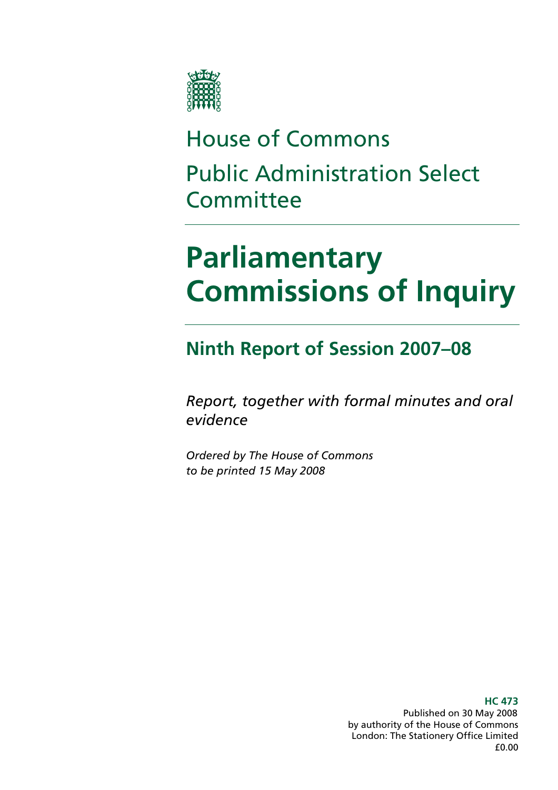

## House of Commons Public Administration Select **Committee**

## **Parliamentary Commissions of Inquiry**

## **Ninth Report of Session 2007–08**

*Report, together with formal minutes and oral evidence* 

*Ordered by The House of Commons to be printed 15 May 2008* 

> **HC 473**  Published on 30 May 2008 by authority of the House of Commons London: The Stationery Office Limited £0.00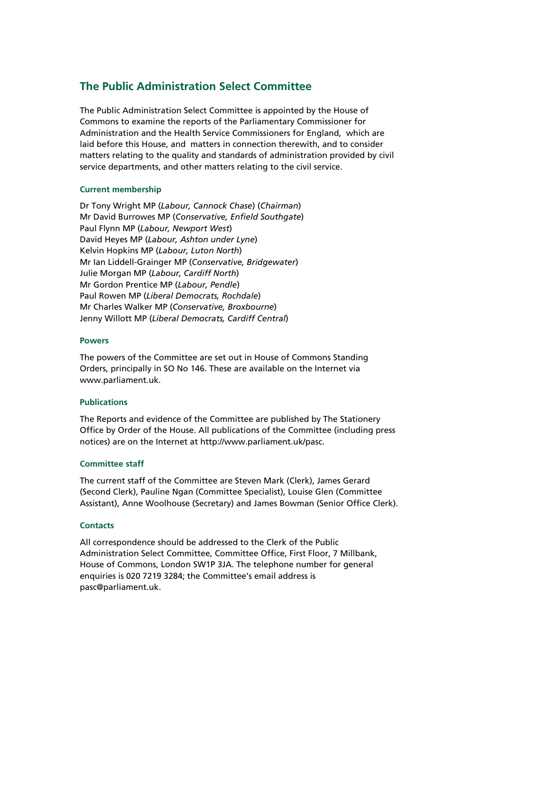#### **The Public Administration Select Committee**

The Public Administration Select Committee is appointed by the House of Commons to examine the reports of the Parliamentary Commissioner for Administration and the Health Service Commissioners for England, which are laid before this House, and matters in connection therewith, and to consider matters relating to the quality and standards of administration provided by civil service departments, and other matters relating to the civil service.

#### **Current membership**

Dr Tony Wright MP (*Labour, Cannock Chase*) (*Chairman*) Mr David Burrowes MP (*Conservative, Enfield Southgate*) Paul Flynn MP (*Labour, Newport West*) David Heyes MP (*Labour, Ashton under Lyne*) Kelvin Hopkins MP (*Labour, Luton North*) Mr Ian Liddell-Grainger MP (*Conservative, Bridgewater*) Julie Morgan MP (*Labour, Cardiff North*) Mr Gordon Prentice MP (*Labour, Pendle*) Paul Rowen MP (*Liberal Democrats, Rochdale*) Mr Charles Walker MP (*Conservative, Broxbourne*) Jenny Willott MP (*Liberal Democrats, Cardiff Central*)

#### **Powers**

The powers of the Committee are set out in House of Commons Standing Orders, principally in SO No 146. These are available on the Internet via www.parliament.uk.

#### **Publications**

The Reports and evidence of the Committee are published by The Stationery Office by Order of the House. All publications of the Committee (including press notices) are on the Internet at http://www.parliament.uk/pasc.

#### **Committee staff**

The current staff of the Committee are Steven Mark (Clerk), James Gerard (Second Clerk), Pauline Ngan (Committee Specialist), Louise Glen (Committee Assistant), Anne Woolhouse (Secretary) and James Bowman (Senior Office Clerk).

#### **Contacts**

All correspondence should be addressed to the Clerk of the Public Administration Select Committee, Committee Office, First Floor, 7 Millbank, House of Commons, London SW1P 3JA. The telephone number for general enquiries is 020 7219 3284; the Committee's email address is pasc@parliament.uk.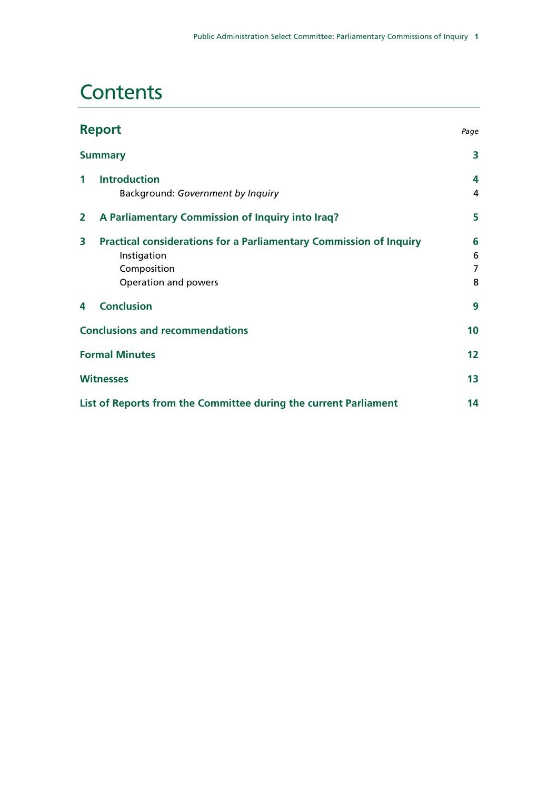### **Contents**

| <b>Report</b>                                                          |                                                                                                                                 |                  |  |  |
|------------------------------------------------------------------------|---------------------------------------------------------------------------------------------------------------------------------|------------------|--|--|
|                                                                        | <b>Summary</b>                                                                                                                  | 3                |  |  |
| $\mathbf 1$                                                            | <b>Introduction</b><br>Background: Government by Inquiry                                                                        | 4<br>4           |  |  |
| 2                                                                      | A Parliamentary Commission of Inquiry into Iraq?                                                                                | 5                |  |  |
| 3                                                                      | <b>Practical considerations for a Parliamentary Commission of Inquiry</b><br>Instigation<br>Composition<br>Operation and powers | 6<br>6<br>7<br>8 |  |  |
| 4                                                                      | <b>Conclusion</b>                                                                                                               | 9                |  |  |
| <b>Conclusions and recommendations</b>                                 |                                                                                                                                 |                  |  |  |
| <b>Formal Minutes</b>                                                  |                                                                                                                                 |                  |  |  |
| <b>Witnesses</b>                                                       |                                                                                                                                 |                  |  |  |
| List of Reports from the Committee during the current Parliament<br>14 |                                                                                                                                 |                  |  |  |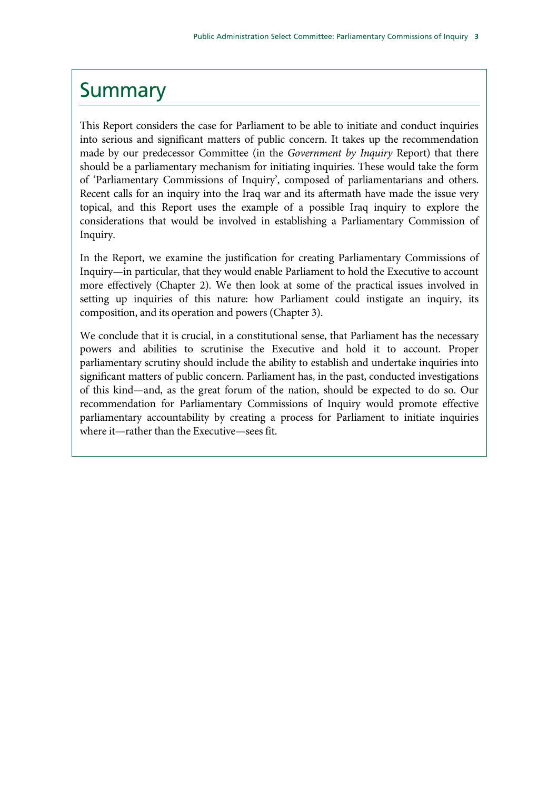### **Summary**

This Report considers the case for Parliament to be able to initiate and conduct inquiries into serious and significant matters of public concern. It takes up the recommendation made by our predecessor Committee (in the *Government by Inquiry* Report) that there should be a parliamentary mechanism for initiating inquiries. These would take the form of 'Parliamentary Commissions of Inquiry', composed of parliamentarians and others. Recent calls for an inquiry into the Iraq war and its aftermath have made the issue very topical, and this Report uses the example of a possible Iraq inquiry to explore the considerations that would be involved in establishing a Parliamentary Commission of Inquiry.

In the Report, we examine the justification for creating Parliamentary Commissions of Inquiry—in particular, that they would enable Parliament to hold the Executive to account more effectively (Chapter 2). We then look at some of the practical issues involved in setting up inquiries of this nature: how Parliament could instigate an inquiry, its composition, and its operation and powers (Chapter 3).

We conclude that it is crucial, in a constitutional sense, that Parliament has the necessary powers and abilities to scrutinise the Executive and hold it to account. Proper parliamentary scrutiny should include the ability to establish and undertake inquiries into significant matters of public concern. Parliament has, in the past, conducted investigations of this kind—and, as the great forum of the nation, should be expected to do so. Our recommendation for Parliamentary Commissions of Inquiry would promote effective parliamentary accountability by creating a process for Parliament to initiate inquiries where it—rather than the Executive—sees fit.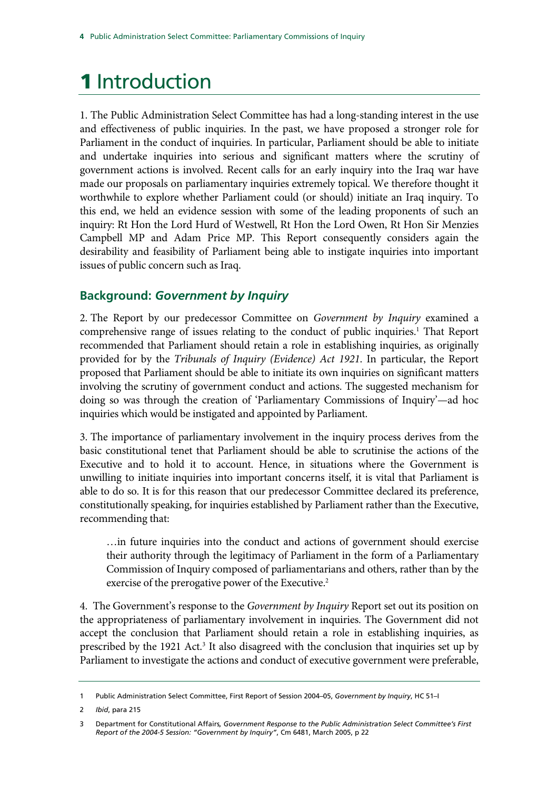## 1 Introduction

1. The Public Administration Select Committee has had a long-standing interest in the use and effectiveness of public inquiries. In the past, we have proposed a stronger role for Parliament in the conduct of inquiries. In particular, Parliament should be able to initiate and undertake inquiries into serious and significant matters where the scrutiny of government actions is involved. Recent calls for an early inquiry into the Iraq war have made our proposals on parliamentary inquiries extremely topical. We therefore thought it worthwhile to explore whether Parliament could (or should) initiate an Iraq inquiry. To this end, we held an evidence session with some of the leading proponents of such an inquiry: Rt Hon the Lord Hurd of Westwell, Rt Hon the Lord Owen, Rt Hon Sir Menzies Campbell MP and Adam Price MP. This Report consequently considers again the desirability and feasibility of Parliament being able to instigate inquiries into important issues of public concern such as Iraq.

### **Background:** *Government by Inquiry*

2. The Report by our predecessor Committee on *Government by Inquiry* examined a comprehensive range of issues relating to the conduct of public inquiries.<sup>1</sup> That Report recommended that Parliament should retain a role in establishing inquiries, as originally provided for by the *Tribunals of Inquiry (Evidence) Act 1921*. In particular, the Report proposed that Parliament should be able to initiate its own inquiries on significant matters involving the scrutiny of government conduct and actions. The suggested mechanism for doing so was through the creation of 'Parliamentary Commissions of Inquiry'—ad hoc inquiries which would be instigated and appointed by Parliament.

3. The importance of parliamentary involvement in the inquiry process derives from the basic constitutional tenet that Parliament should be able to scrutinise the actions of the Executive and to hold it to account. Hence, in situations where the Government is unwilling to initiate inquiries into important concerns itself, it is vital that Parliament is able to do so. It is for this reason that our predecessor Committee declared its preference, constitutionally speaking, for inquiries established by Parliament rather than the Executive, recommending that:

…in future inquiries into the conduct and actions of government should exercise their authority through the legitimacy of Parliament in the form of a Parliamentary Commission of Inquiry composed of parliamentarians and others, rather than by the exercise of the prerogative power of the Executive.<sup>2</sup>

4. The Government's response to the *Government by Inquiry* Report set out its position on the appropriateness of parliamentary involvement in inquiries. The Government did not accept the conclusion that Parliament should retain a role in establishing inquiries, as prescribed by the 1921 Act.<sup>3</sup> It also disagreed with the conclusion that inquiries set up by Parliament to investigate the actions and conduct of executive government were preferable,

<sup>1</sup> Public Administration Select Committee, First Report of Session 2004–05, *Government by Inquiry*, HC 51–I

<sup>2</sup> *Ibid*, para 215

<sup>3</sup> Department for Constitutional Affairs*, Government Response to the Public Administration Select Committee's First Report of the 2004-5 Session: "Government by Inquiry"*, Cm 6481, March 2005, p 22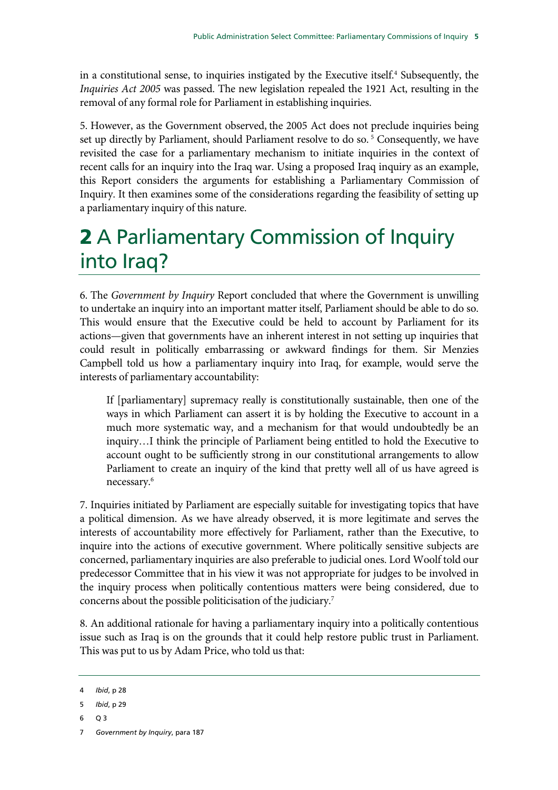in a constitutional sense, to inquiries instigated by the Executive itself.<sup>4</sup> Subsequently, the *Inquiries Act 2005* was passed. The new legislation repealed the 1921 Act, resulting in the removal of any formal role for Parliament in establishing inquiries.

5. However, as the Government observed, the 2005 Act does not preclude inquiries being set up directly by Parliament, should Parliament resolve to do so.<sup>5</sup> Consequently, we have revisited the case for a parliamentary mechanism to initiate inquiries in the context of recent calls for an inquiry into the Iraq war. Using a proposed Iraq inquiry as an example, this Report considers the arguments for establishing a Parliamentary Commission of Inquiry. It then examines some of the considerations regarding the feasibility of setting up a parliamentary inquiry of this nature.

## 2 A Parliamentary Commission of Inquiry into Iraq?

6. The *Government by Inquiry* Report concluded that where the Government is unwilling to undertake an inquiry into an important matter itself, Parliament should be able to do so. This would ensure that the Executive could be held to account by Parliament for its actions—given that governments have an inherent interest in not setting up inquiries that could result in politically embarrassing or awkward findings for them. Sir Menzies Campbell told us how a parliamentary inquiry into Iraq, for example, would serve the interests of parliamentary accountability:

If [parliamentary] supremacy really is constitutionally sustainable, then one of the ways in which Parliament can assert it is by holding the Executive to account in a much more systematic way, and a mechanism for that would undoubtedly be an inquiry…I think the principle of Parliament being entitled to hold the Executive to account ought to be sufficiently strong in our constitutional arrangements to allow Parliament to create an inquiry of the kind that pretty well all of us have agreed is necessary.6

7. Inquiries initiated by Parliament are especially suitable for investigating topics that have a political dimension. As we have already observed, it is more legitimate and serves the interests of accountability more effectively for Parliament, rather than the Executive, to inquire into the actions of executive government. Where politically sensitive subjects are concerned, parliamentary inquiries are also preferable to judicial ones. Lord Woolf told our predecessor Committee that in his view it was not appropriate for judges to be involved in the inquiry process when politically contentious matters were being considered, due to concerns about the possible politicisation of the judiciary.7

8. An additional rationale for having a parliamentary inquiry into a politically contentious issue such as Iraq is on the grounds that it could help restore public trust in Parliament. This was put to us by Adam Price, who told us that:

6 Q 3

<sup>4</sup> *Ibid*, p 28

<sup>5</sup> *Ibid*, p 29

<sup>7</sup> *Government by Inquiry*, para 187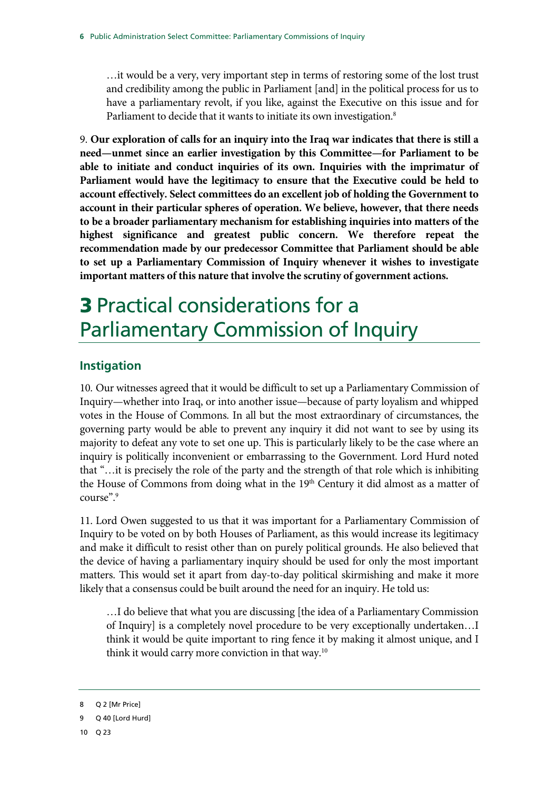…it would be a very, very important step in terms of restoring some of the lost trust and credibility among the public in Parliament [and] in the political process for us to have a parliamentary revolt, if you like, against the Executive on this issue and for Parliament to decide that it wants to initiate its own investigation.<sup>8</sup>

9. **Our exploration of calls for an inquiry into the Iraq war indicates that there is still a need—unmet since an earlier investigation by this Committee—for Parliament to be able to initiate and conduct inquiries of its own. Inquiries with the imprimatur of Parliament would have the legitimacy to ensure that the Executive could be held to account effectively. Select committees do an excellent job of holding the Government to account in their particular spheres of operation. We believe, however, that there needs to be a broader parliamentary mechanism for establishing inquiries into matters of the highest significance and greatest public concern. We therefore repeat the recommendation made by our predecessor Committee that Parliament should be able to set up a Parliamentary Commission of Inquiry whenever it wishes to investigate important matters of this nature that involve the scrutiny of government actions.**

## 3 Practical considerations for a Parliamentary Commission of Inquiry

### **Instigation**

10. Our witnesses agreed that it would be difficult to set up a Parliamentary Commission of Inquiry—whether into Iraq, or into another issue—because of party loyalism and whipped votes in the House of Commons. In all but the most extraordinary of circumstances, the governing party would be able to prevent any inquiry it did not want to see by using its majority to defeat any vote to set one up. This is particularly likely to be the case where an inquiry is politically inconvenient or embarrassing to the Government. Lord Hurd noted that "…it is precisely the role of the party and the strength of that role which is inhibiting the House of Commons from doing what in the 19<sup>th</sup> Century it did almost as a matter of course".9

11. Lord Owen suggested to us that it was important for a Parliamentary Commission of Inquiry to be voted on by both Houses of Parliament, as this would increase its legitimacy and make it difficult to resist other than on purely political grounds. He also believed that the device of having a parliamentary inquiry should be used for only the most important matters. This would set it apart from day-to-day political skirmishing and make it more likely that a consensus could be built around the need for an inquiry. He told us:

…I do believe that what you are discussing [the idea of a Parliamentary Commission of Inquiry] is a completely novel procedure to be very exceptionally undertaken…I think it would be quite important to ring fence it by making it almost unique, and I think it would carry more conviction in that way.<sup>10</sup>

<sup>8</sup> Q 2 [Mr Price]

<sup>9</sup> Q 40 [Lord Hurd]

<sup>10</sup> Q 23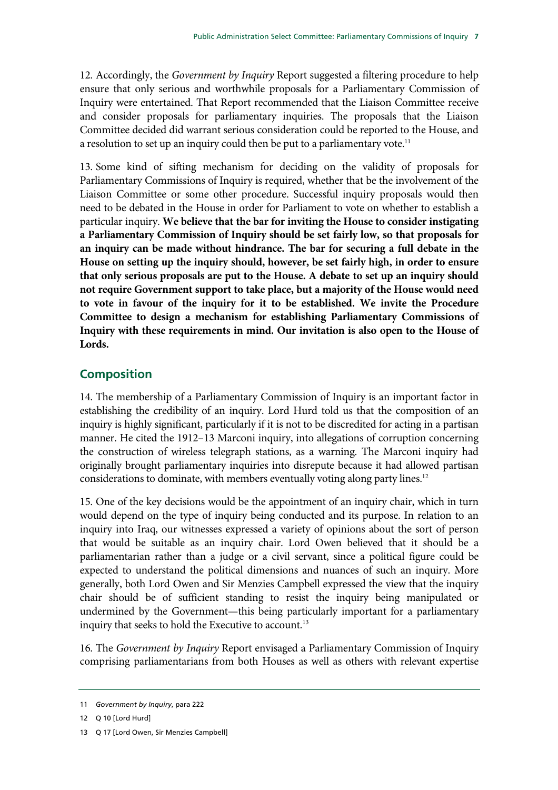12. Accordingly, the *Government by Inquiry* Report suggested a filtering procedure to help ensure that only serious and worthwhile proposals for a Parliamentary Commission of Inquiry were entertained. That Report recommended that the Liaison Committee receive and consider proposals for parliamentary inquiries. The proposals that the Liaison Committee decided did warrant serious consideration could be reported to the House, and a resolution to set up an inquiry could then be put to a parliamentary vote.<sup>11</sup>

13. Some kind of sifting mechanism for deciding on the validity of proposals for Parliamentary Commissions of Inquiry is required, whether that be the involvement of the Liaison Committee or some other procedure. Successful inquiry proposals would then need to be debated in the House in order for Parliament to vote on whether to establish a particular inquiry. **We believe that the bar for inviting the House to consider instigating a Parliamentary Commission of Inquiry should be set fairly low, so that proposals for an inquiry can be made without hindrance. The bar for securing a full debate in the House on setting up the inquiry should, however, be set fairly high, in order to ensure that only serious proposals are put to the House. A debate to set up an inquiry should not require Government support to take place, but a majority of the House would need to vote in favour of the inquiry for it to be established. We invite the Procedure Committee to design a mechanism for establishing Parliamentary Commissions of Inquiry with these requirements in mind. Our invitation is also open to the House of Lords.**

### **Composition**

14. The membership of a Parliamentary Commission of Inquiry is an important factor in establishing the credibility of an inquiry. Lord Hurd told us that the composition of an inquiry is highly significant, particularly if it is not to be discredited for acting in a partisan manner. He cited the 1912–13 Marconi inquiry, into allegations of corruption concerning the construction of wireless telegraph stations, as a warning. The Marconi inquiry had originally brought parliamentary inquiries into disrepute because it had allowed partisan considerations to dominate, with members eventually voting along party lines.<sup>12</sup>

15. One of the key decisions would be the appointment of an inquiry chair, which in turn would depend on the type of inquiry being conducted and its purpose. In relation to an inquiry into Iraq, our witnesses expressed a variety of opinions about the sort of person that would be suitable as an inquiry chair. Lord Owen believed that it should be a parliamentarian rather than a judge or a civil servant, since a political figure could be expected to understand the political dimensions and nuances of such an inquiry. More generally, both Lord Owen and Sir Menzies Campbell expressed the view that the inquiry chair should be of sufficient standing to resist the inquiry being manipulated or undermined by the Government—this being particularly important for a parliamentary inquiry that seeks to hold the Executive to account.<sup>13</sup>

16. The *Government by Inquiry* Report envisaged a Parliamentary Commission of Inquiry comprising parliamentarians from both Houses as well as others with relevant expertise

<sup>11</sup> *Government by Inquiry*, para 222

<sup>12</sup> Q 10 [Lord Hurd]

<sup>13</sup> Q 17 [Lord Owen, Sir Menzies Campbell]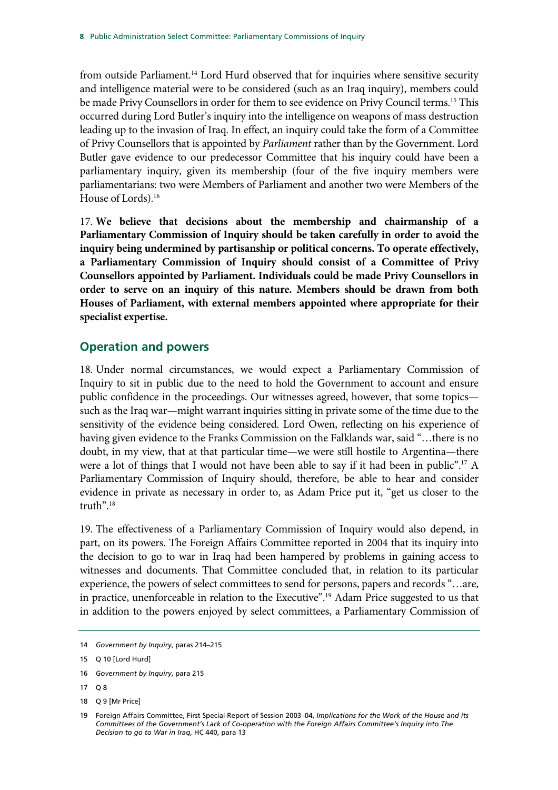from outside Parliament.<sup>14</sup> Lord Hurd observed that for inquiries where sensitive security and intelligence material were to be considered (such as an Iraq inquiry), members could be made Privy Counsellors in order for them to see evidence on Privy Council terms.<sup>15</sup> This occurred during Lord Butler's inquiry into the intelligence on weapons of mass destruction leading up to the invasion of Iraq. In effect, an inquiry could take the form of a Committee of Privy Counsellors that is appointed by *Parliament* rather than by the Government. Lord Butler gave evidence to our predecessor Committee that his inquiry could have been a parliamentary inquiry, given its membership (four of the five inquiry members were parliamentarians: two were Members of Parliament and another two were Members of the House of Lords).16

17. **We believe that decisions about the membership and chairmanship of a Parliamentary Commission of Inquiry should be taken carefully in order to avoid the inquiry being undermined by partisanship or political concerns. To operate effectively, a Parliamentary Commission of Inquiry should consist of a Committee of Privy Counsellors appointed by Parliament. Individuals could be made Privy Counsellors in order to serve on an inquiry of this nature. Members should be drawn from both Houses of Parliament, with external members appointed where appropriate for their specialist expertise.**

#### **Operation and powers**

18. Under normal circumstances, we would expect a Parliamentary Commission of Inquiry to sit in public due to the need to hold the Government to account and ensure public confidence in the proceedings. Our witnesses agreed, however, that some topics such as the Iraq war—might warrant inquiries sitting in private some of the time due to the sensitivity of the evidence being considered. Lord Owen, reflecting on his experience of having given evidence to the Franks Commission on the Falklands war, said "…there is no doubt, in my view, that at that particular time—we were still hostile to Argentina—there were a lot of things that I would not have been able to say if it had been in public".17 A Parliamentary Commission of Inquiry should, therefore, be able to hear and consider evidence in private as necessary in order to, as Adam Price put it, "get us closer to the truth".<sup>18</sup>

19. The effectiveness of a Parliamentary Commission of Inquiry would also depend, in part, on its powers. The Foreign Affairs Committee reported in 2004 that its inquiry into the decision to go to war in Iraq had been hampered by problems in gaining access to witnesses and documents. That Committee concluded that, in relation to its particular experience, the powers of select committees to send for persons, papers and records "…are, in practice, unenforceable in relation to the Executive".<sup>19</sup> Adam Price suggested to us that in addition to the powers enjoyed by select committees, a Parliamentary Commission of

18 Q 9 [Mr Price]

<sup>14</sup> *Government by Inquiry*, paras 214–215

<sup>15</sup> Q 10 [Lord Hurd]

<sup>16</sup> *Government by Inquiry*, para 215

<sup>17</sup> Q 8

<sup>19</sup> Foreign Affairs Committee, First Special Report of Session 2003–04, *Implications for the Work of the House and its Committees of the Government's Lack of Co-operation with the Foreign Affairs Committee's Inquiry into The Decision to go to War in Iraq*, HC 440, para 13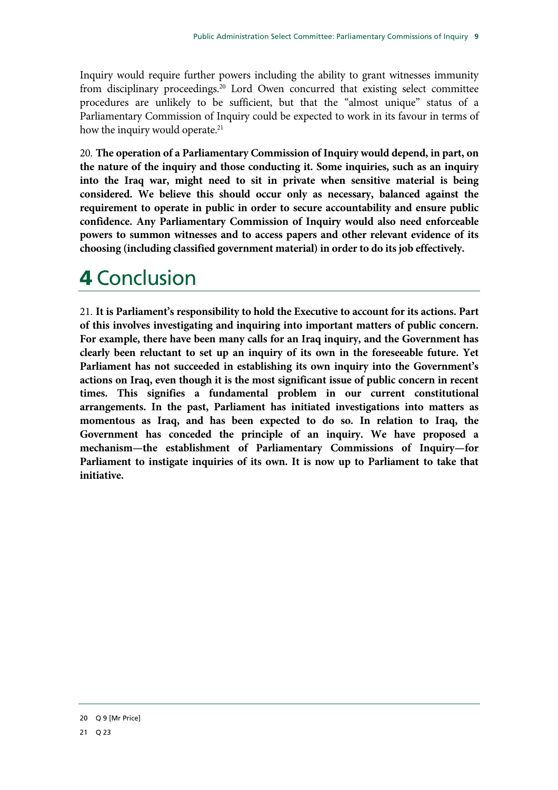Inquiry would require further powers including the ability to grant witnesses immunity from disciplinary proceedings.<sup>20</sup> Lord Owen concurred that existing select committee procedures are unlikely to be sufficient, but that the "almost unique" status of a Parliamentary Commission of Inquiry could be expected to work in its favour in terms of how the inquiry would operate.<sup>21</sup>

20. **The operation of a Parliamentary Commission of Inquiry would depend, in part, on the nature of the inquiry and those conducting it. Some inquiries, such as an inquiry into the Iraq war, might need to sit in private when sensitive material is being considered. We believe this should occur only as necessary, balanced against the requirement to operate in public in order to secure accountability and ensure public confidence. Any Parliamentary Commission of Inquiry would also need enforceable powers to summon witnesses and to access papers and other relevant evidence of its choosing (including classified government material) in order to do its job effectively.** 

## 4 Conclusion

21. **It is Parliament's responsibility to hold the Executive to account for its actions. Part of this involves investigating and inquiring into important matters of public concern. For example, there have been many calls for an Iraq inquiry, and the Government has clearly been reluctant to set up an inquiry of its own in the foreseeable future. Yet Parliament has not succeeded in establishing its own inquiry into the Government's actions on Iraq, even though it is the most significant issue of public concern in recent times. This signifies a fundamental problem in our current constitutional arrangements. In the past, Parliament has initiated investigations into matters as momentous as Iraq, and has been expected to do so. In relation to Iraq, the Government has conceded the principle of an inquiry. We have proposed a mechanism—the establishment of Parliamentary Commissions of Inquiry—for Parliament to instigate inquiries of its own. It is now up to Parliament to take that initiative.**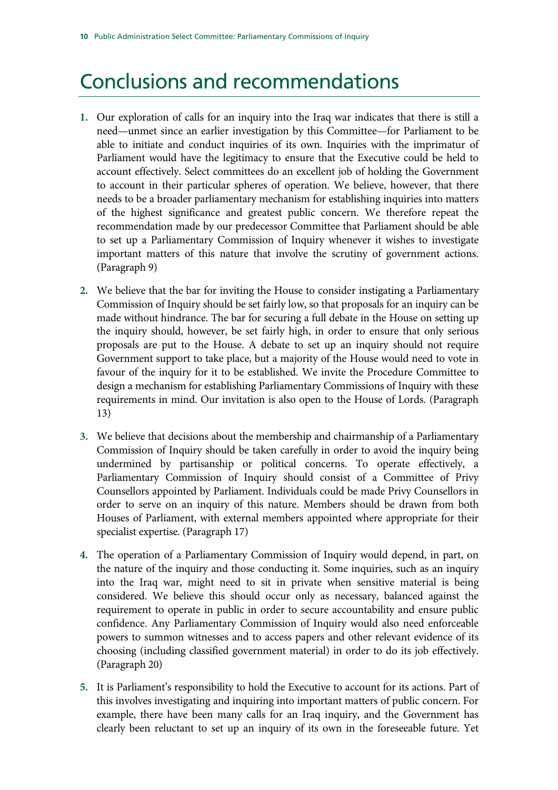### Conclusions and recommendations

- **1.** Our exploration of calls for an inquiry into the Iraq war indicates that there is still a need—unmet since an earlier investigation by this Committee—for Parliament to be able to initiate and conduct inquiries of its own. Inquiries with the imprimatur of Parliament would have the legitimacy to ensure that the Executive could be held to account effectively. Select committees do an excellent job of holding the Government to account in their particular spheres of operation. We believe, however, that there needs to be a broader parliamentary mechanism for establishing inquiries into matters of the highest significance and greatest public concern. We therefore repeat the recommendation made by our predecessor Committee that Parliament should be able to set up a Parliamentary Commission of Inquiry whenever it wishes to investigate important matters of this nature that involve the scrutiny of government actions. (Paragraph 9)
- **2.** We believe that the bar for inviting the House to consider instigating a Parliamentary Commission of Inquiry should be set fairly low, so that proposals for an inquiry can be made without hindrance. The bar for securing a full debate in the House on setting up the inquiry should, however, be set fairly high, in order to ensure that only serious proposals are put to the House. A debate to set up an inquiry should not require Government support to take place, but a majority of the House would need to vote in favour of the inquiry for it to be established. We invite the Procedure Committee to design a mechanism for establishing Parliamentary Commissions of Inquiry with these requirements in mind. Our invitation is also open to the House of Lords. (Paragraph 13)
- **3.** We believe that decisions about the membership and chairmanship of a Parliamentary Commission of Inquiry should be taken carefully in order to avoid the inquiry being undermined by partisanship or political concerns. To operate effectively, a Parliamentary Commission of Inquiry should consist of a Committee of Privy Counsellors appointed by Parliament. Individuals could be made Privy Counsellors in order to serve on an inquiry of this nature. Members should be drawn from both Houses of Parliament, with external members appointed where appropriate for their specialist expertise. (Paragraph 17)
- **4.** The operation of a Parliamentary Commission of Inquiry would depend, in part, on the nature of the inquiry and those conducting it. Some inquiries, such as an inquiry into the Iraq war, might need to sit in private when sensitive material is being considered. We believe this should occur only as necessary, balanced against the requirement to operate in public in order to secure accountability and ensure public confidence. Any Parliamentary Commission of Inquiry would also need enforceable powers to summon witnesses and to access papers and other relevant evidence of its choosing (including classified government material) in order to do its job effectively. (Paragraph 20)
- **5.** It is Parliament's responsibility to hold the Executive to account for its actions. Part of this involves investigating and inquiring into important matters of public concern. For example, there have been many calls for an Iraq inquiry, and the Government has clearly been reluctant to set up an inquiry of its own in the foreseeable future. Yet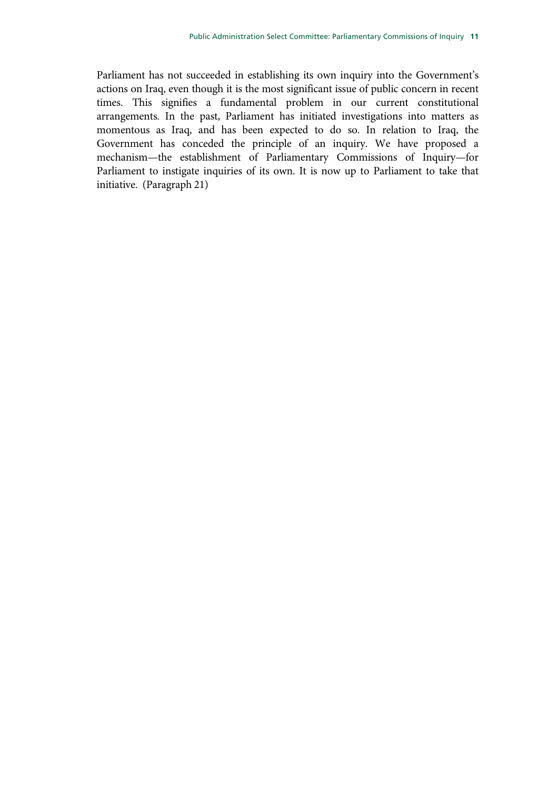Parliament has not succeeded in establishing its own inquiry into the Government's actions on Iraq, even though it is the most significant issue of public concern in recent times. This signifies a fundamental problem in our current constitutional arrangements. In the past, Parliament has initiated investigations into matters as momentous as Iraq, and has been expected to do so. In relation to Iraq, the Government has conceded the principle of an inquiry. We have proposed a mechanism—the establishment of Parliamentary Commissions of Inquiry—for Parliament to instigate inquiries of its own. It is now up to Parliament to take that initiative. (Paragraph 21)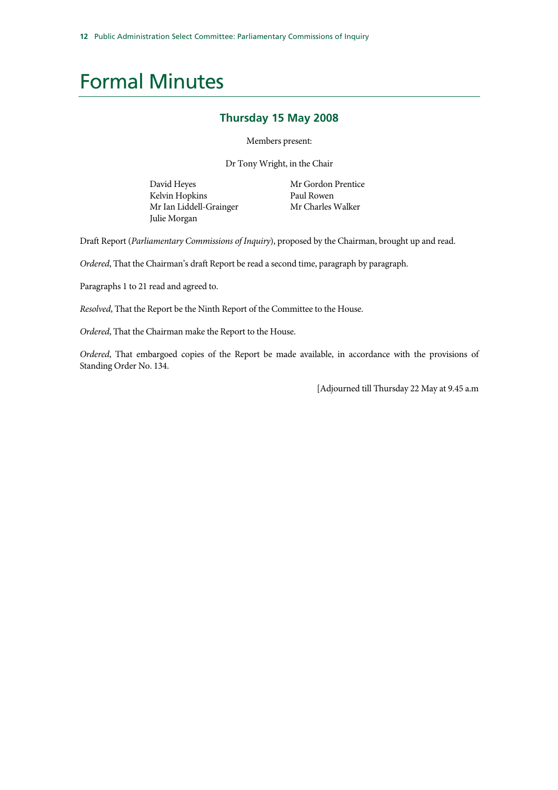### Formal Minutes

#### **Thursday 15 May 2008**

Members present:

Dr Tony Wright, in the Chair

David Heyes Kelvin Hopkins Mr Ian Liddell-Grainger Julie Morgan

 Mr Gordon Prentice Paul Rowen Mr Charles Walker

Draft Report (*Parliamentary Commissions of Inquiry*), proposed by the Chairman, brought up and read.

*Ordered*, That the Chairman's draft Report be read a second time, paragraph by paragraph.

Paragraphs 1 to 21 read and agreed to.

*Resolved*, That the Report be the Ninth Report of the Committee to the House.

*Ordered*, That the Chairman make the Report to the House.

*Ordered*, That embargoed copies of the Report be made available, in accordance with the provisions of Standing Order No. 134.

[Adjourned till Thursday 22 May at 9.45 a.m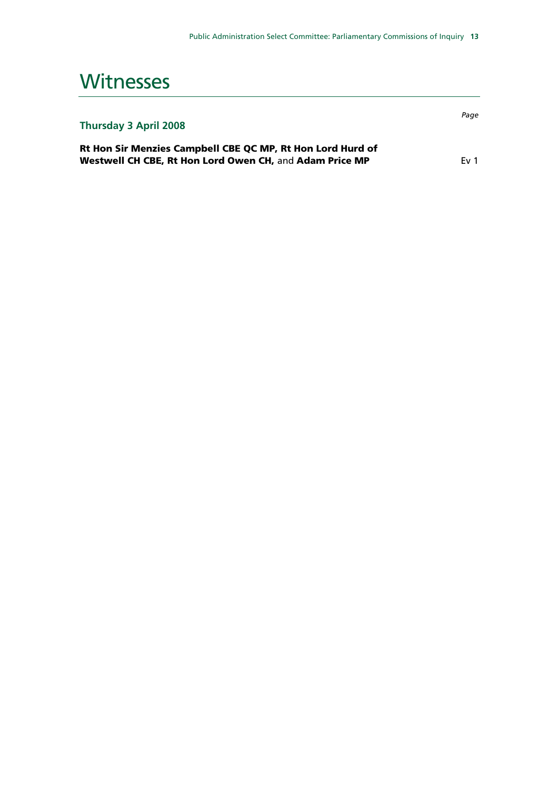### **Witnesses**

| <b>Thursday 3 April 2008</b> |  |  |  |  |
|------------------------------|--|--|--|--|
|------------------------------|--|--|--|--|

Rt Hon Sir Menzies Campbell CBE QC MP, Rt Hon Lord Hurd of Westwell CH CBE, Rt Hon Lord Owen CH, and Adam Price MP Ev 1

*Page*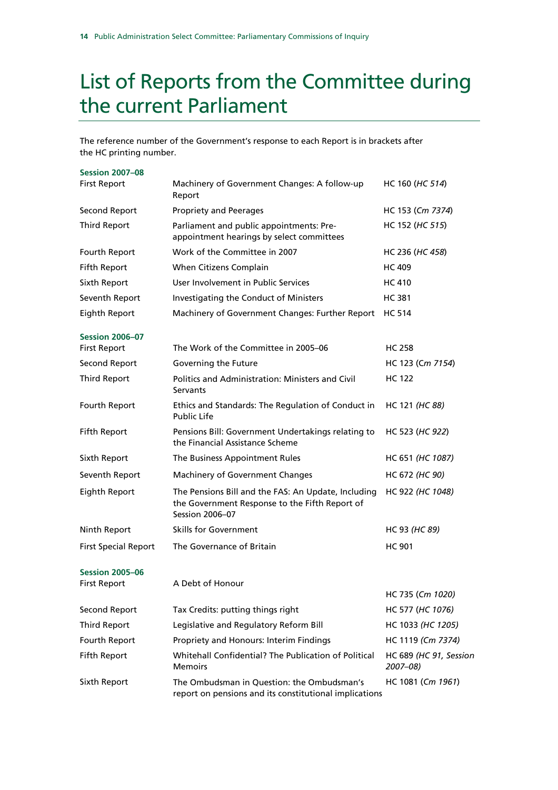## List of Reports from the Committee during the current Parliament

The reference number of the Government's response to each Report is in brackets after the HC printing number.

| <b>Session 2007-08</b>                        |                                                                                                                                 |                                    |
|-----------------------------------------------|---------------------------------------------------------------------------------------------------------------------------------|------------------------------------|
| <b>First Report</b>                           | Machinery of Government Changes: A follow-up<br>Report                                                                          | HC 160 (HC 514)                    |
| Second Report                                 | <b>Propriety and Peerages</b>                                                                                                   | HC 153 (Cm 7374)                   |
| <b>Third Report</b>                           | Parliament and public appointments: Pre-<br>appointment hearings by select committees                                           | HC 152 (HC 515)                    |
| Fourth Report                                 | Work of the Committee in 2007                                                                                                   | HC 236 (HC 458)                    |
| Fifth Report                                  | When Citizens Complain                                                                                                          | <b>HC 409</b>                      |
| Sixth Report                                  | User Involvement in Public Services                                                                                             | <b>HC 410</b>                      |
| Seventh Report                                | Investigating the Conduct of Ministers                                                                                          | HC 381                             |
| Eighth Report                                 | Machinery of Government Changes: Further Report                                                                                 | <b>HC 514</b>                      |
| <b>Session 2006-07</b>                        |                                                                                                                                 |                                    |
| <b>First Report</b>                           | The Work of the Committee in 2005–06                                                                                            | HC 258                             |
| Second Report                                 | Governing the Future                                                                                                            | HC 123 (Cm 7154)                   |
| <b>Third Report</b>                           | Politics and Administration: Ministers and Civil<br>Servants                                                                    | HC 122                             |
| Fourth Report                                 | Ethics and Standards: The Regulation of Conduct in<br><b>Public Life</b>                                                        | HC 121 (HC 88)                     |
| Fifth Report                                  | Pensions Bill: Government Undertakings relating to<br>the Financial Assistance Scheme                                           | HC 523 (HC 922)                    |
| Sixth Report                                  | The Business Appointment Rules                                                                                                  | HC 651 (HC 1087)                   |
| Seventh Report                                | Machinery of Government Changes                                                                                                 | HC 672 (HC 90)                     |
| Eighth Report                                 | The Pensions Bill and the FAS: An Update, Including<br>the Government Response to the Fifth Report of<br><b>Session 2006-07</b> | HC 922 (HC 1048)                   |
| Ninth Report                                  | <b>Skills for Government</b>                                                                                                    | HC 93 (HC 89)                      |
| <b>First Special Report</b>                   | The Governance of Britain                                                                                                       | <b>HC 901</b>                      |
| <b>Session 2005-06</b><br><b>First Report</b> | A Debt of Honour                                                                                                                |                                    |
|                                               |                                                                                                                                 | HC 735 (Cm 1020)                   |
| Second Report                                 | Tax Credits: putting things right                                                                                               | HC 577 (HC 1076)                   |
| <b>Third Report</b>                           | Legislative and Regulatory Reform Bill                                                                                          | HC 1033 (HC 1205)                  |
| Fourth Report                                 | Propriety and Honours: Interim Findings                                                                                         | HC 1119 (Cm 7374)                  |
| Fifth Report                                  | Whitehall Confidential? The Publication of Political<br><b>Memoirs</b>                                                          | HC 689 (HC 91, Session<br>2007–08) |
| Sixth Report                                  | The Ombudsman in Question: the Ombudsman's<br>report on pensions and its constitutional implications                            | HC 1081 (Cm 1961)                  |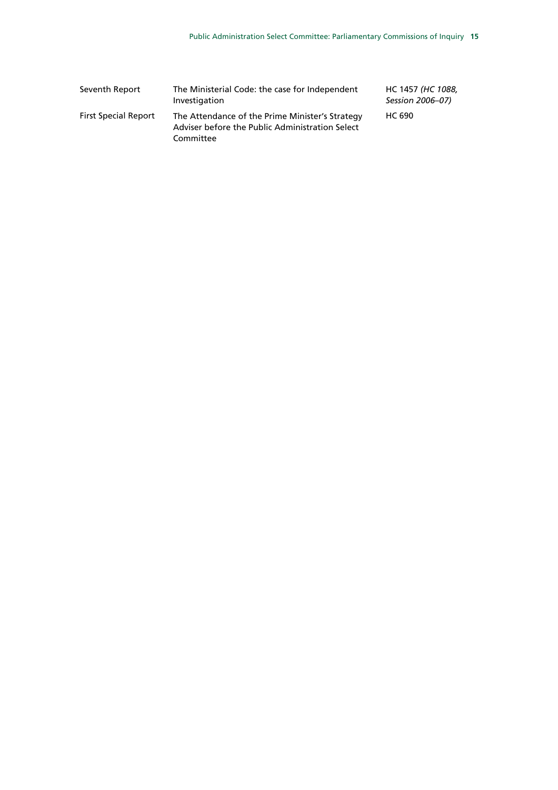| Seventh Report              | The Ministerial Code: the case for Independent<br>Investigation                                                 | HC 1457 (HC 1088,<br>Session 2006-07) |
|-----------------------------|-----------------------------------------------------------------------------------------------------------------|---------------------------------------|
| <b>First Special Report</b> | The Attendance of the Prime Minister's Strategy<br>Adviser before the Public Administration Select<br>Committee | HC 690                                |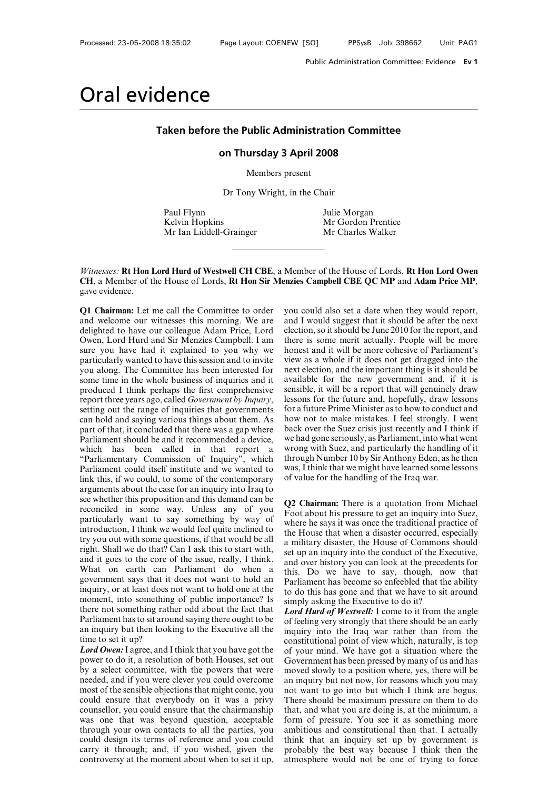## Public Administration Committee: Evidence<br> **Taken before the Public Administration Committee**<br>
on Thursdav 3 April 2008 **on Thursday 3 April 2008**<br>Members present Taken before the Public Administration Committee<br>on Thursday 3 April 2008<br>Members present<br>Dr Tony Wright, in the Chair the Public Administration Con<br>Pon Thursday 3 April 2008<br>Members present<br>Dr Tony Wright, in the Chair<br>Julie Morga

**on Thursday 3 April 2008**<br>
Members present<br>
Dr Tony Wright, in the Chair<br>
Paul Flynn Julie Morgan<br>
Kelvin Hopkins Mr Gordon Prentice<br>
Mr Gordon Prentice<br>
Mr Charles Walker Members present<br>
Members present<br>
Dr Tony Wright, in the Chair<br>
Paul Flynn<br>
Mulie Morgan<br>
Mr Gordon Prentice<br>
Mr Gordon Prentice<br>
Mr Charles Walker Members present<br>
Dr Tony Wright, in the Chair<br>
Paul Flynn<br>
Mulie Morgan<br>
Mr Gordon Prentice<br>
Mr Ian Liddell-Grainger<br>
Mr Charles Walker

**Paul Flynn**<br> **Witnesses: Rt Hon Lord Hurd of Westwell CH CBE**, a Member of the House of Lords, **Rt Hon Lord Owen**<br> **CH**, a Member of the House of Lords, **Rt Hon Sir Menzies Campbell CBE QC MP** and **Adam Price MP**,<br>
gave **CHA, a Member of the House of Lords, Rt Hon Sir Menzies Campbell CBE QC MP** and **Adam Price MP**,<br> **CHA, a Member of the House of Lords, Rt Hon Sir Menzies Campbell CBE QC MP** and **Adam Price MP**,<br> **CHA**, a Member of the H Witnesses: **Rt Hon Lord Hurd of Westwell CH CBE**, a Mem<br>CH, a Member of the House of Lords, **Rt Hon Sir Menzies**<br>gave evidence.<br>Q1 Chairman: Let me call the Committee to order you c<br>and welcome our witnesses this morning. Member of the House of Lords, **Rt Hon Lord Owen**<br> **Paramera Campbell CBE QC MP** and **Adam Price MP**,<br>
you could also set a date when they would report,<br>
and I would suggest that it should be after the next<br>
election, so it

*Witnesses:* **Rt Hon Lord Hurd of Westwell CH CBE**, a Memb **CH**, a Member of the House of Lords, **Rt Hon Sir Menzies (**gave evidence.<br>**Q1 Chairman:** Let me call the Committee to order you courd welcome our witnesses this m Witnesses: **Rt Hon Lord Hurd of Westwell CH CBE**, a Member **CH**, a Member of the House of Lords, **Rt Hon Sir Menzies Ca** gave evidence.<br> **Q1 Chairman:** Let me call the Committee to order you coul and welcome our witnesses **CH, a Member of the House of Lords, Rt Hon Sir Menzies Campbel**<br>gave evidence.<br>**Q1 Chairman:** Let me call the Committee to order you could also<br>and welcome our witnesses this morning. We are and I would st<br>delighted to ha gave evidence.<br> **Q1 Chairman:** Let me call the Committee to order you conduct you why we are and I velocity delighted to have our colleague Adam Price, Lord electio Owen, Lord Hurd and Sir Menzies Campbell. I am there is s Q1 Chairman: Let me call the Committee to order you co<br>and welcome our witnesses this morning. We are and I v<br>delighted to have our colleague Adam Price, Lord electio<br>Owen, Lord Hurd and Sir Menzies Campbell. I am there i<br> **Q1 Chairman:** Let me call the Committee to order you cand welcome our witnesses this morning. We are and I delighted to have our colleague Adam Price, Lord electio Owen, Lord Hurd and Sir Menzies Campbell. I am there sure and welcome our witnesses this morning. We are<br>delighted to have our colleague Adam Price, Lord elect<br>Owen, Lord Hurd and Sir Menzies Campbell. I am<br>sure you have had it explained to you why we hone<br>particularly wanted to delighted to have our colleague Adam Price, Lord electio<br>Owen, Lord Hurd and Sir Menzies Campbell. I am there i<br>sure you have had it explained to you why we honest<br>particularly wanted to have this session and to invite vie Owen, Lord Hurd and Sir Menzies Campbell. I am<br>sure you have had it explained to you why we hones<br>particularly wanted to have this session and to invite<br>view<br>you along. The Committee has been interested for next e<br>some tim particularly wanted to have this session and to invite<br>you along. The Committee has been interested for<br>next some time in the whole business of inquiries and it<br>availar<br>produced I think perhaps the first comprehensive<br>sens you along. The Committee has been interested for<br>some time in the whole business of inquiries and it<br>availal<br>produced I think perhaps the first comprehensive sensibl<br>report three years ago, called *Government by Inquiry*, Some time in the whole business of inquiries and it ave<br>produced I think perhaps the first comprehensive sen<br>report three years ago, called *Government by Inquiry*, less<br>setting out the range of inquiries that governments produced I think perhaps the first comprehensive sensible<br>report three years ago, called *Government by Inquiry*, lessons<br>setting out the range of inquiries that governments for a fut<br>can hold and saying various things abo report three years ago, called *Government by Inquiry*, lessons first etting out the range of inquiries that governments for a future can hold and saying various things about them. As how not part of that, it concluded th setting out the range of inquiries that governments for a futu<br>can hold and saying various things about them. As how not<br>part of that, it concluded that there was a gap where back ove<br>Parliament should be and it recommende can hold and saying various things about them. As<br>part of that, it concluded that there was a gap where back over<br>Parliament should be and it recommended a device, we had g<br>which has been called in that report a wrong v<br>" part of that, it concluded that there was a gap where<br>
Parliament should be and it recommended a device, we had g<br>
which has been called in that report a wrong with<br>
"Parliamentary Commission of Inquiry", which through<br>
P Parliament should be and it recommended a device, we had<br>which has been called in that report a wrong<br>"Parliamentary Commission of Inquiry", which throug<br>Parliament could itself institute and we wanted to was, I<br>link this which has been called in that report a wrong wi<br>
"Parliamentary Commission of Inquiry", which through Parliament could itself institute and we wanted to was, I think this, if we could, to some of the contemporary of value "Parliamentary Commission of Inquiry", which thro<br>
Parliament could itself institute and we wanted to was,<br>
link this, if we could, to some of the contemporary of va<br>
arguments about the case for an inquiry into Iraq to<br> Parliament could itself institute and we wanted to was, I think this, if we could, to some of the contemporary of value is arguments about the case for an inquiry into Iraq to see whether this proposition and this demand link this, if we could, to some of the contemporary of arguments about the case for an inquiry into Iraq to see whether this proposition and this demand can be reconciled in some way. Unless any of you  $\overline{F}_0$  particula arguments about the case for an inquiry into Iraq to<br>see whether this proposition and this demand can be<br>reconciled in some way. Unless any of you Fo<br>particularly want to say something by way of<br>introduction, I think we w see whether this proposition and this demand can be<br>reconciled in some way. Unless any of you particularly want to say something by way of wh<br>introduction, I think we would feel quite inclined to<br>try you out with some ques reconciled in some way. Unless any of you<br>particularly want to say something by way of<br>introduction, I think we would feel quite inclined to<br>the Houry you out with some questions, if that would be all<br>right. Shall we do t particularly want to say something by way of<br>introduction, I think we would feel quite inclined to<br>try you out with some questions, if that would be all<br>right. Shall we do that? Can I ask this to start with,<br>and it goes t introduction, I think we would feel quite inclined to<br>try you out with some questions, if that would be all<br>right. Shall we do that? Can I ask this to start with, set up<br>and it goes to the core of the issue, really, I thi try you out with some questions, if that would be all<br>right. Shall we do that? Can I ask this to start with,<br>and it goes to the core of the issue, really, I think.<br>what on earth can Parliament do when a this.<br>government s right. Shall we do that? Can I ask this to start with,<br>and it goes to the core of the issue, really, I think. The set v<br>what on earth can Parliament do when a this.<br>government says that it does not want to hold an Parl<br>in and it goes to the core of the issue, really, I think.<br>
What on earth can Parliament do when a this. I<br>
government says that it does not want to hold an Parlia<br>
inquiry, or at least does not want to hold one at the<br>
to do What on earth can Parliament do when a this. I<br>government says that it does not want to hold an Parlian<br>inquiry, or at least does not want to hold one at the<br>to do i<br>moment, into something of public importance? Is<br>simply<br> government says that it<br>inquiry, or at least does r<br>moment, into something<br>there not something rath<br>Parliament has to sit arou<br>an inquiry but then look<br>time to set it up?<br>*Lord Owen*: I agree, and I<br>nower to do it. a resol inquiry, or at least does not want to hold one at the<br>
moment, into something of public importance? Is<br>
there not something rather odd about the fact that<br> *Lord I*<br>
Parliament has to sit around saying there ought to be<br>
o moment, into something of public importance? Is<br>there not something rather odd about the fact that<br>Parliament has to sit around saying there ought to be<br>of fe<br>an inquiry but then looking to the Executive all the<br>inqu<br>time

there not something rather odd about the fact that<br>
Parliament has to sit around saying there ought to be<br>
an inquiry but then looking to the Executive all the<br>
inquiry<br>
time to set it up?<br> **Contiffulne to set it up?**<br> **C** Parliament has to sit around saying there ought to be<br>an inquiry but then looking to the Executive all the<br>time to set it up?<br>*Lord Owen***:** I agree, and I think that you have got the<br>of you<br>power to do it, a resolution o an inquiry but then looking to the Executive all the<br>time to set it up?<br>Lord Owen: I agree, and I think that you have got the<br>of your power to do it, a resolution of both Houses, set out<br>by a select committee, with the po time to set it up?<br> **Could Owen:** I agree, and I think that you have got the<br>
power to do it, a resolution of both Houses, set out<br>
by a select committee, with the powers that were<br>
moved is<br>
meded, and if you were clever **Lord Owen:** I agree, and I think that you have got the<br>power to do it, a resolution of both Houses, set out<br>by a select committee, with the powers that were<br>moved sl<br>needed, and if you were clever you could overcome an in power to do it, a resolution of both Houses, set out Gover<br>by a select committee, with the powers that were moved<br>needed, and if you were clever you could overcome an inq<br>most of the sensible objections that might come, yo by a select committee, with the powers that were<br>moved sl<br>needed, and if you were clever you could overcome<br>an inquin<br>most of the sensible objections that might come, you not want<br>could ensure that everybody on it was a pr needed, and if you were clever you could overcome an inquir<br>most of the sensible objections that might come, you not want<br>could ensure that everybody on it was a privy There sh<br>counsellor, you could ensure that the chairma most of the sensible objections that might come, you not was<br>could ensure that everybody on it was a privy There<br>counsellor, you could ensure that the chairmanship that, a<br>was one that was beyond question, acceptable form counsellor, you could ensure that the chairmanship<br>counsellor, you could ensure that the chairmanship<br>was one that was beyond question, acceptable for<br>through your own contacts to all the parties, you am<br>could design its t

Member of the House of Lords, **Rt Hon Lord Owen**<br> **rand Solution CBE QC MP** and **Adam Price MP**,<br>
you could also set a date when they would report,<br>
and I would suggest that it should be after the next<br>
election, so it sho Member of the House of Lords, **Rt Hon Lord Owen**<br> **nazies Campbell CBE QC MP** and **Adam Price MP**,<br>
you could also set a date when they would report,<br>
and I would suggest that it should be after the next<br>
election, so it s Finally CRE QC MP and Adam Price MP,<br>you could also set a date when they would report,<br>and I would suggest that it should be after the next<br>election, so it should be June 2010 for the report, and<br>there is some merit actual Monetal and it will be the more computed with the more could also set a date when they would report, and I would suggest that it should be after the next election, so it should be June 2010 for the report, and there is som you could also set a date when they would report,<br>and I would suggest that it should be after the next<br>election, so it should be June 2010 for the report, and<br>there is some merit actually. People will be more<br>honest and it you could also set a date when they would report,<br>and I would suggest that it should be after the next<br>election, so it should be June 2010 for the report, and<br>there is some merit actually. People will be more<br>honest and it and I would suggest that it should be after the next<br>and I would suggest that it should be after the next<br>election, so it should be June 2010 for the report, and<br>there is some merit actually. People will be more<br>honest and election, so it should be June 2010 for the report, and<br>there is some merit actually. People will be more<br>honest and it will be more cohesive of Parliament's<br>view as a whole if it does not get dragged into the<br>next electio there is some merit actually. People will be more<br>honest and it will be more cohesive of Parliament's<br>view as a whole if it does not get dragged into the<br>next election, and the important thing is it should be<br>available for honest and it will be more cohesive of Parliament's<br>view as a whole if it does not get dragged into the<br>next election, and the important thing is it should be<br>available for the new government and, if it is<br>sensible, it wil view as a whole if it does not get dragged into the next election, and the important thing is it should be available for the new government and, if it is sensible, it will be a report that will genuinely draw lessons for t next election, and the important thing is it should be<br>available for the new government and, if it is<br>sensible, it will be a report that will genuinely draw<br>lessons for the future and, hopefully, draw lessons<br>for a future available for the new government and, if it is<br>sensible, it will be a report that will genuinely draw<br>lessons for the future and, hopefully, draw lessons<br>for a future Prime Minister as to how to conduct and<br>how not to make sensible, it will be a report that will genuinely draw<br>lessons for the future and, hopefully, draw lessons<br>for a future Prime Minister as to how to conduct and<br>how not to make mistakes. I feel strongly. I went<br>back over th lessons for the future and, hopefully, draw lessons<br>for a future Prime Minister as to how to conduct and<br>how not to make mistakes. I feel strongly. I went<br>back over the Suez crisis just recently and I think if<br>we had gone for a future Prime Minister as to how to conduct and<br>how not to make mistakes. I feel strongly. I went<br>back over the Suez crisis just recently and I think if<br>we had gone seriously, as Parliament, into what went<br>wrong with for a future Prime Minister as to how to conduct and<br>how not to make mistakes. I feel strongly. I went<br>back over the Suez crisis just recently and I think if<br>we had gone seriously, as Parliament, into what went<br>wrong with We had gone seriously, as Parliament, into what went<br>wrong with Suez, and particularly the handling of it<br>through Number 10 by Sir Anthony Eden, as he then<br>was, I think that we might have learned some lessons<br>of value for

Wrong with Suez, and particularly the nandling of it<br>through Number 10 by Sir Anthony Eden, as he then<br>was, I think that we might have learned some lessons<br>of value for the handling of the Iraq war.<br>Q2 Chairman: There is a Infough Number 10 by Sir Anthony Eden, as he then<br>was, I think that we might have learned some lessons<br>of value for the handling of the Iraq war.<br>Q2 Chairman: There is a quotation from Michael<br>Foot about his pressure to ge was, I think that we might have learned some lessons<br>of value for the handling of the Iraq war.<br>**Q2 Chairman:** There is a quotation from Michael<br>Foot about his pressure to get an inquiry into Suez,<br>where he says it was onc or value for the handling of the fraq war.<br> **Q2 Chairman:** There is a quotation from Michael<br>
Foot about his pressure to get an inquiry into Suez,<br>
where he says it was once the traditional practice of<br>
the House that when **Q2 Chairman:** There is a quotation from Michael Foot about his pressure to get an inquiry into Suez, where he says it was once the traditional practice of the House that when a disaster occurred, especially a military dis **Q2 Chairman:** There is a quotation from Michael Foot about his pressure to get an inquiry into Suez, where he says it was once the traditional practice of the House that when a disaster occurred, especially a military dis Foot about his pressure to get an inquiry into Suez,<br>where he says it was once the traditional practice of<br>the House that when a disaster occurred, especially<br>a military disaster, the House of Commons should<br>set up an inqu where he says it was once the traditional practice of<br>the House that when a disaster occurred, especially<br>a military disaster, the House of Commons should<br>set up an inquiry into the conduct of the Executive,<br>and over histo the House that when a disaster occurred, especially<br>a military disaster, the House of Commons should<br>set up an inquiry into the conduct of the Executive,<br>and over history you can look at the precedents for<br>this. Do we have the House that when a disaster occurred, especially<br>a military disaster, the House of Commons should<br>set up an inquiry into the conduct of the Executive,<br>and over history you can look at the precedents for<br>this. Do we have set up an inquiry into the conduct of the Executive,<br>and over history you can look at the precedents for<br>this. Do we have to say, though, now that<br>Parliament has become so enfeebled that the ability<br>to do this has gone and and over history you can look at the precedents for<br>this. Do we have to say, though, now that<br>Parliament has become so enfeebled that the ability<br>to do this has gone and that we have to sit around<br>simply asking the Executi

this. Do we have to say, though, now that<br>Parliament has become so enfeebled that the ability<br>to do this has gone and that we have to sit around<br>simply asking the Executive to do it?<br>*Lord Hurd of Westwell*: I come to it f Parliament has become so enfeebled that the ability<br>to do this has gone and that we have to sit around<br>simply asking the Executive to do it?<br>*Lord Hurd of Westwell*: I come to it from the angle<br>of feeling very strongly tha to do this has gone and that we have to sit around<br>simply asking the Executive to do it?<br>*Lord Hurd of Westwell*: I come to it from the angle<br>of feeling very strongly that there should be an early<br>inquiry into the Iraq war simply asking the Executive to do it?<br> *Lord Hurd of Westwell*: I come to it from the angle<br>
of feeling very strongly that there should be an early<br>
inquiry into the Iraq war rather than from the<br>
constitutional point of v Lord Hurd of Westwell: I come to it from the angle<br>of feeling very strongly that there should be an early<br>inquiry into the Iraq war rather than from the<br>constitutional point of view which, naturally, is top<br>of your mind. W of feeling very strongly that there should be an early inquiry into the Iraq war rather than from the constitutional point of view which, naturally, is top of your mind. We have got a situation where the Government has bee inquiry into the Iraq war rather than from the<br>constitutional point of view which, naturally, is top<br>of your mind. We have got a situation where the<br>Government has been pressed by many of us and has<br>moved slowly to a posit constitutional point of view which, naturally, is top<br>of your mind. We have got a situation where the<br>Government has been pressed by many of us and has<br>moved slowly to a position where, yes, there will be<br>an inquiry but no of your mind. We have got a situation where the<br>Government has been pressed by many of us and has<br>moved slowly to a position where, yes, there will be<br>an inquiry but not now, for reasons which you may<br>not want to go into b Government has been pressed by many of us and has moved slowly to a position where, yes, there will be an inquiry but not now, for reasons which you may not want to go into but which I think are bogus. There should be maxi moved slowly to a position where, yes, there will be<br>an inquiry but not now, for reasons which you may<br>not want to go into but which I think are bogus.<br>There should be maximum pressure on them to do<br>that, and what you are an inquiry but not now, for reasons which you may<br>not want to go into but which I think are bogus.<br>There should be maximum pressure on them to do<br>that, and what you are doing is, at the minimum, a<br>form of pressure. You see not want to go into but which I think are bogus.<br>There should be maximum pressure on them to do<br>that, and what you are doing is, at the minimum, a<br>form of pressure. You see it as something more<br>ambitious and constitutional There should be maximum pressure on them to do that, and what you are doing is, at the minimum, a form of pressure. You see it as something more ambitious and constitutional than that. I actually think that an inquiry set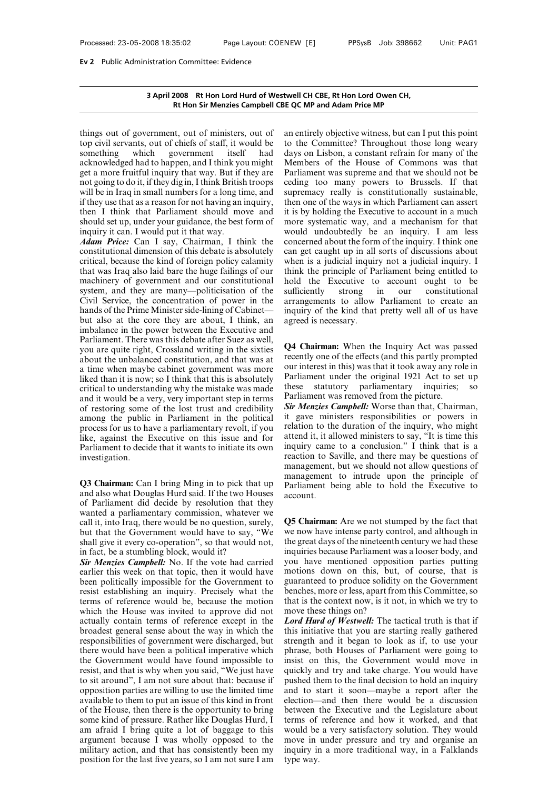# **3 April 2008 Rt Hon Lord Hurd of Westwell CH CBE, Rt Hon Lord Owen CH,** n Committee: Evidence<br>2008 Rt Hon Lord Hurd of Westwell CH CBE, Rt Hon Lord Owen CH,<br>Rt Hon Sir Menzies Campbell CBE QC MP and Adam Price MP

3 April 2008 Rt Hon Lord Hurd of Westwell<br>Rt Hon Sir Menzies Campbell CBE QC<br>things out of government, out of ministers, out of an extop civil servants, out of chiefs of staff, it would be to the<br>something which government **3 April 2008 Rt Hon Lord Hurd of Westwell C**<br>**Rt Hon Sir Menzies Campbell CBE QC M**<br>things out of government, out of ministers, out of an entity<br>top civil servants, out of chiefs of staff, it would be to the<br>something whi **Solution 3 April 2008 Rt Hon Lord Hurd of Westwell CH C<br>Rt Hon Sir Menzies Campbell CBE QC MP<br>things out of government, out of ministers, out of an entire<br>top civil servants, out of chiefs of staff, it would be to the C<br>s Example II CBE QC**<br>**acknowledged had to happen, and I think you might**<br>actop civil servants, out of chiefs of staff, it would be to the<br>something which government itself had days<br>acknowledged had to happen, and I think yo more fruited and the matter of ministers, out of an entity<br>things out of government, out of ministers, out of an entity<br>to pivil servants, out of chiefs of staff, it would be to the<br>something which government itself had da things out of government, out of ministers, out of an en<br>top civil servants, out of chiefs of staff, it would be to the<br>something which government itself had days<br>acknowledged had to happen, and I think you might Mem<br>get a things out of government, out of ministers, out of an entire<br>top civil servants, out of chiefs of staff, it would be to the C<br>something which government itself had days on lacknowledged had to happen, and I think you might top civil servants, out of chiefs of staff, it would be to something which government itself had day acknowledged had to happen, and I think you might Meget a more fruitful inquiry that way. But if they are Pain and going something which government itself had days on acknowledged had to happen, and I think you might Members get a more fruitful inquiry that way. But if they are Parliame not going to do it, if they dig in, I think British tro acknowledged had to happen, and I think you might<br>get a more fruitful inquiry that way. But if they are<br>get a more fruitful inquiry that way. But if they are<br>Parl<br>not going to do it, if they dig in, I think British troops get a more fruitful inquiry that way. But if t<br>get a more fruitful inquiry that way. But if t<br>not going to do it, if they dig in, I think British<br>will be in Iraq in small numbers for a long tir<br>if they use that as a reason not going to do it, if they dig in, I think British troops ceding<br>will be in Iraq in small numbers for a long time, and<br>if they use that as a reason for not having an inquiry, then of<br>then I think that Parliament should mo will be in Iraq in small numbers for a long time, and<br>if they use that as a reason for not having an inquiry, then one<br>then I think that Parliament should move and it is by l<br>should set up, under your guidance, the best fo

if they use that as a reason for not having an inquiry, then one then I think that Parliament should move and it is by l should set up, under your guidance, the best form of more sy inquiry it can. I would put it that way. then I think that Parliament should move and it is b<br>should set up, under your guidance, the best form of more<br>inquiry it can. I would put it that way. would<br>*Adam Price*: Can I say, Chairman, I think the conce<br>constitutio should set up, under your guidance, the best form of movinguiry it can. I would put it that way. Wo wo wo would have vertice. Can I say, Chairman, I think the constitutional dimension of this debate is absolutely can criti inquiry it can. I would put it that way.<br> *Adam Price:* Can I say, Chairman, I think the concernent constitutional dimension of this debate is absolutely can ge critical, because the kind of foreign policy calamity when it **Adam Price:** Can I say, Chairman, I think the concernonstitutional dimension of this debate is absolutely can ge critical, because the kind of foreign policy calamity when it that was Iraq also laid bare the huge failing constitutional dimension of this debate is absolutely<br>can get caught up<br>critical, because the kind of foreign policy calamity when is a judicial<br>that was Iraq also laid bare the huge failings of our think the principle<br>mac critical, because the kind of foreign policy calamity when is that was Iraq also laid bare the huge failings of our think the machinery of government and our constitutional hold the system, and they are many—politicisation that was Iraq also laid bare the huge failings of our think the machinery of government and our constitutional hold the system, and they are many—politicisation of the sufficient Civil Service, the concentration of power machinery of government and our constitutional holaystem, and they are many—politicisation of the sufficient. Civil Service, the concentration of power in the arr hands of the Prime Minister side-lining of Cabinet— inq bu system, and they are many—politicisation of the suffice<br>Civil Service, the concentration of power in the arran<br>hands of the Prime Minister side-lining of Cabinet—<br>inqui<br>but also at the core they are about, I think, an agr Civil Service, the concentration of power in the<br>hands of the Prime Minister side-lining of Cabinet—<br>but also at the core they are about, I think, an agree<br>imbalance in the power between the Executive and<br>Parliament. Ther hands of the Prime Minister side-lining of Cabinet—<br>but also at the core they are about, I think, an agreed<br>imbalance in the power between the Executive and<br>Parliament. There was this debate after Suez as well,<br>you are qu but also at the core they are about, I think, and the simulation of the power between the Executive and Parliament. There was this debate after Suez as well, you are quite right, Crossland writing in the sixties about the imbalance in the power between the Executive and<br>Parliament. There was this debate after Suez as well,<br>you are quite right, Crossland writing in the sixties<br>about the unbalanced constitution, and that was at<br>a time when m Parliament. There was this debate after Suez as well,<br>you are quite right, Crossland writing in the sixties<br>about the unbalanced constitution, and that was at<br>a time when maybe cabinet government was more our in<br>liked tha by you are quite right, Crossland writing in the sixties<br>about the unbalanced constitution, and that was at<br>a time when maybe cabinet government was more<br>if itsel than it is now; so I think that this is absolutely<br>critica about the unbalanced constitution, and that was at<br>a time when maybe cabinet government was more<br>a time when maybe cabinet government was more<br>iliked than it is now; so I think that this is absolutely<br>retical to understand a time when maybe cabinet government was more<br>is a time when maybe cabinet government was more<br>is liked than it is now; so I think that this is absolutely<br>critical to understanding why the mistake was made<br>and it would be liked than it is now; so I think that this is absolutely<br>
eritical to understanding why the mistake was made<br>
and it would be a very, very important step in terms<br>
of restoring some of the lost trust and credibility<br>
amon particular to understanding why the mistake was made<br>and it would be a very, very important step in terms<br>of restoring some of the lost trust and credibility  $\frac{Sir \text{ Menz}}{s}$ <br>among the public in Parliament in the politica investigation. among the public in Parliament in the political<br>process for us to have a parliamentary revolt, if you relation is<br>like, against the Executive on this issue and for attend it,<br>Parliament to decide that it wants to initiate

process for us to nave a parliamentary revolt, if you<br>like, against the Executive on this issue and for attend<br>Parliament to decide that it wants to initiate its own inqui<br>investigation.<br>**Q3 Chairman:** Can I bring Ming in nke, against the Executive on this issue and for<br>
Parliament to decide that it wants to initiate its own<br>
inquiry<br>
investigation.<br> **Q3 Chairman:** Can I bring Ming in to pick that up<br>
manage<br> **Q3 Chairman:** Can I bring Ming Parliament to decide that it wants to initiate its own<br>investigation.<br>investigation.<br>**Q3 Chairman:** Can I bring Ming in to pick that up<br>and also what Douglas Hurd said. If the two Houses<br>of Parliament did decide by resolu mvesugation.<br> **Q3 Chairman:** Can I bring Ming in to pick that up<br>
and also what Douglas Hurd said. If the two Houses<br>
of Parliament did decide by resolution that they<br>
wanted a parliamentary commission, whatever we<br>
call i **Q3 Chairman:** Can I bring Ming in to pick that up<br>and also what Douglas Hurd said. If the two Houses<br>of Parliament did decide by resolution that they<br>wanted a parliamentary commission, whatever we<br>call it, into Iraq, ther **Q3 Chairman:** Can I bring Ming in to pick that up<br>and also what Douglas Hurd said. If the two Houses<br>of Parliament did decide by resolution that they<br>wanted a parliamentary commission, whatever we<br>call it, into Iraq, the **Q3 Chairman:** Can I bring Ming in to pick that up and also what Douglas Hurd said. If the two Houses of Parliament did decide by resolution that they wanted a parliamentary commission, whatever we call it, into Iraq, ther of Parliament did decide by resolution that they<br>wanted a parliamentary commission, whatever we<br>call it, into Iraq, there would be no question, surely,<br>but that the Government would have to say, "We we now h<br>shall give it wanted a parliamentary commission, whatever we<br>call it, into Iraq, there would be no question, surely, **Q5 Ch**<br>but that the Government would have to say, "We we nov<br>shall give it every co-operation", so that would not, the

call it, into Iraq, there would be no question, surely, **Q5 Chai** but that the Government would have to say, "We we now he shall give it every co-operation", so that would not, the great in fact, be a stumbling block, woul but that the Government would have to say, "We we now shall give it every co-operation", so that would not, the gree in fact, be a stumbling block, would it? Sir Menzies Campbell: No. If the vote had carried you hearlier t shall give it every co-operation", so that would not, the great<br>in fact, be a stumbling block, would it? inquiries<br>**Sir Menzies Campbell:** No. If the vote had carried you hav<br>earlier this week on that topic, then it would in fact, be a stumbling block, would it? inqu<br> **Sir Menzies Campbell:** No. If the vote had carried you<br>
earlier this week on that topic, then it would have mot<br>
been politically impossible for the Government to guan<br>
resis **Sir Menzies Campbell:** No. If the vote had carried you hearlier this week on that topic, then it would have motion been politically impossible for the Government to guarar resist establishing an inquiry. Precisely what th earlier this week on that topic, then it would have<br>been politically impossible for the Government to<br>been politically impossible for the Government to<br>resist establishing an inquiry. Precisely what the<br>benche<br>terms of ref been politically impossible for the Government to<br>resist establishing an inquiry. Precisely what the bence<br>terms of reference would be, because the motion that<br>which the House was invited to approve did not mov<br>actually co resist establishing an inquiry. Precisely what the benches,<br>terms of reference would be, because the motion that is the<br>which the House was invited to approve did not move the<br>actually contain terms of reference except in terms of reference would be, because the motion that is the which the House was invited to approve did not move the actually contain terms of reference except in the **Lord Hu** broadest general sense about the way in which which the House was invited to approve did not move tactually contain terms of reference except in the **Lord I** broadest general sense about the way in which the this in responsibilities of government were discharged, but actually contain terms of reference except in the *Lord*<br>broadest general sense about the way in which the this<br>responsibilities of government were discharged, but strem<br>there would have been a political imperative which p broadest general sense about the way in which the<br>responsibilities of government were discharged, but<br>there would have been a political imperative which phrase<br>the Government would have found impossible to insist<br>resist, a responsibilities of government were discharged, but<br>there would have been a political imperative which<br>the Government would have found impossible to<br>insis<br>resist, and that is why when you said, "We just have<br>quice<br>to sit a there would have been a political imperative which phrase,<br>the Government would have found impossible to insist of<br>resist, and that is why when you said, "We just have quickly<br>to sit around", I am not sure about that: beca the Government would have found impossible to insist<br>resist, and that is why when you said, "We just have quick<br>to sit around", I am not sure about that: because if pushe<br>opposition parties are willing to use the limited t resist, and that is why when you said, "We just have quick<br>to sit around", I am not sure about that: because if pushe<br>opposition parties are willing to use the limited time and<br>available to them to put an issue of this kin to sit around", I am not sure about that: because if pushed opposition parties are willing to use the limited time and to available to them to put an issue of this kind in front electio of the House, then there is the oppo opposition parties are willing to use the limited time<br>available to them to put an issue of this kind in front<br>of the House, then there is the opportunity to bring<br>between<br>some kind of pressure. Rather like Douglas Hurd, I available to them to put an issue of this kind in front election—and<br>of the House, then there is the opportunity to bring between the E<br>some kind of pressure. Rather like Douglas Hurd, I terms of refer<br>am afraid I bring qu

EXTREE, Rt Hon Lord Owen CH,<br>
EXPLAINE AND THE OC MP and Adam Price MP<br>
The an entirely objective witness, but can I put this point<br>
to the Committee? Throughout those long weary<br>
days on Lisbon, a constant refrain for man twell CH CBE, Rt Hon Lord Owen CH,<br>
E QC MP and Adam Price MP<br>
an entirely objective witness, but can I put this point<br>
to the Committee? Throughout those long weary<br>
days on Lisbon, a constant refrain for many of the<br>
Mem twell CH CBE, Rt Hon Lord Owen CH,<br>
E QC MP and Adam Price MP<br>
an entirely objective witness, but can I put this point<br>
to the Committee? Throughout those long weary<br>
days on Lisbon, a constant refrain for many of the<br>
Mem E QC MP and Adam Price MP<br>an entirely objective witness, but can I put this point<br>to the Committee? Throughout those long weary<br>days on Lisbon, a constant refrain for many of the<br>Members of the House of Commons was that<br>Pa Example and Adam Thee Millet Witness, but can I put this point<br>to the Committee? Throughout those long weary<br>days on Lisbon, a constant refrain for many of the<br>Members of the House of Commons was that<br>Parliament was suprem an entirely objective witness, but can I put this point<br>to the Committee? Throughout those long weary<br>days on Lisbon, a constant refrain for many of the<br>Members of the House of Commons was that<br>Parliament was supreme and t an entirely objective witness, but can I put this point<br>to the Committee? Throughout those long weary<br>days on Lisbon, a constant refrain for many of the<br>Members of the House of Commons was that<br>Parliament was supreme and t to the Committee? Throughout those long weary<br>days on Lisbon, a constant refrain for many of the<br>Members of the House of Commons was that<br>Parliament was supreme and that we should not be<br>ceding too many powers to Brussels. days on Lisbon, a constant refrain for many of the<br>Members of the House of Commons was that<br>Parliament was supreme and that we should not be<br>ceding too many powers to Brussels. If that<br>supremacy really is constitutionally Members of the House of Commons was that<br>Parliament was supreme and that we should not be<br>ceding too many powers to Brussels. If that<br>supremacy really is constitutionally sustainable,<br>then one of the ways in which Parliame Parliament was supreme and that we should not be ceding too many powers to Brussels. If that supremacy really is constitutionally sustainable, then one of the ways in which Parliament can assert it is by holding the Execut ceding too many powers to Brussels. If that<br>supremacy really is constitutionally sustainable,<br>then one of the ways in which Parliament can assert<br>it is by holding the Executive to account in a much<br>more systematic way, and supremacy really is constitutionally sustainable,<br>then one of the ways in which Parliament can assert<br>it is by holding the Executive to account in a much<br>more systematic way, and a mechanism for that<br>would undoubtedly be a then one of the ways in which Parliament can assert<br>it is by holding the Executive to account in a much<br>more systematic way, and a mechanism for that<br>would undoubtedly be an inquiry. I am less<br>concerned about the form of t it is by holding the Executive to account in a much<br>more systematic way, and a mechanism for that<br>would undoubtedly be an inquiry. I am less<br>concerned about the form of the inquiry. I think one<br>can get caught up in all sor more systematic way, and a mechanism for that<br>would undoubtedly be an inquiry. I am less<br>concerned about the form of the inquiry. I think one<br>can get caught up in all sorts of discussions about<br>when is a judicial inquiry n would undoubtedly be an inquiry. I am less<br>concerned about the form of the inquiry. I think one<br>can get caught up in all sorts of discussions about<br>when is a judicial inquiry not a judicial inquiry. I<br>think the principle o concerned about the form of the inquiry. I think one<br>can get caught up in all sorts of discussions about<br>when is a judicial inquiry not a judicial inquiry. I<br>think the principle of Parliament being entitled to<br>hold the Exe can get caught up in all sorts of discussions about<br>when is a judicial inquiry not a judicial inquiry. I<br>think the principle of Parliament being entitled to<br>hold the Executive to account ought to be<br>sufficiently strong in when is a judicial inquire<br>think the principle of Pa<br>hold the Executive to<br>sufficiently strong i<br>arrangements to allow<br>inquiry of the kind that<br>agreed is necessary. From the Executive to account ought to be<br>
sufficiently strong in our constitutional<br>
arrangements to allow Parliament to create an<br>
inquiry of the kind that pretty well all of us have<br>
agreed is necessary.<br> **Q4 Chairman:** 

Suincently strong in our constitutional<br>arrangements to allow Parliament to create an<br>inquiry of the kind that pretty well all of us have<br>agreed is necessary.<br>Q4 Chairman: When the Inquiry Act was passed<br>recently one of th arrangements to anow Parnament to create and<br>inquiry of the kind that pretty well all of us have<br>agreed is necessary.<br>**Q4 Chairman:** When the Inquiry Act was passed<br>recently one of the effects (and this partly prompted<br>our mquiry of the kind that pretty well all of us have<br>agreed is necessary.<br>**Q4 Chairman:** When the Inquiry Act was passed<br>recently one of the effects (and this partly prompted<br>our interest in this) was that it took away any r **Q4 Chairman:** When the Inquiry Act was passed<br>recently one of the effects (and this partly prompted<br>our interest in this) was that it took away any role in<br>Parliament under the original 1921 Act to set up<br>these statutory **Q4 Chairman:** When the Inquiry Act was passed recently one of the effects (and this partly prompted our interest in this) was that it took away any role in Parliament under the original 1921 Act to set up these statutory **Q4 Chairman:** When the Inquiry Act was passed recently one of the effects (and this partly prompted our interest in this) was that it took away any role in Parliament under the original 1921 Act to set up these statutory recently one of the effects (and this partly prompted<br>our interest in this) was that it took away any role in<br>Parliament under the original 1921 Act to set up<br>these statutory parliamentary inquiries; so<br>Parliament was remo

our interest in this) was that it took away any role in<br>Parliament under the original 1921 Act to set up<br>these statutory parliamentary inquiries; so<br>Parliament was removed from the picture.<br>Sir Menzies Campbell: Worse than Parliament under the original 1921 Act to set up<br>these statutory parliamentary inquiries; so<br>Parliament was removed from the picture.<br>**Sir Menzies Campbell:** Worse than that, Chairman,<br>it gave ministers responsibilities or these statutory parliamentary inquiries; so<br>Parliament was removed from the picture.<br>Sir Menzies Campbell: Worse than that, Chairman,<br>it gave ministers responsibilities or powers in<br>relation to the duration of the inquiry, Parliament was removed from the picture.<br> **Sir Menzies Campbell:** Worse than that, Chairman,<br>
it gave ministers responsibilities or powers in<br>
relation to the duration of the inquiry, who might<br>
attend it, it allowed minis **Sir Menzies Campbell:** Worse than that, Chairman, it gave ministers responsibilities or powers in relation to the duration of the inquiry, who might attend it, it allowed ministers to say, "It is time this inquiry came to it gave ministers responsibilities or powers in<br>relation to the duration of the inquiry, who might<br>attend it, it allowed ministers to say, "It is time this<br>inquiry came to a conclusion." I think that is a<br>reaction to Savil relation to the duration of the inquiry, who might<br>attend it, it allowed ministers to say, "It is time this<br>inquiry came to a conclusion." I think that is a<br>reaction to Saville, and there may be questions of<br>management, bu account. reaction to savilie, and there may be questions of<br>management, but we should not allow questions of<br>management to intrude upon the principle of<br>Parliament being able to hold the Executive to<br>account.<br>**Q5 Chairman:** Are we

management, but we should not allow questions of<br>management to intrude upon the principle of<br>Parliament being able to hold the Executive to<br>account.<br>**Q5 Chairman:** Are we not stumped by the fact that<br>we now have intense pa management to intrude upon the principle of<br>Parliament being able to hold the Executive to<br>account.<br>**Q5 Chairman:** Are we not stumped by the fact that<br>we now have intense party control, and although in<br>the great days of th Farnament being able to nota the Executive to<br>account.<br>**Q5 Chairman:** Are we not stumped by the fact that<br>we now have intense party control, and although in<br>the great days of the nineteenth century we had these<br>inquiries b account.<br> **Q5 Chairman:** Are we not stumped by the fact that<br>
we now have intense party control, and although in<br>
the great days of the nineteenth century we had these<br>
inquiries because Parliament was a looser body, and<br> **Q5 Chairman:** Are we not stumped by the fact that we now have intense party control, and although in the great days of the nineteenth century we had these inquiries because Parliament was a looser body, and you have menti **Q5 Chairman:** Are we not stumped by the fact that we now have intense party control, and although in the great days of the nineteenth century we had these inquiries because Parliament was a looser body, and you have menti we now have intense party control, and although in<br>the great days of the nineteenth century we had these<br>inquiries because Parliament was a looser body, and<br>you have mentioned opposition parties putting<br>motions down on thi the great days of the nineteenth century we had these<br>inquiries because Parliament was a looser body, and<br>you have mentioned opposition parties putting<br>motions down on this, but, of course, that is<br>guaranteed to produce so the great days of the nineteenth century we had these<br>inquiries because Parliament was a looser body, and<br>you have mentioned opposition parties putting<br>motions down on this, but, of course, that is<br>guaranteed to produce so you have mentioned opposition parties putting<br>motions down on this, but, of course, that is<br>guaranteed to produce solidity on the Government<br>benches, more or less, apart from this Committee, so<br>that is the context now, is motions down on this, but, of course, that is<br>guaranteed to produce solidity on the Government<br>benches, more or less, apart from this Committee, so<br>that is the context now, is it not, in which we try to<br>move these things o

guaranteed to produce solidity on the Government<br>benches, more or less, apart from this Committee, so<br>that is the context now, is it not, in which we try to<br>move these things on?<br>*Lord Hurd of Westwell*: The tactical truth benches, more or less, apart from this Committee, so<br>that is the context now, is it not, in which we try to<br>move these things on?<br>**Lord Hurd of Westwell:** The tactical truth is that if<br>this initiative that you are starting that is the context now, is it not, in which we try to<br>move these things on?<br>Lord Hurd of Westwell: The tactical truth is that if<br>this initiative that you are starting really gathered<br>strength and it began to look as if, t move these things on?<br>
Lord Hurd of Westwell: The tactical truth is that if<br>
this initiative that you are starting really gathered<br>
strength and it began to look as if, to use your<br>
phrase, both Houses of Parliament were g **Lord Hurd of Westwell:** The tactical truth is that if this initiative that you are starting really gathered strength and it began to look as if, to use your phrase, both Houses of Parliament were going to insist on this, this initiative that you are starting really gathered<br>strength and it began to look as if, to use your<br>phrase, both Houses of Parliament were going to<br>insist on this, the Government would move in<br>quickly and try and take c strength and it began to look as if, to use your<br>phrase, both Houses of Parliament were going to<br>insist on this, the Government would move in<br>quickly and try and take charge. You would have<br>pushed them to the final decisio phrase, both Houses of Parliament were going to<br>insist on this, the Government would move in<br>quickly and try and take charge. You would have<br>pushed them to the final decision to hold an inquiry<br>and to start it soon—maybe a insist on this, the Government would move in<br>quickly and try and take charge. You would have<br>pushed them to the final decision to hold an inquiry<br>and to start it soon—maybe a report after the<br>election—and then there would quickly and try and take charge. You would have<br>pushed them to the final decision to hold an inquiry<br>and to start it soon—maybe a report after the<br>election—and then there would be a discussion<br>between the Executive and the pushed them to the final decision to hold an inquiry<br>and to start it soon—maybe a report after the<br>election—and then there would be a discussion<br>between the Executive and the Legislature about<br>terms of reference and how it and to start it soon—maybe a report after the election—and then there would be a discussion between the Executive and the Legislature about terms of reference and how it worked, and that would be a very satisfactory soluti election—<br>between 1<br>terms of<br>would be<br>move in<br>inquiry ir<br>type way.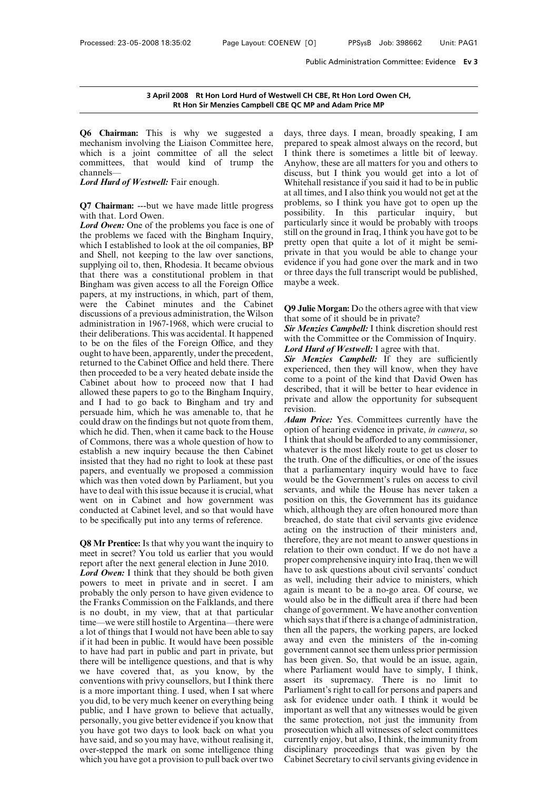**Q6 Chairman:** This is why we suggested a 3 April 2008 Rt Hon Lord Hurd of Westwe<br>Rt Hon Sir Menzies Campbell CBE C<br>Q6 Chairman: This is why we suggested a day<br>mechanism involving the Liaison Committee here, pre<br>which is a joint committee of all the select I t<br>com 3 April 2008 Rt Hon Lord Hurd of Westwell<br>Rt Hon Sir Menzies Campbell CBE QC<br>Q6 Chairman: This is why we suggested a days<br>mechanism involving the Liaison Committee here, prep<br>which is a joint committee of all the select I **Example Example I CBE QC M**<br> **Rt Hon Sir Menzies Campbell CBE QC M**<br> **Q6 Chairman:** This is why we suggested a days, imechanism involving the Liaison Committee here, prepar<br>
which is a joint committee of all the select I channels— **Q6 Chairman:** This is why we suggested a mechanism involving the Liaison Committee here, which is a joint committee of all the select committees, that would kind of trump the channels—<br>*Lord Hurd of Westwell*: Fair enough mechanism involving the Liaison Committee here, preparability<br>which is a joint committee of all the select I thin<br>committees, that would kind of trump the Anyh<br>channels—<br>Lord Hurd of Westwell: Fair enough. White<br>at all<br>Q7 which is a joint commit<br>committees, that would<br>channels—<br>*Lord Hurd of Westwell*: Fair<br>Q7 Chairman: ---but we ha<br>with that. Lord Owen.<br>*Lord Owen*: One of the prob<br>the problems we faced with

**EXECUTE:** Committees, that would kind of trump the Any<br>
channels—<br> **Lord Hurd of Westwell:** Fair enough. Whise<br> **Q7 Chairman:** ---but we have made little progress prob<br>
with that. Lord Owen.<br> **Lord Owen:** One of the probl channels—<br> **Cord Hurd of Westwell:** Fair enough. When the Bingham and Elittle progress and the problems we faced with the Bingham Inquiry, which I established to look at the oil companies, BP and Shell, not keeping to the **Condition Example 1.** Whitehall at all times<br> **Q7 Chairman:** ---but we have made little progress problems,<br>
with that. Lord Owen.<br> **Lord Owen:** One of the problems you face is one of particular<br>
the problems we faced with **Q7 Chairman:** ---but we have made little progress provide that. Lord Owen.<br> **Lord Owen:** One of the problems you face is one of paid<br>
the problems we faced with the Bingham Inquiry, still<br>
which I established to look at **Q7 Chairman:** ---but we have made little progress probl<br>with that. Lord Owen.<br>Lord Owen: One of the problems you face is one of partic<br>the problems we faced with the Bingham Inquiry, still of<br>which I established to look a with that. Lord Owen.<br>
Lord Owen: One of the problems you face is one of<br>
the problems we faced with the Bingham Inquiry,<br>
which I established to look at the oil companies, BP<br>
and Shell, not keeping to the law over sancti **Lord Owen:** One of the problems you face is one of partict<br>the problems we faced with the Bingham Inquiry, still on<br>which I established to look at the oil companies, BP pretty<br>and Shell, not keeping to the law over sanct the problems we faced with the Bingham Inquiry,<br>which I established to look at the oil companies, BP<br>and Shell, not keeping to the law over sanctions, pri<br>supplying oil to, then, Rhodesia. It became obvious evi<br>that there which I established to look at the oil companies, BP pret<br>and Shell, not keeping to the law over sanctions, prividend Shell, not keeping to the law over sanctions, prividend<br>supplying oil to, then, Rhodesia. It became obv and Shell, not keeping to the law over sanctions, private is<br>supplying oil to, then, Rhodesia. It became obvious evidence<br>that there was a constitutional problem in that or three G<br>Bingham was given access to all the Fore supplying oil to, then, Rhodesia. It became obvious<br>that there was a constitutional problem in that or three of<br>Bingham was given access to all the Foreign Office maybe a<br>papers, at my instructions, in which, part of them that there was a constitutional problem in that or three of Bingham was given access to all the Foreign Office maybe a papers, at my instructions, in which, part of them, were the Cabinet minutes and the Cabinet discussio Bingham was given access to all the Foreign Office maybe a<br>papers, at my instructions, in which, part of them,<br>were the Cabinet minutes and the Cabinet<br>discussions of a previous administration, the Wilson<br>administration i papers, at my instructions, in which, part of them,<br>were the Cabinet minutes and the Cabinet<br>discussions of a previous administration, the Wilson<br>administration in 1967-1968, which were crucial to<br>their deliberations. Thi were the Cabinet minutes and the Cabinet **Q9 Jul**<br>discussions of a previous administration, the Wilson<br>administration in 1967-1968, which were crucial to<br>their deliberations. This was accidental. It happened<br>to be on the discussions of a previous administration, the Wilson<br>administration in 1967-1968, which were crucial to<br>their deliberations. This was accidental. It happened<br>to be on the files of the Foreign Office, and they<br>ought to hav administration in 1967-1968, which were crucial to<br>their deliberations. This was accidental. It happened<br>to be on the files of the Foreign Office, and they<br>ought to have been, apparently, under the precedent,<br>returned to **EXECUTE:** their deliberations. This was accidental. It happened<br>to be on the files of the Foreign Office, and they<br>ought to have been, apparently, under the precedent,<br>returned to the Cabinet Office and held there. There to be on the files of the Foreign Office, and they<br>ought to have been, apparently, under the precedent,<br>returned to the Cabinet Office and held there. There<br>then proceeded to be a very heated debate inside the<br>cabinet abo ought to have been, apparently, under the precedent,<br>returned to the Cabinet Office and held there. There<br>then proceeded to be a very heated debate inside the<br>Cabinet about how to proceed now that I had<br>allowed these pape returned to the Cabinet Office and held there. There<br>then proceeded to be a very heated debate inside the<br>Cabinet about how to proceed now that I had<br>callowed these papers to go to the Bingham Inquiry,<br>and I had to go bac then proceeded to be a very heated debate inside the<br>Cabinet about how to proceed now that I had<br>allowed these papers to go to the Bingham Inquiry,<br>and I had to go back to Bingham and try and<br>persuade him, which he was am Cabinet about how to proceed now that I had come to allowed these papers to go to the Bingham Inquiry, described and I had to go back to Bingham and try and private a persuade him, which he was amenable to, that he revisi allowed these papers to go to the Bingham Inquiry, desc<br>and I had to go back to Bingham and try and<br>persuade him, which he was amenable to, that he<br>could draw on the findings but not quote from them,  $\frac{Ada}{data}$ <br>which he di and I had to go back to Bingham and try and<br>persuade him, which he was amenable to, that he<br>could draw on the findings but not quote from them,  $\frac{Ada}{dt}$ <br>which he did. Then, when it came back to the House optic<br>of Commons persuade him, which he was amenable to, that he<br>could draw on the findings but not quote from them,<br>which he did. Then, when it came back to the House option of<br>of Commons, there was a whole question of how to I think the could draw on the findings but not quote from them,  $\frac{Adam \cdot }$   $Adam \cdot }$ <br>which he did. Then, when it came back to the House option of<br>of Commons, there was a whole question of how to  $\frac{1 \text{ think th}}{1 \text{ think th}}$ <br>establish a new inqui which he did. Then, when it came back to the House option of Commons, there was a whole question of how to establish a new inquiry because the then Cabinet what insisted that they had no right to look at these past the the of Commons, there was a whole question of how to<br>establish a new inquiry because the then Cabinet<br>insisted that they had no right to look at these past<br>the tr<br>papers, and eventually we proposed a commission that<br>which was establish a new inquiry because the then Cabinet<br>insisted that they had no right to look at these past<br>the tru<br>papers, and eventually we proposed a commission that a<br>which was then voted down by Parliament, but you would<br>h insisted that they had no right to look at these past<br>papers, and eventually we proposed a commission<br>which was then voted down by Parliament, but you<br>have to deal with this issue because it is crucial, what<br>went on in Cab which was then voted down by Parliament, but you<br>have to deal with this issue because it is crucial, what servants,<br>went on in Cabinet and how government was position<br>conducted at Cabinet level, and so that would have whic

have to deal with this issue because it is crucial, what<br>went on in Cabinet and how government was position<br>conducted at Cabinet level, and so that would have which, al<br>to be specifically put into any terms of reference. went on in Cabinet and how government was<br>
conducted at Cabinet level, and so that would have<br>
to be specifically put into any terms of reference.<br> **Q8 Mr Prentice:** Is that why you want the inquiry to<br>
meet in secret? Yo conducted at Cabinet level, and so that would have<br>to be specifically put into any terms of reference.<br>**Q8 Mr Prentice:** Is that why you want the inquiry to<br>meet in secret? You told us earlier that you would<br>report after t to be specifically put into any terms of reference. breached, do s<br>acting on the<br>**Q8 Mr Prentice:** Is that why you want the inquiry to<br>meet in secret? You told us earlier that you would<br>report after the next general elect **Q8 Mr Prentice:** Is that why you want the inquiry to<br>meet in secret? You told us earlier that you would<br>report after the next general election in June 2010.<br>Lord Owen: I think that they should be both given have to a<br>powe **Q8 Mr Prentice:** Is that why you want the inquiry to<br>meet in secret? You told us earlier that you would<br>report after the next general election in June 2010.<br>*Lord Owen*: I think that they should be both given<br>provers to meet in secret? You told us earlier that you would<br>
report after the next general election in June 2010.<br> **Lord Owen:** I think that they should be both given<br>
powers to meet in private and in secret. I am<br>
probably the onl report after the next general election in June 2010.<br> *Lord Owen*: I think that they should be both given<br>
powers to meet in private and in secret. I am<br>
probably the only person to have given evidence to<br>
the Franks Comm **Lord Owen:** I think that they should be both given have to powers to meet in private and in secret. I am probably the only person to have given evidence to again is the Franks Commission on the Falklands, and there would powers to meet in private and in secret. I am<br>probably the only person to have given evidence to<br>the Franks Commission on the Falklands, and there<br>is no doubt, in my view, that at that particular change<br>time—we were still probably the only person to have given evidence to<br>the Franks Commission on the Falklands, and there<br>is no doubt, in my view, that at that particular<br>time—we were still hostile to Argentina—there were<br>a lot of things that the Franks Commission on the Falklands, and there<br>is no doubt, in my view, that at that particular<br>time—we were still hostile to Argentina—there were<br>a lot of things that I would not have been able to say<br>in the all<br>if it is no doubt, in my view, that at that particular change<br>time—we were still hostile to Argentina—there were<br>a lot of things that I would not have been able to say<br>if it had been in public. It would have been possible away<br>t time—we were still hostile to Argentina—there were which<br>a lot of things that I would not have been able to say then a<br>if it had been in public. It would have been possible away<br>to have had part in public and part in priva a lot of things that I would not have been able to say then a<br>if it had been in public. It would have been possible away<br>to have had part in public and part in private, but govern<br>there will be intelligence questions, and if it had been in public. It would have been possible<br>to have had part in public. It would have been possible<br>to have had part in public and part in private, but<br>there will be intelligence questions, and that is why<br>has be to have had part in public and part in private, but<br>there will be intelligence questions, and that is why<br>we have covered that, as you know, by the wh<br>conventions with privy counsellors, but I think there ass<br>is a more imp there will be intelligence questions, and that is why<br>we have covered that, as you know, by the whe<br>conventions with privy counsellors, but I think there assee<br>is a more important thing. I used, when I sat where Parl<br>you d we have covered that, as you know, by the where Pa<br>conventions with privy counsellors, but I think there assert it<br>is a more important thing. I used, when I sat where Parliame<br>you did, to be very much keener on everything conventions with privy counsellors, but I think there ass<br>is a more important thing. I used, when I sat where Pay<br>you did, to be very much keener on everything being ask<br>public, and I have grown to believe that actually, i is a more important thing. I used, when I sat where<br>you did, to be very much keener on everything being<br>public, and I have grown to believe that actually, importa<br>personally, you give better evidence if you know that<br>the s you did, to be very much keener on everything being<br>public, and I have grown to believe that actually, importan<br>personally, you give better evidence if you know that the same<br>you have got two days to look back on what you

twell CH CBE, Rt Hon Lord Owen CH,<br>
E QC MP and Adam Price MP<br>
days, three days. I mean, broadly speaking, I am<br>
prepared to speak almost always on the record, but<br>
I think there is sometimes a little bit of leeway. Figure 1 CH CBE, Rt Hon Lord Owen CH,<br>
Figure 2 QC MP and Adam Price MP<br>
days, three days. I mean, broadly speaking, I am<br>
prepared to speak almost always on the record, but<br>
I think there is sometimes a little bit of leew I CH CH CHE, Rt Hon Lord Owen CH,<br>
I think there days. I mean, broadly speaking, I am<br>
prepared to speak almost always on the record, but<br>
I think there is sometimes a little bit of leeway.<br>
Anyhow, these are all matters f E QC MP and Adam Price MP<br>days, three days. I mean, broadly speaking, I am<br>prepared to speak almost always on the record, but<br>I think there is sometimes a little bit of leeway.<br>Anyhow, these are all matters for you and oth days, three days. I mean, broadly speaking, I am<br>prepared to speak almost always on the record, but<br>I think there is sometimes a little bit of leeway.<br>Anyhow, these are all matters for you and others to<br>discuss, but I thin days, three days. I mean, broadly speaking, I am<br>prepared to speak almost always on the record, but<br>I think there is sometimes a little bit of leeway.<br>Anyhow, these are all matters for you and others to<br>discuss, but I thin days, three days. I mean, broadly speaking, I am<br>prepared to speak almost always on the record, but<br>I think there is sometimes a little bit of leeway.<br>Anyhow, these are all matters for you and others to<br>discuss, but I thin prepared to speak almost always on the record, but<br>I think there is sometimes a little bit of leeway.<br>Anyhow, these are all matters for you and others to<br>discuss, but I think you would get into a lot of<br>Whitehall resistanc I think there is sometimes a little bit of leeway.<br>Anyhow, these are all matters for you and others to<br>discuss, but I think you would get into a lot of<br>Whitehall resistance if you said it had to be in public<br>at all times, Anyhow, these are all matters for you and others to<br>discuss, but I think you would get into a lot of<br>Whitehall resistance if you said it had to be in public<br>at all times, and I also think you would not get at the<br>problems, discuss, but I think you would get into a lot of<br>Whitehall resistance if you said it had to be in public<br>at all times, and I also think you would not get at the<br>problems, so I think you have got to open up the<br>possibility. Whitehall resistance if you said it had to be in public<br>at all times, and I also think you would not get at the<br>problems, so I think you have got to open up the<br>possibility. In this particular inquiry, but<br>particularly sin at all times, and I also think you would not get at the<br>problems, so I think you have got to open up the<br>possibility. In this particular inquiry, but<br>particularly since it would be probably with troops<br>still on the ground problems, so I think you have got to open up the possibility. In this particular inquiry, but particularly since it would be probably with troops still on the ground in Iraq, I think you have got to be pretty open that qui possibility. In this particular inquiry, but particularly since it would be probably with troops still on the ground in Iraq, I think you have got to be pretty open that quite a lot of it might be semi-<br>private in that you particularly since it still on the ground in<br>pretty open that que private in that you<br>private in that you<br>evidence if you had or three days the full<br>maybe a week. pretty open that quite a fot of it inight be semi-<br>private in that you would be able to change your<br>evidence if you had gone over the mark and in two<br>or three days the full transcript would be published,<br>maybe a week.<br>**Q9** private in that you would be able to change<br>evidence if you had gone over the mark and<br>or three days the full transcript would be pul<br>maybe a week.<br>Q9 Julie Morgan: Do the others agree with th<br>that some of it should be in

Figure 11 you had gone over the mark and in two<br>or three days the full transcript would be published,<br>maybe a week.<br>**Q9 Julie Morgan:** Do the others agree with that view<br>that some of it should be in private?<br>**Sir Menzies C** or three tays the full transcript would be published,<br>maybe a week.<br>**Q9 Julie Morgan:** Do the others agree with that view<br>that some of it should be in private?<br>**Sir Menzies Campbell:** I think discretion should rest<br>with th **Q9 Julie Morgan:** Do the others agree with that<br>that some of it should be in private?<br>*Sir Menzies Campbell:* I think discretion should<br>with the Committee or the Commission of Inqu<br>*Lord Hurd of Westwell:* I agree with th

**Q9 Julie Morgan:** Do the others agree with that view<br>that some of it should be in private?<br>*Sir Menzies Campbell:* I think discretion should rest<br>with the Committee or the Commission of Inquiry.<br>*Lord Hurd of Westwell:* I **Q9 Julie Morgan:** Do the others agree with that view<br>that some of it should be in private?<br>Sir Menzies Campbell: I think discretion should rest<br>with the Committee or the Commission of Inquiry.<br>Lord Hurd of Westwell: I agr that some of it should be in private?<br> **Sir Menzies Campbell:** I think discretion should rest<br>
with the Committee or the Commission of Inquiry.<br> **Lord Hurd of Westwell:** I agree with that.<br> **Sir Menzies Campbell:** If they **Sir Menzies Campbell:** I think discretion should rest<br>with the Committee or the Commission of Inquiry.<br>Lord Hurd of Westwell: I agree with that.<br>**Sir Menzies Campbell:** If they are sufficiently<br>experienced, then they will with the Committee or the Commission of Inquiry.<br> **Lord Hurd of Westwell:** I agree with that.<br> **Sir Menzies Campbell:** If they are sufficiently<br>
experienced, then they will know, when they have<br>
come to a point of the kind revision. **Sir Menzies Campbell:** If they are sufficiently experienced, then they will know, when they have come to a point of the kind that David Owen has described, that it will be better to hear evidence in private and allow the experienced, then they will know, when they have<br>come to a point of the kind that David Owen has<br>described, that it will be better to hear evidence in<br>private and allow the opportunity for subsequent<br>revision.<br>*Adam Price:* 

come to a point of the kind that David Owen has<br>described, that it will be better to hear evidence in<br>private and allow the opportunity for subsequent<br>revision.<br>*Adam Price*: Yes. Committees currently have the<br>option of he described, that it will be better to hear evidence in<br>private and allow the opportunity for subsequent<br>revision.<br>*Adam Price*: Yes. Committees currently have the<br>option of hearing evidence in private, *in camera*, so<br>I thi private and allow the opportunity for subsequent<br>revision.<br>**Adam Price:** Yes. Committees currently have the<br>option of hearing evidence in private, *in camera*, so<br>I think that should be afforded to any commissioner,<br>whatev revision.<br> **Adam Price:** Yes. Committees currently have the<br>
option of hearing evidence in private, *in camera*, so<br>
I think that should be afforded to any commissioner,<br>
whatever is the most likely route to get us closer **Adam Price:** Yes. Committees currently have the option of hearing evidence in private, *in camera*, so I think that should be afforded to any commissioner, whatever is the most likely route to get us closer to the truth. option of hearing evidence in private, *in camera*, so<br>I think that should be afforded to any commissioner,<br>whatever is the most likely route to get us closer to<br>the truth. One of the difficulties, or one of the issues<br>tha I think that should be afforded to any commissioner,<br>whatever is the most likely route to get us closer to<br>the truth. One of the difficulties, or one of the issues<br>that a parliamentary inquiry would have to face<br>would be t whatever is the most likely route to get us closer to<br>the truth. One of the difficulties, or one of the issues<br>that a parliamentary inquiry would have to face<br>would be the Government's rules on access to civil<br>servants, an the truth. One of the difficulties, or one of the issues<br>that a parliamentary inquiry would have to face<br>would be the Government's rules on access to civil<br>servants, and while the House has never taken a<br>position on this, that a parliamentary inquiry would have to face<br>would be the Government's rules on access to civil<br>servants, and while the House has never taken a<br>position on this, the Government has its guidance<br>which, although they are would be the Government's rules on access to civil<br>servants, and while the House has never taken a<br>position on this, the Government has its guidance<br>which, although they are often honoured more than<br>breached, do state that servants, and while the House has never taken a<br>position on this, the Government has its guidance<br>which, although they are often honoured more than<br>breached, do state that civil servants give evidence<br>acting on the instruc position on this, the Government has its guidance<br>which, although they are often honoured more than<br>breached, do state that civil servants give evidence<br>acting on the instruction of their ministers and,<br>therefore, they are which, although they are often honoured more than<br>breached, do state that civil servants give evidence<br>acting on the instruction of their ministers and,<br>therefore, they are not meant to answer questions in<br>relation to thei breached, do state that civil servants give evidence<br>acting on the instruction of their ministers and,<br>therefore, they are not meant to answer questions in<br>relation to their own conduct. If we do not have a<br>proper comprehe acting on the instruction of their ministers and,<br>therefore, they are not meant to answer questions in<br>relation to their own conduct. If we do not have a<br>proper comprehensive inquiry into Iraq, then we will<br>have to ask que therefore, they are not meant to answer questions in<br>relation to their own conduct. If we do not have a<br>proper comprehensive inquiry into Iraq, then we will<br>have to ask questions about civil servants' conduct<br>as well, incl relation to their own conduct. If we do not have a<br>proper comprehensive inquiry into Iraq, then we will<br>have to ask questions about civil servants' conduct<br>as well, including their advice to ministers, which<br>again is meant proper comprehensive inquiry into Iraq, then we will<br>have to ask questions about civil servants' conduct<br>as well, including their advice to ministers, which<br>again is meant to be a no-go area. Of course, we<br>would also be in have to ask questions about civil servants' conduct<br>as well, including their advice to ministers, which<br>again is meant to be a no-go area. Of course, we<br>would also be in the difficult area if there had been<br>change of gover as well, including their advice to ministers, which<br>again is meant to be a no-go area. Of course, we<br>would also be in the difficult area if there had been<br>change of government. We have another convention<br>which says that if again is meant to be a no-go area. Of course, we<br>would also be in the difficult area if there had been<br>change of government. We have another convention<br>which says that if there is a change of administration,<br>then all the p would also be in the difficult area if there had been<br>change of government. We have another convention<br>which says that if there is a change of administration,<br>then all the papers, the working papers, are locked<br>away and ev change of government. We have another convention<br>which says that if there is a change of administration,<br>then all the papers, the working papers, are locked<br>away and even the ministers of the in-coming<br>government cannot se which says that if there is a change of administration,<br>then all the papers, the working papers, are locked<br>away and even the ministers of the in-coming<br>government cannot see them unless prior permission<br>has been given. So then all the papers, the working papers, are locked<br>away and even the ministers of the in-coming<br>government cannot see them unless prior permission<br>has been given. So, that would be an issue, again,<br>where Parliament would away and even the ministers of the in-coming<br>government cannot see them unless prior permission<br>has been given. So, that would be an issue, again,<br>where Parliament would have to simply, I think,<br>assert its supremacy. There government cannot see them unless prior permission<br>has been given. So, that would be an issue, again,<br>where Parliament would have to simply, I think,<br>assert its supremacy. There is no limit to<br>Parliament's right to call fo has been given. So, that would be an issue, again,<br>where Parliament would have to simply, I think,<br>assert its supremacy. There is no limit to<br>Parliament's right to call for persons and papers and<br>ask for evidence under oat where Parliament would have to simply, I think,<br>assert its supremacy. There is no limit to<br>Parliament's right to call for persons and papers and<br>ask for evidence under oath. I think it would be<br>important as well that any w assert its supremacy. There is no limit to<br>Parliament's right to call for persons and papers and<br>ask for evidence under oath. I think it would be<br>important as well that any witnesses would be given<br>the same protection, not Parliament's right to call for persons and papers and<br>ask for evidence under oath. I think it would be<br>important as well that any witnesses would be given<br>the same protection, not just the immunity from<br>prosecution which a Parliament's right to call for persons and papers and<br>ask for evidence under oath. I think it would be<br>important as well that any witnesses would be given<br>the same protection, not just the immunity from<br>prosecution which a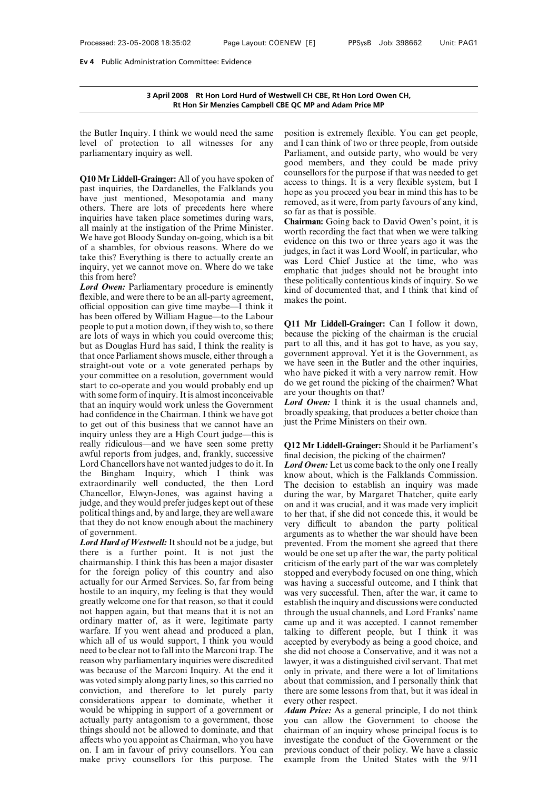3 April 2008 Rt Hon Lord Hurd of Westwell C<br>Rt Hon Sir Menzies Campbell CBE QC M<br>the Butler Inquiry. I think we would need the same positic<br>level of protection to all witnesses for any and I c<br>parliamentary inquiry as well 3 April 2008 Rt Hon Lord Hurd of Westwell CH<br>Rt Hon Sir Menzies Campbell CBE QC MP<br>the Butler Inquiry. I think we would need the same position<br>level of protection to all witnesses for any and I ca<br>parliamentary inquiry as **EXECUS EXECUS AND REVALUE IN THE SET OF STATE OF STATE OF STATE INTERNATIONAL STATE IN THE SET OF STATE IN THE SET OF STATE OF STATE OF STATE OF STATE OF STATE OF STATE OF STATE OF STATE OF STATE OF STATE OF STATE OF STAT** The Butler Inquiry. I think we would need the same<br>
level of protection to all witnesses for any and<br>
parliamentary inquiry as well.<br> **Q10 Mr Liddell-Grainger:** All of you have spoken of<br>
past inquiries, the Dardanelles, t

the Butler Inquiry. I think we would need the same position<br>level of protection to all witnesses for any and I can<br>parliamentary inquiry as well.<br>**Q10 Mr Liddell-Grainger:** All of you have spoken of counsellar<br>past inquiri the Butter Inquiry. I think we would need the same<br>level of protection to all witnesses for any and I ca<br>parliamentary inquiry as well.<br>**Q10 Mr Liddell-Grainger:** All of you have spoken of<br>past inquiries, the Dardanelles, Evel of protection to all witnesses for any and I counsel<br>parliamentary inquiry as well.<br>**Q10 Mr Liddell-Grainger:** All of you have spoken of<br>past inquiries, the Dardanelles, the Falklands you<br>have just mentioned, Mesopota parnamentary inquiry as well.<br> **Q10 Mr Liddell-Grainger:** All of you have spoken of<br>
past inquiries, the Dardanelles, the Falklands you<br>
have just mentioned, Mesopotamia and many<br>
others. There are lots of precedents here **Q10 Mr Liddell-Grainger:** All of you have spoken of<br>past inquiries, the Dardanelles, the Falklands you<br>have just mentioned, Mesopotamia and many<br>others. There are lots of precedents here where<br>inquiries have taken place **Q10 Mr Liddell-Grainger:** All of you have spoken of<br>past inquiries, the Dardanelles, the Falklands you<br>have just mentioned, Mesopotamia and many<br>others. There are lots of precedents here where<br>inquiries have taken place past inquiries, the Dardanelles, the Falklands you<br>have just mentioned, Mesopotamia and many<br>others. There are lots of precedents here where<br>inquiries have taken place sometimes during wars,<br>all mainly at the instigation o have just mentioned, Mesopotamia and many<br>others. There are lots of precedents here where so far as<br>inquiries have taken place sometimes during wars,<br>all mainly at the instigation of the Prime Minister.<br>We have got Bloody others. There are lots of precedents here where<br>inquiries have taken place sometimes during wars,<br>all mainly at the instigation of the Prime Minister.<br>We have got Bloody Sunday on-going, which is a bit<br>of a shambles, for inquiries have taken plane<br>all mainly at the instig.<br>We have got Bloody Su<br>of a shambles, for obv<br>take this? Everything is<br>inquiry, yet we cannot<br>this from here?<br>*Lord Owen*: Parliamen<br>flexible, and were there all mainly at the instigation of the Prime Minister.<br>
We have got Bloody Sunday on-going, which is a bit<br>
of a shambles, for obvious reasons. Where do we<br>
take this? Everything is there to actually create an<br>
inquiry, yet We have got Bloody Sunday on-going, which is a bit<br>of a shambles, for obvious reasons. Where do we<br>idd<br>take this? Everything is there to actually create an<br>inquiry, yet we cannot move on. Where do we take<br>this from here?<br>

of a shambles, for obvious reasons. Where do we<br>take this? Everything is there to actually create an inquiry, yet we cannot move on. Where do we take<br>this from here?<br>*Lord Owen*: Parliamentary procedure is eminently these take this? Everything is there to actually create an inquiry, yet we cannot move on. Where do we take<br>this from here?<br>the the second over. Parliamentary procedure is eminently these<br>flexible, and were there to be an all-p inquiry, yet we cannot move on. Where do we take<br>this from here?<br>Lord Owen: Parliamentary procedure is eminently<br>flexible, and were there to be an all-party agreement,<br>official opposition can give time maybe—I think it<br>ha are lots of we there?<br> **Lord Owen:** Parliamentary procedure is eminently the<br>
flexible, and were there to be an all-party agreement,<br>
official opposition can give time maybe—I think it<br>
has been offered by William Hague—t **Lord Owen:** Parliamentary procedure is eminently<br>flexible, and were there to be an all-party agreement, make<br>official opposition can give time maybe—I think it<br>has been offered by William Hague—to the Labour<br>people to pu flexible, and were there to be an all-party agreement,<br>flexible, and were there to be an all-party agreement,<br>official opposition can give time maybe—I think it<br>has been offered by William Hague—to the Labour<br>people to put official opposition can give time maybe—I think it<br>has been offered by William Hague—to the Labour<br>people to put a motion down, if they wish to, so there<br>are lots of ways in which you could overcome this;<br>but as Douglas H has been offered by William Hague—to the Labour<br>people to put a motion down, if they wish to, so there<br>are lots of ways in which you could overcome this;<br>but as Douglas Hurd has said, I think the reality is<br>that once Parl people to put a motion down, if they wish to, so there<br>are lots of ways in which you could overcome this;<br>but as Douglas Hurd has said, I think the reality is<br>but as Douglas Hurd has said, I think the reality is<br>athat onc are lots of ways in which you could overcome this; because that once Parliament shows muscle, either through a govern that once Parliament shows muscle, either through a govern straight-out vote or a vote generated perhap but as Douglas Hurd has said, I think the reality is<br>that once Parliament shows muscle, either through a<br>straight-out vote or a vote generated perhaps by we b<br>your committee on a resolution, government would<br>start to co-o that once Parliament shows muscle, either through a<br>straight-out vote or a vote generated perhaps by<br>syour committee on a resolution, government would<br>start to co-operate and you would probably end up<br>with some form of in straight-out vote or a vote generated perhaps by<br>straight-out vote or a vote generated perhaps by<br>we have<br>start to co-operate and you would probably end up<br>with some form of inquiry. It is almost inconceivable<br>are your<br>th your committee on a resolution, government would<br>start to co-operate and you would probably end up<br>start to co-operate and you would probably end up<br>with some form of inquiry. It is almost inconceivable<br>that an inquiry wo start to co-operate and you would probably end up<br>start to co-operate and you would probably end up<br>with some form of inquiry. It is almost inconceivable<br>that an inquiry would work unless the Government<br>had confidence in with some form of inquiry. It is almost inconceivable are youth<br>that an inquiry would work unless the Government<br>had confidence in the Chairman. I think we have got<br>to get out of this business that we cannot have an just that an inquiry would work unless the Government Lord On<br>had confidence in the Chairman. I think we have got broadly s<br>to get out of this business that we cannot have an just the F<br>inquiry unless they are a High Court jud had confidence in the Chairman. I think we have got<br>to get out of this business that we cannot have an<br>inquiry unless they are a High Court judge—this is<br>really ridiculous—and we have seen some pretty<br>awful reports from ju to get out of this business that we cannot have an<br>inquiry unless they are a High Court judge—this is<br>really ridiculous—and we have seen some pretty<br>really ridiculous—and we have seen some pretty<br> $Q12 \text{ Mr}$ <br>awful reports inquiry unless they are a High Court judge—this is<br>really ridiculous—and we have seen some pretty<br>awful reports from judges, and, frankly, successive final dee<br>Lord Chancellors have not wanted judges to do it. In Lord O<sub>p</sub> really ridiculous—and we have seen some pretty<br>really ridiculous—and we have seen some pretty  $Q12$  M<br>awful reports from judges, and, frankly, successive final d<br>Lord Chancellors have not wanted judges to do it. In *Lord* awful reports from judges, and, frankly, successive final d<br>Lord Chancellors have not wanted judges to do it. In Lord C<br>the Bingham Inquiry, which I think was know<br>extraordinarily well conducted, the then Lord The d<br>Chanc Lord Chancellors have not wanted judges to do it. In Lord O<br>the Bingham Inquiry, which I think was know a<br>extraordinarily well conducted, the then Lord The de<br>Chancellor, Elwyn-Jones, was against having a during t<br>judge, Lord Chancellors have not wanted judges to do it. In<br>the Bingham Inquiry, which I think was<br>extraordinarily well conducted, the then Lord<br>Chancellor, Elwyn-Jones, was against having a<br>judge, and they would prefer judges k extraordinarily well conducted, the then Lord<br>Chancellor, Elwyn-Jones, was against having a duri<br>judge, and they would prefer judges kept out of these on a<br>political things and, by and large, they are well aware to h<br>that Chancellor, Elwyn-Jones, was against having a during<br>judge, and they would prefer judges kept out of these on anc<br>political things and, by and large, they are well aware to her<br>that they do not know enough about the machin

judge, and they would prefer judges kept out of these<br>political things and, by and large, they are well aware<br>political things and, by and large, they are well aware<br>to he<br>that they do not know enough about the machinery<br>o political things and, by and large, they are well aware<br>that they do not know enough about the machinery very different that they do not know enough about the machinery very different of government.<br>Lord Hurd of Westwell: that they do not know enough about the machinery<br>of government.<br>Lord Hurd of Westwell: It should not be a judge, but<br>there is a further point. It is not just the would b<br>chairmanship. I think this has been a major disaster of government.<br> **Lord Hurd of Westwell:** It should not be a judge, but<br>
there is a further point. It is not just the would be<br>
chairmanship. I think this has been a major disaster criticism<br>
for the foreign policy of this **Lord Hurd of Westwell:** It should not be a judge, but<br>there is a further point. It is not just the would be<br>chairmanship. I think this has been a major disaster criticism<br>for the foreign policy of this country and also st there is a further point. It is not just the would be chairmanship. I think this has been a major disaster criticism for the foreign policy of this country and also stopped a actually for our Armed Services. So, far from b chairmanship. I think this has been a major disaster<br>for the foreign policy of this country and also stopped<br>actually for our Armed Services. So, far from being was have<br>hostile to an inquiry, my feeling is that they would for the foreign policy of this country and also<br>actually for our Armed Services. So, far from being<br>was hostile to an inquiry, my feeling is that they would<br>was greatly welcome one for that reason, so that it could<br>est<br>not actually for our Armed Services. So, far from being<br>hostile to an inquiry, my feeling is that they would was very<br>greatly welcome one for that reason, so that it could was very<br>greatly welcome one for that reason, so that need to be clear not to fall into the Marconi trap. The dividend was very greatly welcome one for that reason, so that it could was very greatly welcome one for that reason, so that it could establi not happen again, but t greatly welcome one for that reason, so that it could<br>not happen again, but that means that it is not an through in<br>ordinary matter of, as it were, legitimate party came up<br>warfare. If you went ahead and produced a plan, t not happen again, but that means that it is not an ordinary matter of, as it were, legitimate party cam warfare. If you went ahead and produced a plan, talki which all of us would support, I think you would acce need to be ordinary matter of, as it were, legitimate party<br>warfare. If you went ahead and produced a plan, talking t<br>which all of us would support, I think you would accepted<br>need to be clear not to fall into the Marconi trap. The s warfare. If you went ahead and produced a plan, talking<br>which all of us would support, I think you would<br>need to be clear not to fall into the Marconi trap. The<br>set in the mass of the Marconi Inquiry. At the end it<br>olly i which all of us would support, I think you would<br>need to be clear not to fall into the Marconi trap. The<br>reason why parliamentary inquiries were discredited lawy<br>was because of the Marconi Inquiry. At the end it<br>only<br>was need to be clear not to fall into the Marconi trap. The<br>reason why parliamentary inquiries were discredited<br>lawye<br>was because of the Marconi Inquiry. At the end it<br>only<br>was voted simply along party lines, so this carried n reason why parliamentary inquiries were discredited<br>was because of the Marconi Inquiry. At the end it only in<br>was voted simply along party lines, so this carried no about<br>conviction, and therefore to let purely party there was because of the Marconi Inquiry. At the end it only<br>was voted simply along party lines, so this carried no<br>conviction, and therefore to let purely party there<br>considerations appear to dominate, whether it ever<br>would be was voted simply along party lines, so this carried no<br>conviction, and therefore to let purely party there a<br>considerations appear to dominate, whether it every  $\alpha$ <br>would be whipping in support of a government or **Adam**<br> conviction, and therefore to let purely party there are considerations appear to dominate, whether it every oth would be whipping in support of a government or *Adam Pr* actually party antagonism to a government, those y considerations appear to dominate, whether it every would be whipping in support of a government or **Adam** actually party antagonism to a government, those you c things should not be allowed to dominate, and that chairm af

**EXECT COMP and Adam Price MP**<br>**EQC MP and Adam Price MP**<br>position is extremely flexible. You can get people,<br>and I can think of two or three people, from outside<br>Parliament, and outside party, who would be very twell CH CBE, Rt Hon Lord Owen CH,<br>
E QC MP and Adam Price MP<br>
position is extremely flexible. You can get people,<br>
and I can think of two or three people, from outside<br>
Parliament, and outside party, who would be very<br>
go **EXECT COMP and Adam Price MP**<br> **EXECT COMP and Adam Price MP**<br>
position is extremely flexible. You can get people,<br>
and I can think of two or three people, from outside<br>
Parliament, and outside party, who would be very<br>
g E QC MP and Adam Price MP<br>position is extremely flexible. You can get people,<br>and I can think of two or three people, from outside<br>Parliament, and outside party, who would be very<br>good members, and they could be made privy position is extremely flexible. You can get people,<br>and I can think of two or three people, from outside<br>Parliament, and outside party, who would be very<br>good members, and they could be made privy<br>counsellors for the purpo position is extremely flexible. You can get people,<br>and I can think of two or three people, from outside<br>Parliament, and outside party, who would be very<br>good members, and they could be made privy<br>counsellors for the purpo position is extremely flexible. You can get people,<br>and I can think of two or three people, from outside<br>Parliament, and outside party, who would be very<br>good members, and they could be made privy<br>counsellors for the purpo and I can think of two or three people, from outside<br>Parliament, and outside party, who would be very<br>good members, and they could be made privy<br>good members, and they could be made privy<br>counsellors for the purpose if tha Parliament, and outside party<br>Parliament, and outside party<br>good members, and they co<br>counsellors for the purpose if t<br>access to things. It is a very t<br>hope as you proceed you bear<br>removed, as it were, from party<br>so far as good members, and they could be made privy<br>good members, and they could be made privy<br>counsellors for the purpose if that was needed to get<br>access to things. It is a very flexible system, but I<br>hope as you proceed you bear counsellors for the purpose if that was needed to get<br>access to things. It is a very flexible system, but I<br>hope as you proceed you bear in mind this has to be<br>removed, as it were, from party favours of any kind,<br>so far as

access to things. It is a very flexible system, but I<br>hope as you proceed you bear in mind this has to be<br>removed, as it were, from party favours of any kind,<br>so far as that is possible.<br>**Chairman:** Going back to David Owe hope as you proceed you bear in mind this has to be<br>removed, as it were, from party favours of any kind,<br>so far as that is possible.<br>**Chairman:** Going back to David Owen's point, it is<br>worth recording the fact that when we removed, as it were, from party favours of any kind,<br>so far as that is possible.<br>**Chairman:** Going back to David Owen's point, it is<br>worth recording the fact that when we were talking<br>evidence on this two or three years ag so far as that is possible.<br>
So far as that is possible.<br> **Chairman:** Going back to David Owen's point, it is<br>
worth recording the fact that when we were talking<br>
evidence on this two or three years ago it was the<br>
judges, **Chairman:** Going back to David Owen's point, it is worth recording the fact that when we were talking evidence on this two or three years ago it was the judges, in fact it was Lord Woolf, in particular, who was Lord Chief worth recording the fact that when we were talking<br>evidence on this two or three years ago it was the<br>judges, in fact it was Lord Woolf, in particular, who<br>was Lord Chief Justice at the time, who was<br>emphatic that judges s evidence on this two constants we give the point of the point of the point of the point of the point of the point.<br>
See point of the point of the point of the point.<br>
The point of the point.<br>
C<sub>11</sub> M<sub>r</sub> Lidell Crain Comput was Lord Chief Justice at the time, who was<br>emphatic that judges should not be brought into<br>these politically contentious kinds of inquiry. So we<br>kind of documented that, and I think that kind of<br>makes the point.<br>Q11 Mr Li

emphatic that judges should not be brought into<br>these politically contentious kinds of inquiry. So we<br>kind of documented that, and I think that kind of<br>makes the point.<br>Q11 Mr Liddell-Grainger: Can I follow it down,<br>becaus these politically contentious kinds of inquiry. So we<br>kind of documented that, and I think that kind of<br>makes the point.<br>Q11 Mr Liddell-Grainger: Can I follow it down,<br>because the picking of the chairman is the crucial<br>par kind of documented that, and I think that kind of<br>makes the point.<br>Q11 Mr Liddell-Grainger: Can I follow it down,<br>because the picking of the chairman is the crucial<br>part to all this, and it has got to have, as you say,<br>gov makes the point.<br> **Q11 Mr Liddell-Grainger:** Can I follow it down,<br>
because the picking of the chairman is the crucial<br>
part to all this, and it has got to have, as you say,<br>
government approval. Yet it is the Government, **Q11 Mr Liddell-Grainger:** Can I follow it down, because the picking of the chairman is the crucial part to all this, and it has got to have, as you say, government approval. Yet it is the Government, as we have seen in th **Q11 Mr Liddell-Grainger:** Can I follow it down, because the picking of the chairman is the crucial part to all this, and it has got to have, as you say, government approval. Yet it is the Government, as we have seen in th because the picking of the chairm<br>part to all this, and it has got to b<br>government approval. Yet it is the<br>we have seen in the Butler and the<br>who have picked it with a very nai<br>do we get round the picking of the<br>are your t part to all this, and it has got to have, as you say, government approval. Yet it is the Government, as we have seen in the Butler and the other inquiries, who have picked it with a very narrow remit. How do we get round t government approval. Yet it is the Government, as<br>we have seen in the Butler and the other inquiries,<br>who have picked it with a very narrow remit. How<br>do we get round the picking of the chairmen? What<br>are your thoughts on we have seen in the Butler and the other in<br>who have picked it with a very narrow rem<br>do we get round the picking of the chairmer<br>are your thoughts on that?<br>*Lord Owen*: I think it is the usual channe<br>broadly speaking, tha

do we get round the picking of the chairmen? What<br>are your thoughts on that?<br>*Lord Owen*: I think it is the usual channels and,<br>broadly speaking, that produces a better choice than<br>just the Prime Ministers on their own.<br> are your thoughts on that?<br> **Lord Owen:** I think it is the usual channels and<br>
broadly speaking, that produces a better choice than<br>
just the Prime Ministers on their own.<br> **Q12 Mr Liddell-Grainger:** Should it be Parliamen

*Lord Owen:* I think it is the usual channels and,<br>broadly speaking, that produces a better choice than<br>just the Prime Ministers on their own.<br>Q12 Mr Liddell-Grainger: Should it be Parliament's<br>final decision, the picking broadly speaking, that produces a better choice than<br>just the Prime Ministers on their own.<br>Q12 Mr Liddell-Grainger: Should it be Parliament's<br>final decision, the picking of the chairmen?<br>*Lord Owen*: Let us come back to t just the Prime Ministers on their own.<br> **Q12 Mr Liddell-Grainger:** Should it be Parliament's<br>
final decision, the picking of the chairmen?<br> **Lord Owen:** Let us come back to the only one I really<br>
know about, which is the F Q12 Mr Liddell-Grainger: Should it be Parliament's<br>final decision, the picking of the chairmen?<br>*Lord Owen*: Let us come back to the only one I really<br>know about, which is the Falklands Commission.<br>The decision to establis **Q12 Mr Liddell-Grainger:** Should it be Parliament's final decision, the picking of the chairmen?<br> **Lord Owen:** Let us come back to the only one I really know about, which is the Falklands Commission.<br>
The decision to esta final decision, the picking of the chairmen?<br> *Lord Owen*: Let us come back to the only one I really<br>
know about, which is the Falklands Commission.<br>
The decision to establish an inquiry was made<br>
during the war, by Margar **Lord Owen:** Let us come back to the only one I really know about, which is the Falklands Commission. The decision to establish an inquiry was made during the war, by Margaret Thatcher, quite early on and it was crucial, a know about, which is the Falklands Commission.<br>The decision to establish an inquiry was made<br>during the war, by Margaret Thatcher, quite early<br>on and it was crucial, and it was made very implicit<br>to her that, if she did no The decision to establish an inquiry was made<br>during the war, by Margaret Thatcher, quite early<br>on and it was crucial, and it was made very implicit<br>to her that, if she did not concede this, it would be<br>very difficult to a during the war, by Margaret Thatcher, quite early<br>on and it was crucial, and it was made very implicit<br>to her that, if she did not concede this, it would be<br>very difficult to abandon the party political<br>arguments as to whe on and it was crucial, and it was made very implicit<br>to her that, if she did not concede this, it would be<br>very difficult to abandon the party political<br>arguments as to whether the war should have been<br>prevented. From the to her that, if she did not concede this, it would be<br>very difficult to abandon the party political<br>arguments as to whether the war should have been<br>prevented. From the moment she agreed that there<br>would be one set up afte very difficult to abandon the party political arguments as to whether the war should have been prevented. From the moment she agreed that there would be one set up after the war, the party political criticism of the early arguments as to whether the war should have been<br>prevented. From the moment she agreed that there<br>prevented. From the moment she agreed that there<br>would be one set up after the war, the party political<br>criticism of the ear prevented. From the moment she agreed that there<br>would be one set up after the war, the party political<br>criticism of the early part of the war was completely<br>stopped and everybody focused on one thing, which<br>was having a s would be one set up after the war, the party political<br>criticism of the early part of the war was completely<br>stopped and everybody focused on one thing, which<br>was having a successful outcome, and I think that<br>was very succ criticism of the early part of the war was completely<br>stopped and everybody focused on one thing, which<br>was having a successful outcome, and I think that<br>was very successful. Then, after the war, it came to<br>establish the i stopped and everybody focused on one thing, which<br>was having a successful outcome, and I think that<br>was very successful. Then, after the war, it came to<br>establish the inquiry and discussions were conducted<br>through the usua was having a successful outcome, and I think that<br>was very successful. Then, after the war, it came to<br>establish the inquiry and discussions were conducted<br>through the usual channels, and Lord Franks' name<br>came up and it w was very successful. Then, after the war, it came to<br>establish the inquiry and discussions were conducted<br>through the usual channels, and Lord Franks' name<br>came up and it was accepted. I cannot remember<br>talking to differen establish the inquiry and discussions were conducted<br>through the inquiry and discussions were conducted<br>through the usual channels, and Lord Franks' name<br>came up and it was accepted. I cannot remember<br>talking to different through the usual channels, and Lord Franks' name<br>came up and it was accepted. I cannot remember<br>talking to different people, but I think it was<br>accepted by everybody as being a good choice, and<br>she did not choose a Conser came up and it was accepted. I cannot remember<br>talking to different people, but I think it was<br>accepted by everybody as being a good choice, and<br>she did not choose a Conservative, and it was not a<br>lawyer, it was a distingu talking to different people, but I think it was<br>accepted by everybody as being a good choice, and<br>she did not choose a Conservative, and it was not a<br>lawyer, it was a distinguished civil servant. That met<br>only in private, accepted by everybody as<br>accepted by everybody as<br>she did not choose a Con<br>lawyer, it was a distinguis<br>only in private, and there<br>about that commission, a<br>there are some lessons fre<br>every other respect.<br>*Adam Price*: As a she did not choose a Conservative, and it was not a<br>lawyer, it was a distinguished civil servant. That met<br>only in private, and there were a lot of limitations<br>about that commission, and I personally think that<br>there are s lawyer, it was a distinguished civil servant. That met<br>only in private, and there were a lot of limitations<br>about that commission, and I personally think that<br>there are some lessons from that, but it was ideal in<br>every oth

only in private, and there were a lot of limitations<br>about that commission, and I personally think that<br>there are some lessons from that, but it was ideal in<br>every other respect.<br>Adam Price: As a general principle, I do no about that commission, and I personally think that<br>there are some lessons from that, but it was ideal in<br>every other respect.<br>**Adam Price:** As a general principle, I do not think<br>you can allow the Government to choose the there are some lessons from that, but it was ideal in<br>every other respect.<br>**Adam Price:** As a general principle, I do not think<br>you can allow the Government to choose the<br>chairman of an inquiry whose principal focus is to<br> there are some lessons from that, but it was ideal in<br>every other respect.<br>*Adam Price:* As a general principle, I do not think<br>you can allow the Government to choose the<br>chairman of an inquiry whose principal focus is to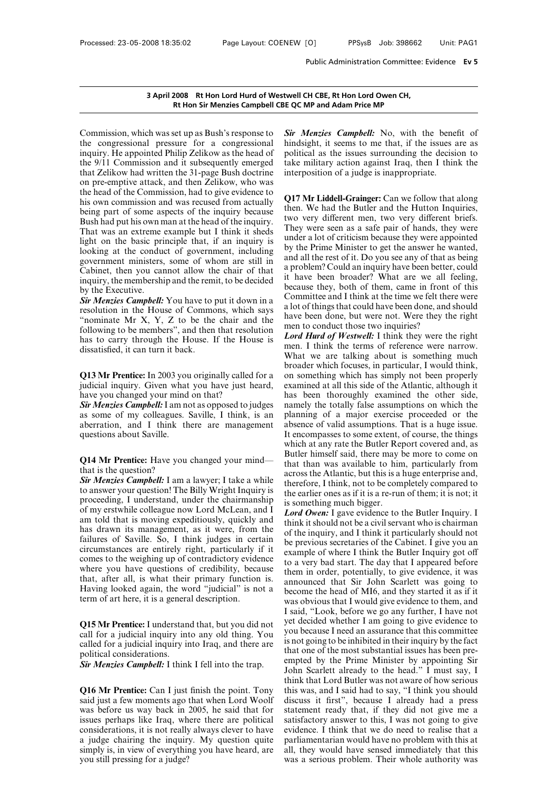**Example 18 Set 18 Set 18 Set 18 Set 18 Set 18 Set 18 Set 18 Set 18 Set 18 Set 18 Set 18 Set 18 Set 18 Set 18 Set 18 Set 18 Set 18 Set 18 Set 18 Set 18 Set 18 Set 18 Set 18 Set 18 Set 18 Set 18 Set 18 Set 18 Set 18 Set 18** 3 April 2008 Rt Hon Lord Hurd of Westwe<br>Rt Hon Sir Menzies Campbell CBE C<br>Commission, which was set up as Bush's response to<br>the congressional pressure for a congressional hin<br>inquiry. He appointed Philip Zelikow as the he 3 April 2008 Rt Hon Lord Hurd of Westwell<br>Rt Hon Sir Menzies Campbell CBE QC<br>Commission, which was set up as Bush's response to<br>the congressional pressure for a congressional hind<br>inquiry. He appointed Philip Zelikow as th **EXECUTE:**<br> **EXECUTE:**<br> **EXECUTE:**<br> **EXECUTE:**<br> **EXECUTE:**<br> **EXECUTE:**<br> **EXECUTE:**<br> **EXECUTE:**<br> **EXECUTE:**<br> **EXECUTE:**<br> **EXECUTE:**<br> **EXECUTE:**<br> **EXECUTE:**<br> **EXECUTE:**<br> **EXECUTE:**<br> **EXECUTE:**<br> **EXECUTE:**<br> **EXECUTE:**<br> **EXEC** Commission, which was set up as Bush's response to  $\frac{Sir}{s}$  M<br>the congressional pressure for a congressional hindsign<br>inquiry. He appointed Philip Zelikow as the head of politic<br>the 9/11 Commission and it subsequently e Commission, which was set up as Bush's response to **Sir** *M* the congressional pressure for a congressional hinds inquiry. He appointed Philip Zelikow as the head of politice that Zelikow had written the 31-page Bush doct Commission, which was set up as Bush's response to *Sir Men* the congressional pressure for a congressional hindsight inquiry. He appointed Philip Zelikow as the head of political the  $9/11$  Commission and it subsequent the congressional pressure for a congressional hindsight<br>inquiry. He appointed Philip Zelikow as the head of political<br>the 9/11 Commission and it subsequently emerged take mi<br>that Zelikow had written the 31-page Bush doctr inquiry. He appointed Philip Zelikow as the head of politic<br>the 9/11 Commission and it subsequently emerged take m<br>that Zelikow had written the 31-page Bush doctrine interpo<br>on pre-emptive attack, and then Zelikow, who wa inquiry. He appointed Philip Zelikow as the head of<br>
the 9/11 Commission and it subsequently emerged<br>
take military action against Iraq, then I think the<br>
that Zelikow had written the 31-page Bush doctrine<br>
on pre-emptive that Zelikow had written the 31-page Bush doctrine<br>on pre-emptive attack, and then Zelikow, who was<br>the head of the Commission, had to give evidence to<br>his own commission and was recused from actually<br>being part of some a on pre-emptive attack, and then Zelikow, who was<br>the head of the Commission, had to give evidence to<br>his own commission and was recused from actually<br>being part of some aspects of the inquiry because<br>Bush had put his own the head of the Commission, had to give evidence to<br>his own commission and was recused from actually<br>being part of some aspects of the inquiry because<br>Bush had put his own man at the head of the inquiry.<br>That was an extrem his own commission and was recused from actually<br>being part of some aspects of the inquiry because<br>Bush had put his own man at the head of the inquiry.<br>That was an extreme example but I think it sheds<br>light on the basic p being part of some aspects of the inquiry because<br>Bush had put his own man at the head of the inquiry.<br>That was an extreme example but I think it sheds<br>light on the basic principle that, if an inquiry is<br>looking at the con Bush had put his own man at the head of the inquiry.<br>
That was an extreme example but I think it sheds<br>
light on the basic principle that, if an inquiry is<br>
light on the basic principle that, if an inquiry is<br>
looking at That was an extreme (<br>That was an extreme (<br>light on the basic principation<br>looking at the conduc<br>government ministers,<br>Cabinet, then you can<br>inquiry, the membershi<br>by the Executive.<br>Sir Menzies Campbell:<br>resolution in the *Sight* on the basic principle that, if an inquiry is under a looking at the conduct of government, including by the F<br>government ministers, some of whom are still in Cabinet, then you cannot allow the chair of that a prob looking at the conduct of government, including<br>government ministers, some of whom are still in<br>Cabinet, then you cannot allow the chair of that<br>inquiry, the membership and the remit, to be decided<br>by the Executive.<br>Sir M

government ministers, some of whom are still in<br>Cabinet, then you cannot allow the chair of that<br>inquiry, the membership and the remit, to be decided<br>by the Executive.<br>Sir Menzies Campbell: You have to put it down in a<br>re Cabinet, then you cannot allow the chair of that a problem<br>inquiry, the membership and the remit, to be decided<br>by the Executive.<br>**Sir Menzies Campbell:** You have to put it down in a<br>resolution in the House of Commons, wh inquiry, the membership and the remit, to be decided<br>by the Executive.<br>
Sir Menzies Campbell: You have to put it down in a<br>
resolution in the House of Commons, which says<br>
"nominate Mr X, Y, Z to be the chair and the<br>
fol by the Executive.<br>
Sir Menzies Campbell: You have to p<br>
resolution in the House of Commo<br>
"nominate Mr X, Y, Z to be the<br>
following to be members", and then<br>
has to carry through the House. I<br>
dissatisfied, it can turn it resolution in the House of Commons, which says<br>
"nominate Mr X, Y, Z to be the chair and the<br>
following to be members", and then that resolution<br>
has to carry through the House. If the House is<br>
dissatisfied, it can turn i mominate Mr  $X$ ,  $Y$ ,  $Z$  to be the chair and the<br>following to be members", and then that resolution<br>has to carry through the House. If the House is  $L_0$ <br>dissatisfied, it can turn it back.<br>**Q13 Mr Prentice:** In 2003 you

Following to be members , and then that resort<br>has to carry through the House. If the Hou<br>dissatisfied, it can turn it back.<br>**Q13 Mr Prentice:** In 2003 you originally called<br>judicial inquiry. Given what you have just h<br>hav mas to carry through the House. It the House is<br>dissatisfied, it can turn it back.<br>What<br>**Q13 Mr Prentice:** In 2003 you originally called for a on so<br>judicial inquiry. Given what you have just heard, exam<br>have you changed y

What we<br> **Q13 Mr Prentice:** In 2003 you originally called for a broader<br>
judicial inquiry. Given what you have just heard, examined<br>
have you changed your mind on that? has been<br> **Sir Menzies Campbell:** I am not as opposed **Q13 Mr Prentice:** In 2003 you originally called for a on s<br>judicial inquiry. Given what you have just heard, exar<br>have you changed your mind on that?<br>**Sir Menzies Campbell:** I am not as opposed to judges nam<br>as some of my **Q13 Mr Prentice:** In 2003 you judicial inquiry. Given what have you changed your mind **Sir Menzies Campbell:** I am nc as some of my colleagues. Saberration, and I think the questions about Saville. **Sir Menzies Campbell:** I am not as opposed to judges annely the totally<br>as some of my colleagues. Saville, I think, is an planning of a m<br>aberration, and I think there are management absence of valid as<br>questions about Sa **Sir Menzies Campbeli:** 1 am 1<br>as some of my colleagues.<br>aberration, and I think t<br>questions about Saville.<br>Q14 Mr Prentice: Have you<br>that is the question?<br>Sir Menzies Campbell: I am<br>to answer your question! The

as some of my coneagues. Savine, 1 think, is an plannih<br>aberration, and I think there are management absence<br>questions about Saville. It encourses<br>the **Q14 Mr Prentice:** Have you changed your mind—<br>that is the question?<br>Si aberration, and I think there are management absent<br>questions about Saville. It end<br>which<br>**Q14 Mr Prentice:** Have you changed your mind—<br>that is the question?<br>for *Menzies Campbell*: I am a lawyer; I take a while<br>to answe questions about savine.<br> **Q14 Mr Prentice:** Have you changed your mind—<br>
that is the question?<br> **Sir Menzies Campbell:** I am a lawyer; I take a while<br>
therefore<br>
to answer your question! The Billy Wright Inquiry is<br>
the e **Q14 Mr Prentice:** Have you changed your mind—<br>that is the question?<br>**Sir Menzies Campbell:** I am a lawyer; I take a while<br>to answer your question! The Billy Wright Inquiry is<br>proceeding, I understand, under the chairmans **Q14 Mr Prentice:** Have you changed your mind—<br>that is the question?<br>**Sir Menzies Campbell:** I am a lawyer; I take a while<br>to answer your question! The Billy Wright Inquiry is<br>the earlie<br>proceeding, I understand, under th that is the question?<br> **Sir Menzies Campbell:** I am a lawyer; I take a while<br>
therefore answer your question! The Billy Wright Inquiry is<br>
proceeding, I understand, under the chairmanship<br>
of my erstwhile colleague now Lor **Sir Menzies Campbell:** I am a lawyer; I take a while<br>to answer your question! The Billy Wright Inquiry is<br>the earlie<br>proceeding, I understand, under the chairmanship<br>of my erstwhile colleague now Lord McLean, and I Lord to answer your question! The Billy Wright Inquiry is<br>proceeding, I understand, under the chairmanship<br>of my erstwhile colleague now Lord McLean, and I<br>am told that is moving expeditiously, quickly and<br>has drawn its manage proceeding, I understand, under the chairmanship<br>of my erstwhile colleague now Lord McLean, and I Lord C<br>am told that is moving expeditiously, quickly and<br>hink is dawn its management, as it were, from the<br>failures of Savi of my erstwhile colleague now Lord McLean, and I<br>am told that is moving expeditiously, quickly and<br>has drawn its management, as it were, from the<br>failures of Saville. So, I think judges in certain<br>circumstances are entire am told that is moving expeditiously, quickly and<br>has drawn its management, as it were, from the<br>failures of Saville. So, I think judges in certain be<br>circumstances are entirely right, particularly if it<br>comes to the weigh has drawn its management, as it were, from the<br>failures of Saville. So, I think judges in certain<br>circumstances are entirely right, particularly if it<br>comes to the weighing up of contradictory evidence<br>then in<br>that, after failures of Saville. So, I think judges in cert<br>circumstances are entirely right, particularly if<br>comes to the weighing up of contradictory evider<br>where you have questions of credibility, beca<br>that, after all, is what thei

where you have questions of credibility, because<br>them in that, after all, is what their primary function is.<br>Having looked again, the word "judicial" is not a<br>term of art here, it is a general description.<br>**Q15 Mr Prentice** that, after an, is what their primary function is.<br>
Having looked again, the word "judicial" is not a<br>
term of art here, it is a general description.<br> **Q15 Mr Prentice:** I understand that, but you did not<br>
call for a judi Fraving looked again, the we<br>term of art here, it is a genera<br>Q15 Mr Prentice: I understand<br>call for a judicial inquiry intealled for a judicial inquiry in<br>political considerations.<br>Sir Menzies Campbell: I think **Q15 Mr Prentice:** I understand that, but you did not<br>
call for a judicial inquiry into any old thing. You<br>
called for a judicial inquiry into Iraq, and there are<br>
political considerations.<br> *Sir Menzies Campbell*: I think **Q16** Mr Prentice: Tunderstand that, but you did not<br>call for a judicial inquiry into any old thing. You<br>called for a judicial inquiry into Iraq, and there are is not go<br>political considerations.<br>**Sir Menzies Campbell:** I

Exam for a judicial inquiry into any old tiling. Four-<br>
called for a judicial inquiry into Iraq, and there are<br>
political considerations.<br> **Sir Menzies Campbell:** I think I fell into the trap.<br> **Q16 Mr Prentice:** Can I jus Example that considerations.<br>
Sir Menzies Campbell: I think I fell into the trap.<br>
Sir Menzies Campbell: I think I fell into the trap.<br>
O16 Mr Prentice: Can I just finish the point. Tony this w<br>
said just a few moments ago **Sir Menzies Campbell:** I think I fell into the trap.<br> **Sir Menzies Campbell:** I think I fell into the trap.<br> **Q16 Mr Prentice:** Can I just finish the point. Tony this<br>
said just a few moments ago that when Lord Woolf dis<br> Sur *Menzies* Campbell: 1 think 1 felt into the trap.<br>
Use of think think think think think think think to this was<br>
said just a few moments ago that when Lord Woolf discuss<br>
was before us way back in 2005, he said that fo think the point. Tony<br>think the point of this was<br>said just a few moments ago that when Lord Woolf<br>discuss<br>was before us way back in 2005, he said that for<br>statem<br>issues perhaps like Iraq, where there are political<br>satisfa Q16 Mr Prentice: Can I just finish the point. Tony this was said just a few moments ago that when Lord Woolf discuss was before us way back in 2005, he said that for statem issues perhaps like Iraq, where there are politic **Q16 Mr Prentice:** Can I just finish the point. Tony said just a few moments ago that when Lord Woolf was before us way back in 2005, he said that for issues perhaps like Iraq, where there are political considerations, it

**EXECT COMP and Adam Price MP**<br> **Sir Menzies Campbell:** No, with the benefit of<br> **Sir Menzies Campbell:** No, with the benefit of<br>
hindsight, it seems to me that, if the issues are as<br>
political as the issues surrounding th **EXECT COMP AND COMP AND COMP AND ADMOMERATION COMP AND SIT Menzies Campbell:** No, with the benefit of hindsight, it seems to me that, if the issues are as political as the issues surrounding the decision to take military **EXECT COMP and Adam Price MP**<br> **Sir Menzies Campbell:** No, with the benefit of<br>
hindsight, it seems to me that, if the issues are as<br>
political as the issues surrounding the decision to<br>
take military action against Iraq, E QC MP and Adam Price MP<br>
Sir Menzies Campbell: No, with the benefit of<br>
hindsight, it seems to me that, if the issues are as<br>
political as the issues surrounding the decision to<br>
take military action against Iraq, then **Rt Hon Sir Menzies Campbell CBE QC MP and Adam Price MP**<br>set up as Bush's response to **Sir Menzies Campbell:** No, with the benefit of<br>sure for a congressional hindsight, it seems to me that, if the issues are as **Sir Menzies Campbell:** No, with the benefit of hindsight, it seems to me that, if the issues are as political as the issues surrounding the decision to take military action against Iraq, then I think the interposition of

mindsight, it seems to me that, if the issues are as<br>political as the issues surrounding the decision to<br>take military action against Iraq, then I think the<br>interposition of a judge is inappropriate.<br>Q17 Mr Liddell-Grainge political as the issues surrounding the decision to<br>take military action against Iraq, then I think the<br>interposition of a judge is inappropriate.<br>Q17 Mr Liddell-Grainger: Can we follow that along<br>then. We had the Butler a They military action against rraq, then I think the<br>interposition of a judge is inappropriate.<br> **Q17 Mr Liddell-Grainger:** Can we follow that along<br>
then. We had the Butler and the Hutton Inquiries,<br>
two very different men **Q17 Mr Liddell-Grainger:** Can we follow that along<br> **Q17 Mr Liddell-Grainger:** Can we follow that along<br>
then. We had the Butler and the Hutton Inquiries,<br>
two very different men, two very different briefs.<br>
They were see **Q17 Mr Liddell-Grainger:** Can we follow that along then. We had the Butler and the Hutton Inquiries, two very different men, two very different briefs. They were seen as a safe pair of hands, they were under a lot of crit **Q17 Mr Liddell-Grainger:** Can we follow that along<br>then. We had the Butler and the Hutton Inquiries,<br>two very different men, two very different briefs.<br>They were seen as a safe pair of hands, they were<br>under a lot of crit then. We had the Butler and the Hutton Inquiries,<br>two very different men, two very different briefs.<br>They were seen as a safe pair of hands, they were<br>under a lot of criticism because they were appointed<br>by the Prime Minis two very different men, two very different briefs.<br>They were seen as a safe pair of hands, they were<br>under a lot of criticism because they were appointed<br>by the Prime Minister to get the answer he wanted,<br>and all the rest They were seen as a safe pair of hands, they were<br>under a lot of criticism because they were appointed<br>by the Prime Minister to get the answer he wanted,<br>and all the rest of it. Do you see any of that as being<br>a problem? C under a lot of criticism because they were appointed<br>by the Prime Minister to get the answer he wanted,<br>and all the rest of it. Do you see any of that as being<br>a problem? Could an inquiry have been better, could<br>it have be by the Prime Minister to get the answer he wanted, and all the rest of it. Do you see any of that as being a problem? Could an inquiry have been better, could it have been broader? What are we all feeling, because they, bo and all the rest of it. Do you see any of that as being<br>a problem? Could an inquiry have been better, could<br>it have been broader? What are we all feeling,<br>because they, both of them, came in front of this<br>Committee and I t a problem? Could an inquiry have been better<br>it have been broader? What are we all<br>because they, both of them, came in front<br>Committee and I think at the time we felt the<br>a lot of things that could have been done, and<br>have it have been broader? What are we all feeling,<br>because they, both of them, came in front of this<br>Committee and I think at the time we felt there were<br>a lot of things that could have been done, and should<br>have been done, bu because they, both of them, came in front of this<br>Committee and I think at the time we felt there were<br>a lot of things that could have been done, and should<br>have been done, but were not. Were they the right<br>men to conduct

Committee and I think at the time we felt there were<br>a lot of things that could have been done, and should<br>have been done, but were not. Were they the right<br>men to conduct those two inquiries?<br>Lord Hurd of Westwell: I thin a lot of things that could have been done, and should<br>have been done, but were not. Were they the right<br>men to conduct those two inquiries?<br>Lord Hurd of Westwell: I think they were the right<br>men. I think the terms of refer have been done, but were not. Were they the right<br>men to conduct those two inquiries?<br>Lord Hurd of Westwell: I think they were the right<br>men. I think the terms of reference were narrow.<br>What we are talking about is somethi men to conduct those two inquiries?<br> *Lord Hurd of Westwell*: I think they were the right<br>
men. I think the terms of reference were narrow.<br>
What we are talking about is something much<br>
broader which focuses, in particular Lord Hurd of Westwell: I think they were the right<br>men. I think the terms of reference were narrow.<br>What we are talking about is something much<br>broader which focuses, in particular, I would think,<br>on something which has si men. I think the terms of reference were narrow.<br>What we are talking about is something much<br>broader which focuses, in particular, I would think,<br>on something which has simply not been properly<br>examined at all this side of What we are talking about is something much<br>broader which focuses, in particular, I would think,<br>on something which has simply not been properly<br>examined at all this side of the Atlantic, although it<br>has been thoroughly ex broader which focuses, in particular, I would think, on something which has simply not been properly examined at all this side of the Atlantic, although it has been thoroughly examined the other side, namely the totally fa on something which has simply not been properly<br>examined at all this side of the Atlantic, although it<br>has been thoroughly examined the other side,<br>namely the totally false assumptions on which the<br>planning of a major exer examined at all this side of the Atlantic, although it<br>has been thoroughly examined the other side,<br>namely the totally false assumptions on which the<br>planning of a major exercise proceeded or the<br>absence of valid assumptio has been thoroughly examined the other side,<br>namely the totally false assumptions on which the<br>planning of a major exercise proceeded or the<br>absence of valid assumptions. That is a huge issue.<br>It encompasses to some extent namely the totally false assumptions on which the<br>planning of a major exercise proceeded or the<br>absence of valid assumptions. That is a huge issue.<br>It encompasses to some extent, of course, the things<br>which at any rate the planning of a major exercise proceeded or the absence of valid assumptions. That is a huge issue. It encompasses to some extent, of course, the things which at any rate the Butler Report covered and, as Butler himself said absence of valid assumptions. That is a huge issue.<br>It encompasses to some extent, of course, the things<br>which at any rate the Butler Report covered and, as<br>Butler himself said, there may be more to come on<br>that than was a It encompasses to some extent, of course, the things<br>which at any rate the Butler Report covered and, as<br>Butler himself said, there may be more to come on<br>that than was available to him, particularly from<br>across the Atlant which at any rate the Butler Republic at any rate the Butler Republic Butler himself said, there may be that than was available to him across the Atlantic, but this is a l therefore, I think, not to be compute earlier one Butler himself said, there may be more to come on<br>that than was available to him, particularly from<br>across the Atlantic, but this is a huge enterprise and,<br>therefore, I think, not to be completely compared to<br>the earlier o that than was available to him, particularly from<br>across the Atlantic, but this is a huge enterprise and,<br>therefore, I think, not to be completely compared to<br>the earlier ones as if it is a re-run of them; it is not; it<br>is

comes to the weigning up of contradictory evidence<br>where you have questions of credibility, because<br>them in order, potentially, to give evidence, it was<br>that, after all, is what their primary function is.<br>Having looked aga across the Atlantic, but this is a huge enterprise and,<br>therefore, I think, not to be completely compared to<br>the earlier ones as if it is a re-run of them; it is not; it<br>is something much bigger.<br>Lord Owen: I gave evidence therefore, I think, not to be completely compared to<br>the earlier ones as if it is a re-run of them; it is not; it<br>is something much bigger.<br>*Lord Owen*: I gave evidence to the Butler Inquiry. I<br>think it should not be a civ the earlier ones as if it is a re-run of them; it is not; it<br>is something much bigger.<br>*Lord Owen*: I gave evidence to the Butler Inquiry. I<br>think it should not be a civil servant who is chairman<br>of the inquiry, and I thin is something much bigger.<br>
Lord Owen: I gave evidence to the Butler Inquiry. I<br>
think it should not be a civil servant who is chairman<br>
of the inquiry, and I think it particularly should not<br>
be previous secretaries of th Lord Owen: I gave evidence to the Butler Inquiry. I<br>think it should not be a civil servant who is chairman<br>of the inquiry, and I think it particularly should not<br>be previous secretaries of the Cabinet. I give you an<br>exampl think it should not be a civil servant who is chairman<br>of the inquiry, and I think it particularly should not<br>be previous secretaries of the Cabinet. I give you an<br>example of where I think the Butler Inquiry got off<br>to a v of the inquiry, and I think it particularly should not<br>be previous secretaries of the Cabinet. I give you an<br>example of where I think the Butler Inquiry got off<br>to a very bad start. The day that I appeared before<br>them in o be previous secretaries of the Cabinet. I give you an example of where I think the Butler Inquiry got off to a very bad start. The day that I appeared before them in order, potentially, to give evidence, it was announced t example of where I think the Butler Inquiry got off<br>to a very bad start. The day that I appeared before<br>them in order, potentially, to give evidence, it was<br>announced that Sir John Scarlett was going to<br>become the head of to a very bad start. The day that I appeared before<br>them in order, potentially, to give evidence, it was<br>announced that Sir John Scarlett was going to<br>become the head of MI6, and they started it as if it<br>was obvious that I them in order, potentially, to give evidence, it was<br>announced that Sir John Scarlett was going to<br>become the head of MI6, and they started it as if it<br>was obvious that I would give evidence to them, and<br>I said, "Look, bef announced that Sir John Scarlett was going to<br>become the head of MI6, and they started it as if it<br>was obvious that I would give evidence to them, and<br>I said, "Look, before we go any further, I have not<br>yet decided whether become the head of MI6, and they started it as if it was obvious that I would give evidence to them, and I said, "Look, before we go any further, I have not yet decided whether I am going to give evidence to you because I was obvious that I would give evidence to them, and<br>I said, "Look, before we go any further, I have not<br>yet decided whether I am going to give evidence to<br>you because I need an assurance that this committee<br>is not going to I said, "Look, before we go any further, I have not<br>yet decided whether I am going to give evidence to<br>you because I need an assurance that this committee<br>is not going to be inhibited in their inquiry by the fact<br>that one yet decided whether I am going to give evidence to<br>you because I need an assurance that this committee<br>is not going to be inhibited in their inquiry by the fact<br>that one of the most substantial issues has been pre-<br>empted you because I need an assurance that this committee<br>is not going to be inhibited in their inquiry by the fact<br>that one of the most substantial issues has been pre-<br>empted by the Prime Minister by appointing Sir<br>John Scarle is not going to be inhibited in their inquiry by the fact<br>that one of the most substantial issues has been pre-<br>empted by the Prime Minister by appointing Sir<br>John Scarlett already to the head." I must say, I<br>think that Lo that one of the most substantial issues has been pre-<br>empted by the Prime Minister by appointing Sir<br>John Scarlett already to the head." I must say, I<br>think that Lord Butler was not aware of how serious<br>this was, and I sai empted by the Prime Minister by appointing Sir<br>John Scarlett already to the head." I must say, I<br>think that Lord Butler was not aware of how serious<br>this was, and I said had to say, "I think you should<br>discuss it first", b John Scarlett already to the head." I must say, I<br>think that Lord Butler was not aware of how serious<br>this was, and I said had to say, "I think you should<br>discuss it first", because I already had a press<br>statement ready th think that Lord Butler was not aware of how serious<br>this was, and I said had to say, "I think you should<br>discuss it first", because I already had a press<br>statement ready that, if they did not give me a<br>satisfactory answer this was, and I said had to say, "I think you should<br>discuss it first", because I already had a press<br>statement ready that, if they did not give me a<br>satisfactory answer to this, I was not going to give<br>evidence. I think t discuss it first", because I already had a press<br>statement ready that, if they did not give me a<br>satisfactory answer to this, I was not going to give<br>evidence. I think that we do need to realise that a<br>parliamentarian woul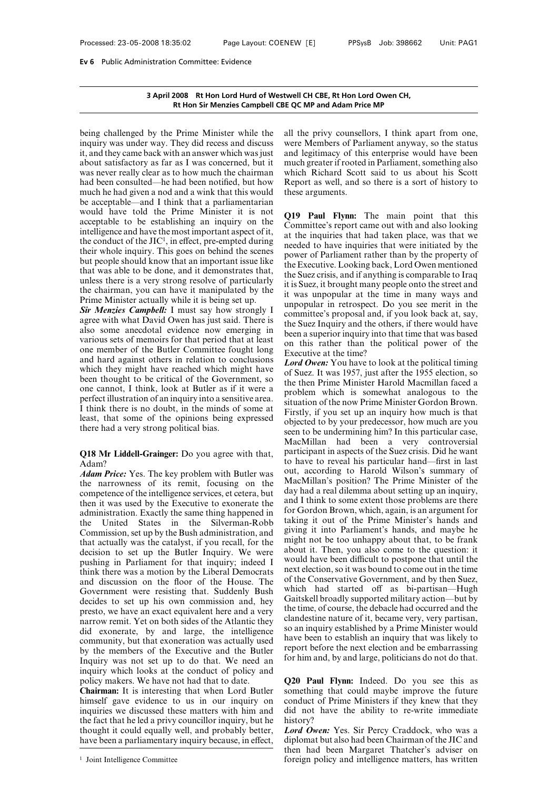# **3 April 2008 Rt Hon Lord Hurd of Westwell CH CBE, Rt Hon Lord Owen CH,** n Committee: Evidence<br>2008 Rt Hon Lord Hurd of Westwell CH CBE, Rt Hon Lord Owen CH,<br>Rt Hon Sir Menzies Campbell CBE QC MP and Adam Price MP

**BE 2008** 3 April 2008 Rt Hon Lord Hurd of Westwell C<br>
Rt Hon Sir Menzies Campbell CBE QC M<br>
being challenged by the Prime Minister while the all the<br>
inquiry was under way. They did recess and discuss were N<br>
it, and they **3 April 2008 Rt Hon Lord Hurd of Westwell Rt Hon Sir Menzies Campbell CBE QC**<br>
being challenged by the Prime Minister while the all the<br>
inquiry was under way. They did recess and discuss were<br>
it, and they came back with 3 April 2008 Rt Hon Lord Hurd of Westwell<br>Rt Hon Sir Menzies Campbell CBE QC<br>being challenged by the Prime Minister while the all t<br>inquiry was under way. They did recess and discuss were<br>it, and they came back with an ans **EXECUTE:**<br> **At Hon Sir Menzies Campbell CBE QC**<br>
being challenged by the Prime Minister while the all t<br>
inquiry was under way. They did recess and discuss were<br>
it, and they came back with an answer which was just and<br>
a which shinkings campacing continuation.<br>
being challenged by the Prime Minister while the all the p<br>
inquiry was under way. They did recess and discuss were Me:<br>
it, and they came back with an answer which was just and leg being challenged by the Prime Minister while the all the privy<br>inquiry was under way. They did recess and discuss were Membe<br>it, and they came back with an answer which was just and legitima<br>about satisfactory as far as I being challenged by the Prime Minister while the all the p<br>inquiry was under way. They did recess and discuss were Me<br>it, and they came back with an answer which was just and legit<br>about satisfactory as far as I was concer inquiry was under way. They did recess and discuss were Me<br>it, and they came back with an answer which was just and legit<br>about satisfactory as far as I was concerned, but it much gree<br>was never really clear as to how muc it, and they came back with an answer which was just<br>about satisfactory as far as I was concerned, but it muc<br>about satisfactory as far as I was concerned, but it muc<br>was never really clear as to how much the chairman whi about satisfactory as far as I was concerned, but it much a<br>about satisfactory as far as I was concerned, but it much a<br>was never really clear as to how much the chairman which<br>had been consulted—he had been notified, but was never really clear as to how much the chairman<br>had been consulted—he had been notified, but how Re<br>much he had given a nod and a wink that this would<br>the<br>be acceptable—and I think that a parliamentarian<br>would have tol was never really clear as to how much the chairman<br>had been consulted—he had been notified, but how<br>much he had given a nod and a wink that this would<br>be acceptable—and I think that a parliamentarian<br>would have told the P Exercise that the end been notified, but how<br>
decrease that this would<br>
decrease and a wink that this would<br>
these are hink that a parliamentarian<br>
Prime Minister it is not<br>
plishing an inquiry on the<br>
empted during<br>
empt much he had given a nod and a wink that this would<br>be acceptable—and I think that a parliamentarian<br>would have told the Prime Minister it is not<br>acceptable to be establishing an inquiry on the<br>intelligence and have the mo be acceptable—and I think that a parliamentarian<br>would have told the Prime Minister it is not<br>acceptable to be establishing an inquiry on the<br>intelligence and have the most important aspect of it,<br>the conduct of the JIC<sup>1</sup> would have told the Prime Minister it is not<br>acceptable to be establishing an inquiry on the<br>intelligence and have the most important aspect of it,<br>the conduct of the JIC<sup>1</sup>, in effect, pre-empted during<br>their whole inqui Exerce that was able to be establishing an inquiry on the<br>
intelligence and have the most important aspect of it,<br>
the conduct of the JIC<sup>1</sup>, in effect, pre-empted during<br>
their whole inquiry. This goes on behind the scen intelligence and have the most important aspect of it,<br>the conduct of the JIC<sup>1</sup>, in effect, pre-empted during<br>their whole inquiry. This goes on behind the scenes<br>but people should know that an important issue like<br>that w the conduct of the JIC<sup>1</sup>, in effect, pre-empted during<br>their whole inquiry. This goes on behind the scenes<br>but people should know that an important issue like<br>that was able to be done, and it demonstrates that,<br>unless the their whole inquiry. This goes on behind the scenes<br>but people should know that an important issue like<br>that was able to be done, and it demonstrates that,<br>the Sir unless there is a very strong resolve of particularly<br>the but people should know that an important issue like<br>that was able to be done, and it demonstrates that, the E<br>unless there is a very strong resolve of particularly<br>tis S<br>the chairman, you can have it manipulated by the<br>it

that was able to be done, and it demonstrates that,<br>the Exect<br>unless there is a very strong resolve of particularly<br>the Suez,<br>the chairman, you can have it manipulated by the<br>Frime Minister actually while it is being set unless there is a very strong resolve of particularly<br>the chairman, you can have it manipulated by the<br>prime Minister actually while it is being set up.<br>**Sir Menzies Campbell:** I must say how strongly I any<br>agree with wha the chairman, you can have it manipulated by the<br>
Prime Minister actually while it is being set up.<br>
Sir Menzies Campbell: I must say how strongly I appropulated with what David Owen has just said. There is<br>
also some ane Prime Minister actually while it is being set up.<br> **Sir Menzies Campbell:** I must say how strongly I comm<br>
agree with what David Owen has just said. There is<br>
also some anecdotal evidence now emerging in<br>
various sets of **Sir Menzies Campbell:** I must say how strongly I agree with what David Owen has just said. There is also some anecdotal evidence now emerging in various sets of memoirs for that period that at least one member of the But Example with what David Owen has just said. There is<br>also some anecdotal evidence now emerging in<br>the Suez<br>also some anecdotal evidence now emerging in<br>the Suez<br>and hard against others in relation to conclusions<br>which the also some anecdotal evidence now emerging in<br>various sets of memoirs for that period that at least<br>one member of the Butler Committee fought long<br>and hard against others in relation to conclusions<br>which they might have rea various sets of memoirs for that period that at least<br>one member of the Butler Committee fought long<br>and hard against others in relation to conclusions<br>which they might have reached which might have<br>been thought to be cri one member of the Butler Committee fought long<br>and hard against others in relation to conclusions<br>which they might have reached which might have<br>been thought to be critical of the Government, so<br>one cannot, I think, look and hard against others in relation to conclusions<br>which they might have reached which might have<br>which they might have reached which might have<br>of Suez.<br>been thought to be critical of the Government, so<br>the then<br>one cann which they might have reached which might<br>been thought to be critical of the Governi<br>one cannot, I think, look at Butler as if i<br>perfect illustration of an inquiry into a sensit<br>I think there is no doubt, in the minds of<br> one cannot, 1 think, look at Butler as if it were a<br>perfect illustration of an inquiry into a sensitive area.<br>I think there is no doubt, in the minds of some at<br>least, that some of the opinions being expressed<br>there had a

### Adam?

*Adam Price:* Yes. The key problem with Butler was competence of the intelligence services of the seen to have a metal metal of the matric to have a metal metal of the matric to have a metal of the matric to have a metal o there had a very strong political bias.<br>
there had a very strong political bias.<br> **Q18 Mr Liddell-Grainger:** Do you agree with that, particity<br>
Adam?<br> **Adam Price:** Yes. The key problem with Butler was out, a<br>
the narrown example interestigations. The interest of the intelligence of the intelligence services, et cetera, but aloministration. Exactly the same thing happened in administration. Exactly the same thing happened in for  $\ell$ MacM<br> **Q18 Mr Liddell-Grainger:** Do you agree with that, partici<br>
dam?<br> **Adam Price:** Yes. The key problem with Butler was out, a<br>
the narrowness of its remit, focusing on the MacM<br>
competence of the intelligence services, **Q18 Mr Liddell-Grainger:** Do you agree with that, participa<br>Adam?<br>Adam?<br>Adam Price: Yes. The key problem with Butler was out, accurate the narrowness of its remit, focusing on the MacMill<br>competence of the intelligence s Adam? to have the Malam? to have the Malam Price: Yes. The key problem with Butler was out, acception and the narrowness of its remit, focusing on the MacMill competence of the intelligence services, et cetera, but day had **Adam Price:** Yes. The key problem with Butler was<br>the narrowness of its remit, focusing on the MacMill<br>competence of the intelligence services, et cetera, but<br>day had i<br>then it was used by the Executive to exonerate the the narrowness of its remit, focusing on the MacM<br>competence of the intelligence services, et cetera, but<br>then it was used by the Executive to exonerate the and I t<br>administration. Exactly the same thing happened in for Go competence of the intelligence services, et cetera, but<br>then it was used by the Executive to exonerate the<br>administration. Exactly the same thing happened in<br>the United States in the Silverman-Robb taking<br>Commission, set then it was used by the Executive to exonerate the and I<br>then it was used by the Executive to exonerate the and I<br>administration. Exactly the same thing happened in for G<br>the United States in the Silverman-Robb takin<br>Comm administration. Exactly the same thing happened in for G<br>the United States in the Silverman-Robb takin<br>Commission, set up by the Bush administration, and giving<br>that actually was the catalyst, if you recall, for the might the United States in the Silverman-Robb taking<br>Commission, set up by the Bush administration, and giving<br>that actually was the catalyst, if you recall, for the might<br>decision to set up the Butler Inquiry. We were about<br>pus Commission, set up by the Bush administration, and<br>that actually was the catalyst, if you recall, for the might no<br>decision to set up the Butler Inquiry. We were about it.<br>pushing in Parliament for that inquiry; indeed I that actually was the catalyst, if you recall, for the might n<br>decision to set up the Butler Inquiry. We were about in<br>pushing in Parliament for that inquiry; indeed I would h<br>think there was a motion by the Liberal Democr decision to set up the Butler Inquiry. We were<br>pushing in Parliament for that inquiry; indeed I would h<br>think there was a motion by the Liberal Democrats<br>and discussion on the floor of the House. The of the C<br>Government we pushing in Parliament for that inquiry; indeed I would h<br>think there was a motion by the Liberal Democrats<br>and discussion on the floor of the House. The streaked<br>decides to set up his own commission and, hey claits<br>decides think there was a motion by the Liberal Democrats<br>and discussion on the floor of the House. The of the Government were resisting that. Suddenly Bush<br>decides to set up his own commission and, hey Gaitsk<br>presto, we have an e and discussion on the floor of the House. The of the Co<br>Government were resisting that. Suddenly Bush which h<br>decides to set up his own commission and, hey Gaitskell<br>presto, we have an exact equivalent here and a very the Government were resisting that. Suddenly Bush which<br>decides to set up his own commission and, hey Gaits<br>presto, we have an exact equivalent here and a very the tin<br>narrow remit. Yet on both sides of the Atlantic they cland decides to set up his own commission and, hey<br>presto, we have an exact equivalent here and a very<br>narrow remit. Yet on both sides of the Atlantic they<br>did exonerate, by and large, the intelligence so an inq<br>community, but presto, we have an exact equivalent here and a very the time,<br>narrow remit. Yet on both sides of the Atlantic they clandesti<br>did exonerate, by and large, the intelligence so an inq<br>community, but that exoneration was actua presto, we have an exact equivalent here and a very<br>narrow remit. Yet on both sides of the Atlantic they<br>did exonerate, by and large, the intelligence<br>community, but that exoneration was actually used<br>by the members of the did exonerate, by and large, the intelligence so an community, but that exoneration was actually used have<br>by the members of the Executive and the Butler repor<br>Inquiry was not set up to do that. We need an for hi<br>inquiry w community, but that exoneration was actually used<br>by the members of the Executive and the Butler<br>Inquiry was not set up to do that. We need an<br>inquiry which looks at the conduct of policy and<br>policy makers. We have not ha

by the members of the Executive and the Butler<br>Inquiry was not set up to do that. We need an<br>inquiry which looks at the conduct of policy and<br>policy makers. We have not had that to date.<br>**Chairman:** It is interesting that Inquiry was not set up to do that. We need an<br>inquiry which looks at the conduct of policy and<br>policy makers. We have not had that to date.  $Q20$  I<br>**Chairman:** It is interesting that when Lord Butler someth<br>himself gave e inquiry which looks at the conduct of policy and<br>policy makers. We have not had that to date.  $Q2$ <br>**Chairman:** It is interesting that when Lord Butler sor<br>himself gave evidence to us in our inquiry on cor-<br>inquiries we di policy makers. We have not had that to date. Calculation Chairman: It is interesting that when Lord Butler sometimes we discussed these matters with him and did the fact that he led a privy councillor inquiry, but he his t

E QC MP and Adam Price MP<br>
E QC MP and Adam Price MP<br>
all the privy counsellors, I think apart from one,<br>
were Members of Parliament anyway, so the status<br>
and legitimacy of this enterprise would have been twell CH CBE, Rt Hon Lord Owen CH,<br>
E QC MP and Adam Price MP<br>
all the privy counsellors, I think apart from one,<br>
were Members of Parliament anyway, so the status<br>
and legitimacy of this enterprise would have been<br>
much g EXTREE, Rt Hon Lord Owen CH,<br>
EXPLACE QC MP and Adam Price MP<br>
all the privy counsellors, I think apart from one,<br>
were Members of Parliament anyway, so the status<br>
and legitimacy of this enterprise would have been<br>
much g E QC MP and Adam Price MP<br>all the privy counsellors, I think apart from one,<br>were Members of Parliament anyway, so the status<br>and legitimacy of this enterprise would have been<br>much greater if rooted in Parliament, somethin Example 12 and Adam Thee Millet Scott said the privy counsellors, I think apart from one, were Members of Parliament anyway, so the status and legitimacy of this enterprise would have been much greater if rooted in Parliam all the privy counsellors, I think apart from one, were Members of Parliament anyway, so the status and legitimacy of this enterprise would have been much greater if rooted in Parliament, something also which Richard Scott all the privy counselle<br>were Members of Parl<br>and legitimacy of this<br>much greater if rooted<br>which Richard Scott<br>Report as well, and sc<br>these arguments. and legitimacy of this enterprise would have been<br>much greater if rooted in Parliament, something also<br>which Richard Scott said to us about his Scott<br>Report as well, and so there is a sort of history to<br>these arguments.<br>Q1 much greater if rooted in Parliament, something also<br>which Richard Scott said to us about his Scott<br>Report as well, and so there is a sort of history to<br>these arguments.<br>Q19 Paul Flynn: The main point that this<br>Committee's

which Richard Scott said to us about his Scott<br>Report as well, and so there is a sort of history to<br>these arguments.<br>Q19 Paul Flynn: The main point that this<br>Committee's report came out with and also looking<br>at the inquiri Report as well, and so there is a sort of history to<br>these arguments.<br>Q19 Paul Flynn: The main point that this<br>Committee's report came out with and also looking<br>at the inquiries that had taken place, was that we<br>needed to these arguments.<br> **Q19 Paul Flynn:** The main point that this<br>
Committee's report came out with and also looking<br>
at the inquiries that had taken place, was that we<br>
needed to have inquiries that were initiated by the<br>
powe **Q19 Paul Flynn:** The main point that this Committee's report came out with and also looking at the inquiries that had taken place, was that we needed to have inquiries that were initiated by the power of Parliament rather **Q19 Paul Flynn:** The main point that this Committee's report came out with and also looking at the inquiries that had taken place, was that we needed to have inquiries that were initiated by the power of Parliament rather Committee's report came out with and also looking<br>at the inquiries that had taken place, was that we<br>needed to have inquiries that were initiated by the<br>power of Parliament rather than by the property of<br>the Executive. Loo at the inquiries that had taken place, was that we<br>needed to have inquiries that were initiated by the<br>power of Parliament rather than by the property of<br>the Executive. Looking back, Lord Owen mentioned<br>the Suez crisis, an needed to have inquiries that were initiated by the<br>power of Parliament rather than by the property of<br>the Executive. Looking back, Lord Owen mentioned<br>the Suez crisis, and if anything is comparable to Iraq<br>it is Suez, it power of Parliament rather than by the property of<br>the Executive. Looking back, Lord Owen mentioned<br>the Suez crisis, and if anything is comparable to Iraq<br>it is Suez, it brought many people onto the street and<br>it was unpop the Executive. Looking back, Lord Owen mentioned<br>the Suez crisis, and if anything is comparable to Iraq<br>it is Suez, it brought many people onto the street and<br>it was unpopular at the time in many ways and<br>unpopular in retr the Suez crisis, and if anything is comparable to Iraq<br>it is Suez, it brought many people onto the street and<br>it was unpopular at the time in many ways and<br>unpopular in retrospect. Do you see merit in the<br>committee's propo it is Suez, it brought many people onto the street and<br>it is Suez, it brought many people onto the street and<br>it was unpopular at the time in many ways and<br>unpopular in retrospect. Do you see merit in the<br>committee's propo it was unpopular at the time<br>unpopular in retrospect. Do<br>committee's proposal and, if y<br>the Suez Inquiry and the other<br>been a superior inquiry into tha<br>on this rather than the po<br>Executive at the time?<br>Lord Owen: You have unpopular in retrospect. Do you see merit in the<br>committee's proposal and, if you look back at, say,<br>the Suez Inquiry and the others, if there would have<br>been a superior inquiry into that time that was based<br>on this rather committee's proposal and, if you look back at, say,<br>committee's proposal and, if you look back at, say,<br>the Suez Inquiry and the others, if there would have<br>been a superior inquiry into that time that was based<br>on this rat

the Suez Inquiry and the others, if there would have<br>the Suez Inquiry and the others, if there would have<br>been a superior inquiry into that time that was based<br>on this rather than the political power of the<br>Executive at th been a superior inquiry into that time that was based<br>on this rather than the political power of the<br>Executive at the time?<br>*Lord Owen:* You have to look at the political timing<br>of Suez. It was 1957, just after the 1955 on this rather than the political power of the<br>Executive at the time?<br>**Lord Owen:** You have to look at the political timing<br>of Suez. It was 1957, just after the 1955 election, so<br>the then Prime Minister Harold Macmillan fa Executive at the time?<br> *Lord Owen*: You have to look at the political timing<br>
of Suez. It was 1957, just after the 1955 election, so<br>
the then Prime Minister Harold Macmillan faced a<br>
problem which is somewhat analogous **Lord Owen:** You have to look at the political timing<br>of Suez. It was 1957, just after the 1955 election, so<br>the then Prime Minister Harold Macmillan faced a<br>problem which is somewhat analogous to the<br>situation of the now of Suez. It was 1957, just after the 1955 election, so<br>the then Prime Minister Harold Macmillan faced a<br>problem which is somewhat analogous to the<br>situation of the now Prime Minister Gordon Brown.<br>Firstly, if you set up an the then Prime Minister Harold Macmillan faced a<br>problem which is somewhat analogous to the<br>situation of the now Prime Minister Gordon Brown.<br>Firstly, if you set up an inquiry how much is that<br>objected to by your predecess problem which is somewhat analogous to the<br>situation of the now Prime Minister Gordon Brown.<br>Firstly, if you set up an inquiry how much is that<br>objected to by your predecessor, how much are you<br>seen to be undermining him? situation of the now Prime Minister Gordon Brown.<br>Firstly, if you set up an inquiry how much is that<br>objected to by your predecessor, how much are you<br>seen to be undermining him? In this particular case,<br>MacMillan had been Firstly, if you set up an inquiry how much is that<br>objected to by your predecessor, how much are you<br>seen to be undermining him? In this particular case,<br>MacMillan had been a very controversial<br>participant in aspects of th objected to by your predecessor, how much are you<br>seen to be undermining him? In this particular case,<br>MacMillan had been a very controversial<br>participant in aspects of the Suez crisis. Did he want<br>to have to reveal his pa objected to by your predecessor, how much are you<br>seen to be undermining him? In this particular case,<br>MacMillan had been a very controversial<br>participant in aspects of the Suez crisis. Did he want<br>to have to reveal his pa MacMillan had been a very controversial<br>participant in aspects of the Suez crisis. Did he want<br>to have to reveal his particular hand—first in last<br>out, according to Harold Wilson's summary of<br>MacMillan's position? The Prim participant in aspects of the Suez crisis. Did he want<br>to have to reveal his particular hand—first in last<br>out, according to Harold Wilson's summary of<br>MacMillan's position? The Prime Minister of the<br>day had a real dilemma to have to reveal his particular hand—first in last<br>out, according to Harold Wilson's summary of<br>MacMillan's position? The Prime Minister of the<br>day had a real dilemma about setting up an inquiry,<br>and I think to some exten out, according to Harold Wilson's summary of MacMillan's position? The Prime Minister of the day had a real dilemma about setting up an inquiry, and I think to some extent those problems are there for Gordon Brown, which, MacMillan's position? The Prime Minister of the<br>day had a real dilemma about setting up an inquiry,<br>and I think to some extent those problems are there<br>for Gordon Brown, which, again, is an argument for<br>taking it out of th day had a real dilemma about setting up an inquiry,<br>and I think to some extent those problems are there<br>for Gordon Brown, which, again, is an argument for<br>taking it out of the Prime Minister's hands and<br>giving it into Parl and I think to some extent those problems are there<br>for Gordon Brown, which, again, is an argument for<br>taking it out of the Prime Minister's hands and<br>giving it into Parliament's hands, and maybe he<br>might not be too unhapp for Gordon Brown, which, again, is an argument for<br>taking it out of the Prime Minister's hands and<br>giving it into Parliament's hands, and maybe he<br>might not be too unhappy about that, to be frank<br>about it. Then, you also c taking it out of the Prime Minister's hands and<br>giving it out of the Prime Minister's hands and<br>giving it into Parliament's hands, and maybe he<br>might not be too unhappy about that, to be frank<br>about it. Then, you also come giving it into Parliament's hands, and maybe he<br>might not be too unhappy about that, to be frank<br>about it. Then, you also come to the question: it<br>would have been difficult to postpone that until the<br>next election, so it w might not be too unhappy about that, to be frank<br>about it. Then, you also come to the question: it<br>would have been difficult to postpone that until the<br>next election, so it was bound to come out in the time<br>of the Conserva about it. Then, you also come to the question: it<br>would have been difficult to postpone that until the<br>next election, so it was bound to come out in the time<br>of the Conservative Government, and by then Suez,<br>which had star would have been difficult to postpone that until the<br>next election, so it was bound to come out in the time<br>of the Conservative Government, and by then Suez,<br>which had started off as bi-partisan—Hugh<br>Gaitskell broadly supp next election, so it was bound to come out in the time<br>of the Conservative Government, and by then Suez,<br>which had started off as bi-partisan—Hugh<br>Gaitskell broadly supported military action—but by<br>the time, of course, the of the Conservative Government, and by then Suez,<br>which had started off as bi-partisan—Hugh<br>Gaitskell broadly supported military action—but by<br>the time, of course, the debacle had occurred and the<br>clandestine nature of it, which had started off as bi-partisan—Hugh<br>Gaitskell broadly supported military action—but by<br>the time, of course, the debacle had occurred and the<br>clandestine nature of it, became very, very partisan,<br>so an inquiry establi Gaitskell broadly supported military action—but by<br>the time, of course, the debacle had occurred and the<br>clandestine nature of it, became very, very partisan,<br>so an inquiry established by a Prime Minister would<br>have been t clandestine nature of it, became very, very partisan,<br>so an inquiry established by a Prime Minister would<br>have been to establish an inquiry that was likely to<br>report before the next election and be embarrassing<br>for him and

so an inquiry established by a Prime Minister would<br>have been to establish an inquiry that was likely to<br>report before the next election and be embarrassing<br>for him and, by and large, politicians do not do that.<br>Q20 Paul F have been to establish an inquiry that was likely to<br>report before the next election and be embarrassing<br>for him and, by and large, politicians do not do that.<br>**Q20 Paul Flynn:** Indeed. Do you see this as<br>something that co report before the next election and be embarrassing<br>for him and, by and large, politicians do not do that.<br>**Q20 Paul Flynn:** Indeed. Do you see this as<br>something that could maybe improve the future<br>conduct of Prime Ministe history? **Q20 Paul Flynn:** Indeed. Do you see this as<br>something that could maybe improve the future<br>conduct of Prime Ministers if they knew that they<br>did not have the ability to re-write immediate<br>history?<br>*Lord Owen*: Yes. Sir Per **Q20 Paul Flynn:** Indeed. Do you see this as<br>something that could maybe improve the future<br>conduct of Prime Ministers if they knew that they<br>did not have the ability to re-write immediate<br>history?<br>*Lord Owen:* Yes. Sir Per something that could maybe improve the future<br>conduct of Prime Ministers if they knew that they<br>did not have the ability to re-write immediate<br>history?<br>*Lord Owen*: Yes. Sir Percy Craddock, who was a<br>diplomat but also had

something that could maybe improve the future<br>conduct of Prime Ministers if they knew that they<br>did not have the ability to re-write immediate<br>history?<br>*Lord Owen*: Yes. Sir Percy Craddock, who was a<br>diplomat but also had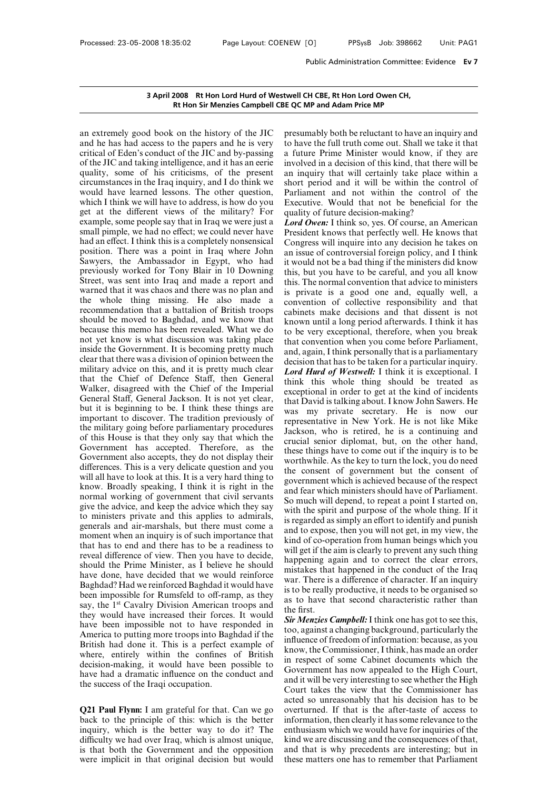3 April 2008 Rt Hon Lord Hurd of Westwell CH CBE,<br>Rt Hon Sir Menzies Campbell CBE QC MP and<br>an extremely good book on the history of the JIC presumably land he has had access to the papers and he is very to have the f<br>crit 3 April 2008 Rt Hon Lord Hurd of Westwell CH<br>Rt Hon Sir Menzies Campbell CBE QC MP<br>an extremely good book on the history of the JIC presuma<br>and he has had access to the papers and he is very to have<br>critical of Eden's cond 3 April 2008 Rt Hon Lord Hurd of Westwell CH<br>
Rt Hon Sir Menzies Campbell CBE QC MP<br>
an extremely good book on the history of the JIC presuma<br>
and he has had access to the papers and he is very to have<br>
critical of Eden's **EXECUTE:**<br> **EXECUTE:**<br> **EXECUTE:**<br> **EXECUTE:**<br> **EXECUTE:**<br> **EXECUTE:**<br> **EXECUTE:**<br> **EXECUTE:**<br> **EXECUTE:**<br> **EXECUTE:**<br> **EXECUTE:**<br> **EXECUTE:**<br> **EXECUTE:**<br> **EXECUTE:**<br> **EXECUTE:**<br> **EXECUTE:**<br> **EXECUTE:**<br> **EXECUTE:**<br> **EXECU** an extremely good book on the history of the JIC pres<br>and he has had access to the papers and he is very to his<br>critical of Eden's conduct of the JIC and by-passing a fu<br>of the JIC and taking intelligence, and it has an ee an extremely good book on the history of the JIC presun<br>and he has had access to the papers and he is very to have<br>critical of Eden's conduct of the JIC and by-passing a futu<br>of the JIC and taking intelligence, and it has an extremely good book on the history of the JIC pre<br>and he has had access to the papers and he is very to left<br>critical of Eden's conduct of the JIC and by-passing a f<br>of the JIC and taking intelligence, and it has an ee and he has had access to the papers and he is very<br>and he has had access to the papers and he is very to have t<br>critical of Eden's conduct of the JIC and by-passing a future<br>of the JIC and taking intelligence, and it has critical of Eden's conduct of the JIC and by-passing a fut<br>of the JIC and taking intelligence, and it has an eerie invol-<br>quality, some of his criticisms, of the present an in<br>circumstances in the Iraq inquiry, and I do t of the JIC and taking intelligence, and it has an eerie involved quality, some of his criticisms, of the present an inquericumstances in the Iraq inquiry, and I do think we short possible would have learned lessons. The o quality, some of his criticisms, of the present an inquirity, some of his criticisms, of the present an inquirival exercit would have learned lessons. The other question, Parlian which I think we will have to address, is circumstances in the Iraq inquiry, and I do think we showould have learned lessons. The other question, Pau which I think we will have to address, is how do you Exget at the different views of the military? For quare exam would have learned lessons. The other question, Parliame<br>which I think we will have to address, is how do you Executive<br>get at the different views of the military? For quality o<br>example, some people say that in Iraq we we which I think we will have to address, is how do you<br>get at the different views of the military? For quality o<br>example, some people say that in Iraq we were just a **Lord Ow**<br>small pimple, we had no effect; we could never get at the different views of the military? For<br>example, some people say that in Iraq we were just a<br>small pimple, we had no effect; we could never have<br>had an effect. I think this is a completely nonsensical<br>position. Th example, some people say that in Iraq we were just a<br>small pimple, we had no effect; we could never have President<br>had an effect. I think this is a completely nonsensical Congress<br>position. There was a point in Iraq where small pimple, we had no effect; we could never have<br>had an effect. I think this is a completely nonsensical Congress<br>position. There was a point in Iraq where John an issue of<br>Sawyers, the Ambassador in Egypt, who had it had an effect. I think this is a completely nonsensical<br>position. There was a point in Iraq where John<br>an issue<br>Sawyers, the Ambassador in Egypt, who had<br>it would<br>previously worked for Tony Blair in 10 Downing<br>this, bu<br>Str position. There was a point in Iraq where John<br>Sawyers, the Ambassador in Egypt, who had it woo<br>previously worked for Tony Blair in 10 Downing this, I<br>Street, was sent into Iraq and made a report and this.<br>Street, was sent Sawyers, the Ambassador in Egypt, who had it wo<br>previously worked for Tony Blair in 10 Downing this,<br>Street, was sent into Iraq and made a report and this.<br>Street, was sent into Iraq and made a report and this.<br>warned that previously worked for Tony Blair in 10 Downing<br>between this, but<br>Street, was sent into Iraq and made a report and<br>this. The<br>warned that it was chaos and there was no plan and<br>is privat<br>the whole thing missing. He also made Street, was sent into Iraq and made a report and<br>this. T<br>warned that it was chaos and there was no plan and<br>this. T<br>warned that it was chaos and there was no plan and<br>is prive<br>the whole thing missing. He also made a conve warned that it was chaos and there was no plan and<br>the whole thing missing. He also made a convention<br>recommendation that a battalion of British troops cabinets<br>should be moved to Baghdad, and we know that<br>because this me the whole thing missing. He also made a conver<br>recommendation that a battalion of British troops cabine<br>should be moved to Baghdad, and we know that knowr<br>because this memo has been revealed. What we do to be<br>not yet know recommendation that a battalion of British troops<br>should be moved to Baghdad, and we know that<br>because this memo has been revealed. What we do<br>not yet know is what discussion was taking place<br>that is is pretty much and, a<br> should be moved to Baghdad, and we know that<br>because this memo has been revealed. What we do<br>not yet know is what discussion was taking place<br>inside the Government. It is becoming pretty much<br>and the Government. It is bec because this memo has been revealed. What we do<br>not yet know is what discussion was taking place<br>inside the Government. It is becoming pretty much<br>and<br>clear that there was a division of opinion between the<br>determilitary a not yet know is what discussion was taking place<br>inside the Government. It is becoming pretty much<br>and clear that there was a division of opinion between the<br>determilitary advice on this, and it is pretty much clear.<br>that inside the Government. It is becoming pretty much<br>clear that there was a division of opinion between the<br>clear that there was a division of opinion between the<br>distribution of think the Chief of Defence Staff, then Genera clear that there was a division of opinion between the<br>military advice on this, and it is pretty much clear<br>that the Chief of Defence Staff, then General<br>Walker, disagreed with the Chief of the Imperial<br>cross Ceneral Staf military advice on this, and it is pretty much clear<br>that the Chief of Defence Staff, then General<br>think<br>Walker, disagreed with the Chief of the Imperial<br>General Staff, General Jackson. It is not yet clear,<br>that I<br>but it i **EXECUTE:**<br>
that the Chief of Defence Staff, then General<br>
Walker, disagreed with the Chief of the Imperial<br>
dink<br>
Walker, disagreed with the Chief of the Imperial<br>
dink<br>
dink<br>
that D<br>
but it is beginning to be. I think th Walker, disagreed with the Chief of the Imperial<br>General Staff, General Jackson. It is not yet clear,<br>but it is beginning to be. I think these things are<br>important to discover. The tradition previously of<br>the military goin General Staff, General Jackson. It is not yet clear,<br>but it is beginning to be. I think these things are<br>important to discover. The tradition previously of<br>the military going before parliamentary procedures<br>of this House i but it is beginning to be. I think these things are<br>important to discover. The tradition previously of<br>the military going before parliamentary procedures<br>of this House is that they only say that which the<br>Government has ac was my<br>important to discover. The tradition previously of<br>the military going before parliamentary procedures<br>of this House is that they only say that which the<br>Government has accepted. Therefore, as the<br>Government also acc the military going before parliamentary procedures<br>of this House is that they only say that which the<br>Government has accepted. Therefore, as the<br>Government also accepts, they do not display their<br>differences. This is a ver of this House is that they only say that which the<br>Government has accepted. Therefore, as the<br>Government also accepts, they do not display their<br>differences. This is a very delicate question and you<br>will all have to look a Government has accepted. Therefore, as the Government also accepts, they do not display their<br>differences. This is a very delicate question and you<br>will all have to look at this. It is a very hard thing to<br>know. Broadly sp Government also accepts, they do not display their<br>differences. This is a very delicate question and you<br>will all have to look at this. It is a very hard thing to<br>know. Broadly speaking, I think it is right in the<br>normal differences. This is a very delicate question and you<br>will all have to look at this. It is a very hard thing to<br>have. Broadly speaking, I think it is right in the<br>normal working of government that civil servants<br>give the a will all have to look at this. It is a very hard thing to<br>know. Broadly speaking, I think it is right in the<br>normal working of government that civil servants<br>give the advice, and keep the advice which they say<br>to ministers know. Broadly speaking, I think it is right in the and fear normal working of government that civil servants and fear normal working of government that civil servants So much give the advice, and keep the advice which they mormal working of government that civil servants<br>give the advice, and keep the advice which they say<br>to ministers private and this applies to admirals,<br>generals and air-marshals, but there must come a<br>moment when an inquir So much<br>give the advice, and keep the advice which they say<br>to ministers private and this applies to admirals,<br>generals and air-marshals, but there must come a<br>moment when an inquiry is of such importance that<br>that has to to ministers private and this applies to admirals,<br>generals and air-marshals, but there must come a<br>moment when an inquiry is of such importance that<br>that has to end and there has to be a readiness to<br>reveal difference of generals and air-marshals, but there must come a<br>moment when an inquiry is of such importance that<br>that has to end and there has to be a readiness to<br>will ge<br>reveal difference of view. Then you have to decide,<br>should the moment when an inquiry is of such importance that<br>
that has to end and there has to be a readiness to<br>
reveal difference of view. Then you have to decide,<br>
should the Prime Minister, as I believe he should<br>
have done, hav that has to end and there has to be a readiness to<br>reveal difference of view. Then you have to decide,<br>should the Prime Minister, as I believe he should<br>happenir<br>have done, have decided that we would reinforce<br>Baghdad? Ha reveal difference of view. Then you have to decide,<br>should the Prime Minister, as I believe he should<br>have have done, have decided that we would reinforce<br>Baghdad? Had we reinforced Baghdad it would have<br>been impossible f should the Prime Minister, as I believe he should<br>have done, have decided that we would reinforce<br>haghdad? Had we reinforced Baghdad it would have<br>been impossible for Rumsfeld to off-ramp, as they<br>say, the 1<sup>st</sup> Cavalry D have done, have decided that we would reinforce<br>
Baghdad? Had we reinforced Baghdad it would have<br>
been impossible for Rumsfeld to off-ramp, as they<br>
say, the 1<sup>st</sup> Cavalry Division American troops and<br>
the firs<br>
say, the Baghdad? Had we reinforced Baghdad it would have<br>been impossible for Rumsfeld to off-ramp, as they<br>say, the 1<sup>st</sup> Cavalry Division American troops and<br>they would have increased their forces. It would<br>have been impossible been impossible for Rumsfeld to off-ramp, as they<br>say, the 1<sup>st</sup> Cavalry Division American troops and<br>the first.<br>they would have increased their forces. It would<br>have been impossible not to have responded in<br>America to pu say, the <sup>1st</sup> Cavalry Division American troops and<br>they would have increased their forces. It would<br>have been impossible not to have responded in<br>America to putting more troops into Baghdad if the<br>decision-making, it wou they would have increased their forces. It would<br>have been impossible not to have responded in<br>America to putting more troops into Baghdad if the<br>British had done it. This is a perfect example of<br>where, entirely within th have been impossible not to have responsible not to have responsible and done it. This is a perfect externe, entirely within the confines decision-making, it would have been phave had a dramatic influence on the confinent **EXECUTE: EXECUTE: EXECUTE: EXECUTE: EXECUTE: EXECUTE: EXECUTE: EXECUTE: EXECUTE: EXECUTE: EXECUTE: EXECUTE: EXECUTE: EXECUTE: EXECUTE: COVERENT: COVERENT: COVERENT: COVERENT: COVERENT** 

where, entirely within the continues of British<br>decision-making, it would have been possible to<br>have had a dramatic influence on the conduct and<br>the success of the Iraqi occupation.<br>Q21 Paul Flynn: I am grateful for that. decision-making, it would have been possible to<br>have had a dramatic influence on the conduct and<br>the success of the Iraqi occupation.<br>**Q21 Paul Flynn:** I am grateful for that. Can we go overtu<br>back to the principle of this mave had a dramatic inhuence on the conduct and<br>the success of the Iraqi occupation. Co<br>co<br>**Q21 Paul Flynn:** I am grateful for that. Can we go<br>back to the principle of this: which is the better inf<br>inquiry, which is the be Court ta<br>
acted so<br> **Q21 Paul Flynn:** I am grateful for that. Can we go<br>
both the principle of this: which is the better informat<br>
inquiry, which is the better way to do it? The<br>
difficulty we had over Iraq, which is almos acted so<br> **Q21 Paul Flynn:** I am grateful for that. Can we go<br>
back to the principle of this: which is the better informat<br>
inquiry, which is the better way to do it? The enthusias<br>
difficulty we had over Iraq, which is al

Example CH CBE, Rt Hon Lord Owen CH,<br>
Fig. QC MP and Adam Price MP<br>
presumably both be reluctant to have an inquiry and<br>
to have the full truth come out. Shall we take it that<br>
a future Prime Minister would know, if they a twell CH CBE, Rt Hon Lord Owen CH,<br>
E QC MP and Adam Price MP<br>
presumably both be reluctant to have an inquiry and<br>
to have the full truth come out. Shall we take it that<br>
a future Prime Minister would know, if they are<br>
i **EXECT COMP and Adam Price MP**<br>**EXECT COMP and Adam Price MP**<br>presumably both be reluctant to have an inquiry and<br>to have the full truth come out. Shall we take it that<br>a future Prime Minister would know, if they are<br>invol is a decision of this kind, that there will be an inquiry and<br>presumably both be reluctant to have an inquiry and<br>to have the full truth come out. Shall we take it that<br>a future Prime Minister would know, if they are<br>invol and shall certain increase that will be reluctant to have an inquiry and<br>to have the full truth come out. Shall we take it that<br>a future Prime Minister would know, if they are<br>involved in a decision of this kind, that ther presumably both be reluctant to have an inquiry and<br>to have the full truth come out. Shall we take it that<br>a future Prime Minister would know, if they are<br>involved in a decision of this kind, that there will be<br>an inquiry presumably both be reluctant to have an inquiry and<br>to have the full truth come out. Shall we take it that<br>a future Prime Minister would know, if they are<br>involved in a decision of this kind, that there will be<br>an inquiry to have the full truth come out. Shall we take it that<br>a future Prime Minister would know, if they are<br>involved in a decision of this kind, that there will be<br>an inquiry that will certainly take place within a<br>short period a future Prime Minister would know, if<br>involved in a decision of this kind, that the<br>an inquiry that will certainly take place<br>short period and it will be within the co<br>Parliament and not within the control<br>Executive. Woul involved in a decision of this kind, that there will be<br>an inquiry that will certainly take place within a<br>short period and it will be within the control of<br>Parliament and not within the control of the<br>Executive. Would tha an inquiry that will certainly take place within a<br>short period and it will be within the control of<br>Parliament and not within the control of the<br>Executive. Would that not be beneficial for the<br>quality of future decision-m

short period and it will be within the control of<br>Parliament and not within the control of the<br>Executive. Would that not be beneficial for the<br>quality of future decision-making?<br>*Lord Owen*: I think so, yes. Of course, an Parliament and not within the control of the<br>Executive. Would that not be beneficial for the<br>quality of future decision-making?<br>*Lord Owen*: I think so, yes. Of course, an American<br>President knows that perfectly well. He k Executive. Would that not be beneficial for the<br>quality of future decision-making?<br>*Lord Owen***:** I think so, yes. Of course, an American<br>President knows that perfectly well. He knows that<br>Congress will inquire into any de quality of future decision-making?<br> *Lord Owen*: I think so, yes. Of course, an American<br>
President knows that perfectly well. He knows that<br>
Congress will inquire into any decision he takes on<br>
an issue of controversial f *Lord Owen:* I think so, yes. Of course, an American President knows that perfectly well. He knows that Congress will inquire into any decision he takes on an issue of controversial foreign policy, and I think it would President knows that perfectly well. He knows that<br>Congress will inquire into any decision he takes on<br>an issue of controversial foreign policy, and I think<br>it would not be a bad thing if the ministers did know<br>this, but y Congress will inquire into any decision he takes on<br>an issue of controversial foreign policy, and I think<br>it would not be a bad thing if the ministers did know<br>this, but you have to be careful, and you all know<br>this. The n an issue of controversial foreign policy, and I think<br>it would not be a bad thing if the ministers did know<br>this, but you have to be careful, and you all know<br>this. The normal convention that advice to ministers<br>is private it would not be a bad thing if the ministers did know<br>this, but you have to be careful, and you all know<br>this. The normal convention that advice to ministers<br>is private is a good one and, equally well, a<br>convention of coll this, but you have to be careful, and you all know<br>this. The normal convention that advice to ministers<br>is private is a good one and, equally well, a<br>convention of collective responsibility and that<br>cabinets make decisions this. The normal convention that advice to ministers<br>is private is a good one and, equally well, a<br>convention of collective responsibility and that<br>cabinets make decisions and that dissent is not<br>known until a long period is private is a good one and, equally well, a<br>convention of collective responsibility and that<br>cabinets make decisions and that dissent is not<br>known until a long period afterwards. I think it has<br>to be very exceptional, th convention of collective responsibility and that cabinets make decisions and that dissent is not known until a long period afterwards. I think it has to be very exceptional, therefore, when you break that convention when y cabinets make decisions and that dissent is not<br>known until a long period afterwards. I think it has<br>to be very exceptional, therefore, when you break<br>that convention when you come before Parliament,<br>and, again, I think pe known until a long period afterwards. I think it has<br>to be very exceptional, therefore, when you break<br>that convention when you come before Parliament,<br>and, again, I think personally that is a parliamentary<br>decision that h to be very exceptional, therefore, when you break<br>that convention when you come before Parliament,<br>and, again, I think personally that is a parliamentary<br>decision that has to be taken for a particular inquiry.<br>Lord Hurd of that convention when you come before Parliament,<br>and, again, I think personally that is a parliamentary<br>decision that has to be taken for a particular inquiry.<br>Lord Hurd of Westwell: I think it is exceptional. I<br>think this and, again, I think personally that is a parliamentary<br>decision that has to be taken for a particular inquiry.<br>*Lord Hurd of Westwell*: I think it is exceptional. I<br>think this whole thing should be treated as<br>exceptional i decision that has to be taken for a particular inquiry.<br> **Lord Hurd of Westwell:** I think it is exceptional. I<br>
think this whole thing should be treated as<br>
exceptional in order to get at the kind of incidents<br>
that David Lord Hurd of Westwell: I think it is exceptional. I<br>think this whole thing should be treated as<br>exceptional in order to get at the kind of incidents<br>that David is talking about. I know John Sawers. He<br>was my private secret think this whole thing should be treated as<br>exceptional in order to get at the kind of incidents<br>that David is talking about. I know John Sawers. He<br>was my private secretary. He is now our<br>representative in New York. He is exceptional in order to get at the kind of incidents<br>that David is talking about. I know John Sawers. He<br>was my private secretary. He is now our<br>representative in New York. He is not like Mike<br>Jackson, who is retired, he i that David is talking about. I know John Sawers. He<br>was my private secretary. He is now our<br>representative in New York. He is not like Mike<br>Jackson, who is retired, he is a continuing and<br>crucial senior diplomat, but, on t was my private secretary. He is now our<br>representative in New York. He is not like Mike<br>Jackson, who is retired, he is a continuing and<br>crucial senior diplomat, but, on the other hand,<br>these things have to come out if the representative in New York. He is not like Mike<br>Jackson, who is retired, he is a continuing and<br>crucial senior diplomat, but, on the other hand,<br>these things have to come out if the inquiry is to be<br>worthwhile. As the key Jackson, who is retired, he is a continuing and<br>crucial senior diplomat, but, on the other hand,<br>these things have to come out if the inquiry is to be<br>worthwhile. As the key to turn the lock, you do need<br>the consent of gov crucial senior diplomat, but, on the other hand,<br>these things have to come out if the inquiry is to be<br>worthwhile. As the key to turn the lock, you do need<br>the consent of government but the consent of<br>government which is a these things have to come out if the inquiry is to be worthwhile. As the key to turn the lock, you do need the consent of government but the consent of government which is achieved because of the respect and fear which min worthwhile. As the key to turn the lock, you do need<br>the consent of government but the consent of<br>government which is achieved because of the respect<br>and fear which ministers should have of Parliament.<br>So much will depend, the consent of government but the consent of government which is achieved because of the respect and fear which ministers should have of Parliament.<br>So much will depend, to repeat a point I started on, with the spirit and government which is achieved because of the respect<br>and fear which ministers should have of Parliament.<br>So much will depend, to repeat a point I started on,<br>with the spirit and purpose of the whole thing. If it<br>is regarded and fear which ministers should have of Parliament.<br>So much will depend, to repeat a point I started on,<br>with the spirit and purpose of the whole thing. If it<br>is regarded as simply an effort to identify and punish<br>and to e So much will depend, to repeat a point I started on,<br>with the spirit and purpose of the whole thing. If it<br>is regarded as simply an effort to identify and punish<br>and to expose, then you will not get, in my view, the<br>kind o with the spirit and purpose of the whole thing. If it<br>is regarded as simply an effort to identify and punish<br>and to expose, then you will not get, in my view, the<br>kind of co-operation from human beings which you<br>will get i is regarded as simply an effort to identify and punish<br>and to expose, then you will not get, in my view, the<br>kind of co-operation from human beings which you<br>will get if the aim is clearly to prevent any such thing<br>happeni and to expose, then you will not get, in my view, the<br>kind of co-operation from human beings which you<br>will get if the aim is clearly to prevent any such thing<br>happening again and to correct the clear errors,<br>mistakes that kind of co-operation from human beings which you<br>will get if the aim is clearly to prevent any such thing<br>happening again and to correct the clear errors,<br>mistakes that happened in the conduct of the Iraq<br>war. There is a d will get if the a<br>happening ag<br>mistakes that<br>war. There is a<br>is to be really j<br>as to have the<br>the first.<br>**Sir Menzies Co**<br>too, against a happening again and to correct the clear errors,<br>mistakes that happened in the conduct of the Iraq<br>war. There is a difference of character. If an inquiry<br>is to be really productive, it needs to be organised so<br>as to have t in the conduct of the Iraq<br>war. There is a difference of character. If an inquiry<br>is to be really productive, it needs to be organised so<br>as to have that second characteristic rather than<br>the first.<br>**Sir Menzies Campbell:** 

war. There is a difference of character. If an inquiry<br>is to be really productive, it needs to be organised so<br>as to have that second characteristic rather than<br>the first.<br>**Sir Menzies Campbell:** I think one has got to see is to be really productive, it needs to be organised so<br>as to have that second characteristic rather than<br>the first.<br>**Sir Menzies Campbell:** I think one has got to see this,<br>too, against a changing background, particularly as to have that second characteristic rather than<br>the first.<br>**Sir Menzies Campbell:** I think one has got to see this,<br>too, against a changing background, particularly the<br>influence of freedom of information: because, as yo the first.<br> **Sir Menzies Campbell:** I think one has got to see this,<br>
too, against a changing background, particularly the<br>
influence of freedom of information: because, as you<br>
know, the Commissioner, I think, has made an **Sir Menzies Campbell:** I think one has got to see this, too, against a changing background, particularly the influence of freedom of information: because, as you know, the Commissioner, I think, has made an order in respe too, against a changing background, particularly the<br>influence of freedom of information: because, as you<br>know, the Commissioner, I think, has made an order<br>in respect of some Cabinet documents which the<br>Government has now influence of freedom of information: because, as you<br>know, the Commissioner, I think, has made an order<br>in respect of some Cabinet documents which the<br>Government has now appealed to the High Court,<br>and it will be very inte know, the Commissioner, I think, has made an order<br>in respect of some Cabinet documents which the<br>Government has now appealed to the High Court,<br>and it will be very interesting to see whether the High<br>Court takes the view in respect of some Cabinet documents which the<br>Government has now appealed to the High Court,<br>and it will be very interesting to see whether the High<br>Court takes the view that the Commissioner has<br>acted so unreasonably tha Government has now appealed to the High Court,<br>and it will be very interesting to see whether the High<br>Court takes the view that the Commissioner has<br>acted so unreasonably that his decision has to be<br>overturned. If that is and it will be very interesting to see whether the High<br>Court takes the view that the Commissioner has<br>acted so unreasonably that his decision has to be<br>overturned. If that is the after-taste of access to<br>information, then Court takes the view that the Commissioner has<br>acted so unreasonably that his decision has to be<br>overturned. If that is the after-taste of access to<br>information, then clearly it has some relevance to the<br>enthusiasm which w Court takes the view that the Commissioner has<br>acted so unreasonably that his decision has to be<br>overturned. If that is the after-taste of access to<br>information, then clearly it has some relevance to the<br>enthusiasm which w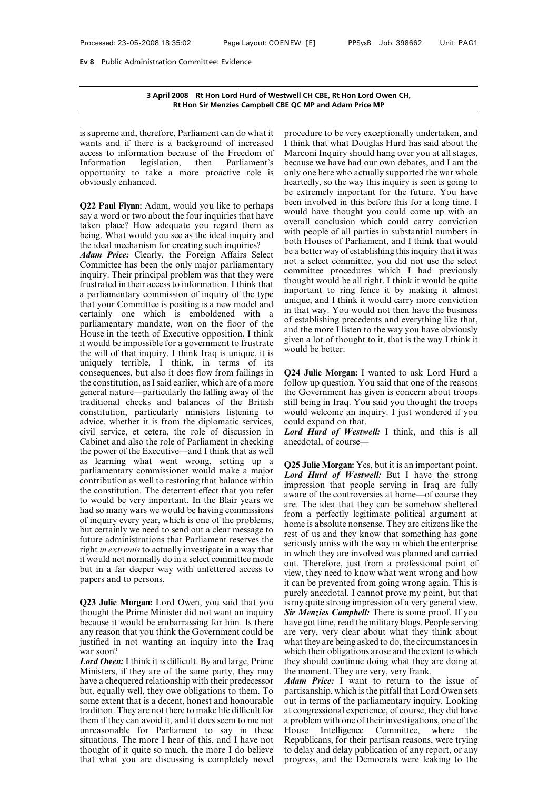# **3 April 2008 Rt Hon Lord Hurd of Westwell CH CBE, Rt Hon Lord Owen CH,** n Committee: Evidence<br>2008 Rt Hon Lord Hurd of Westwell CH CBE, Rt Hon Lord Owen CH,<br>Rt Hon Sir Menzies Campbell CBE QC MP and Adam Price MP

3 April 2008 Rt Hon Lord Hurd of Westwell<br>Rt Hon Sir Menzies Campbell CBE QC<br>is supreme and, therefore, Parliament can do what it<br>process to information because of the Freedom of Mar **3 April 2008 Rt Hon Lord Hurd of Westwell CH C**<br>**Rt Hon Sir Menzies Campbell CBE QC MP**<br>is supreme and, therefore, Parliament can do what it procedur<br>wants and if there is a background of increased I think the<br>access to i **3 April 2008 Rt Hon Lord Hurd of Westwell<br>
Rt Hon Sir Menzies Campbell CBE QC<br>
is supreme and, therefore, Parliament can do what it<br>
process to information because of the Freedom of Mar<br>
Information legislation, then Parl** Refinition Columbia of Westweith<br>
Refinition Columbia of Westweit<br>
Intervention Sixtems Campbell CBE QC<br>
Intervents and if there is a background of increased I thin<br>
access to information because of the Freedom of Marc<br>
In In the set of the set of the set of the set of the set of the set of the set of the set of the set of the set of the set of the set of the set of the set of the set opportunity to take a more proactive role is only obvious is supreme and, therefore,<br>wants and if there is a l<br>access to information bec<br>Information legislation<br>opportunity to take a<br>obviously enhanced. wants and if there is a background of increased I thin<br>access to information because of the Freedom of Marc<br>Information legislation, then Parliament's becau<br>opportunity to take a more proactive role is only o<br>bobyously enh

access to information because of the Freedom of Marco<br>Information legislation, then Parliament's becaus<br>opportunity to take a more proactive role is only of<br>obviously enhanced.<br>**Q22 Paul Flynn:** Adam, would you like to per Information legislation, then Parliament's because<br>opportunity to take a more proactive role is only o<br>boviously enhanced.<br>**Q22 Paul Flynn:** Adam, would you like to perhaps been<br>say a word or two about the four inquiries t opportunity to take a more proactive role is only one<br>obviously enhanced.<br>Q22 Paul Flynn: Adam, would you like to perhaps<br>been inversing a word or two about the four inquiries that have<br>taken place? How adequate you regard **Q22 Paul Flynn:** Adam, would you like to perhaps<br>say a word or two about the four inquiries that have<br>taken place? How adequate you regard them as<br>being. What would you see as the ideal inquiry and<br>the ideal mechanism for **Q22 Paul Flynn:** Adam, would you like to perhaps<br>say a word or two about the four inquiries that have<br>taken place? How adequate you regard them as<br>being. What would you see as the ideal inquiries?<br>the ideal mechanism for

say a word or two about the four inquiries that have<br>taken place? How adequate you regard them as<br>being. What would you see as the ideal inquiries?<br>the ideal mechanism for creating such inquiries?<br>*Adam Price*: Clearly, th taken place? How adequate you regard them as<br>being. What would you see as the ideal inquiry and<br>the ideal mechanism for creating such inquiries?<br>*Adam Price:* Clearly, the Foreign Affairs Select<br>Committee has been the only being. What would you see as the ideal inquiry and<br>the ideal mechanism for creating such inquiries?<br>*Adam Price:* Clearly, the Foreign Affairs Select be a be<br>Committee has been the only major parliamentary<br>inquiry. Their the ideal mechanism for creating such inquiries?<br> **Adam Price:** Clearly, the Foreign Affairs Select be a better<br>
Committee has been the only major parliamentary<br>
inquiry. Their principal problem was that they were<br>
frustra **Adam Price:** Clearly, the Foreign Affairs Select be a bett<br>Committee has been the only major parliamentary inclusive to a set<br>frustrated in their access to information. I think that<br>a parliamentary commission of inquiry o Committee has been the only major parliamentary<br>inquiry. Their principal problem was that they were<br>frustrated in their access to information. I think that<br>a parliamentary commission of inquiry of the type<br>that your Commi inquiry. Their principal problem was that they were<br>frustrated in their access to information. I think that<br>a parliamentary commission of inquiry of the type<br>that your Committee is positing is a new model and<br>certainly on In the interaction. I think that<br>
a parliamentary commission of inquiry of the type<br>
a parliamentary commission of inquiry of the type<br>
that your Committee is positing is a new model and<br>
certainly one which is emboldened a parliamentary commission of inquiry of the type<br>that your Committee is positing is a new model and<br>certainly one which is emboldened with a<br>parliamentary mandate, won on the floor of the<br>House in the teeth of Executive o that your Committee is positing is a new model and<br>certainly one which is emboldened with a<br>parliamentary mandate, won on the floor of the<br>House in the teeth of Executive opposition. I think<br>it would be impossible for a go certainly one which is emboldened with a<br>parliamentary mandate, won on the floor of the<br>parliamentary mandate, won on the floor of the<br>dividend the model of Executive opposition. I think<br>it would be impossible for a gover parliamentary mandate, won on the floor of the<br>House in the teeth of Executive opposition. I think<br>it would be impossible for a government to frustrate<br>the will of that inquiry. I think Iraq is unique, it is<br>would<br>uniquel House in the teeth of Executive opposition. I think<br>it would be impossible for a government to frustrate<br>the will of that inquiry. I think Iraq is unique, it is<br>uniquely terrible, I think, in terms of its<br>consequences, bu it would be impossible for a government to frustrate given a lot the will of that inquiry. I think Iraq is unique, it is uniquely terrible, I think, in terms of its consequences, but also it does flow from failings in  $Q2$ the will of that inquiry. I think Iraq is unique, it is<br>the will of that inquiry. I think, in terms of its<br>uniquely terrible, I think, in terms of its<br>consequences, but also it does flow from failings in<br>the constitution, uniquely terrible, I think, in terms of its<br>consequences, but also it does flow from failings in  $Q2$ <br>the constitution, as I said earlier, which are of a more foll<br>general nature—particularly the falling away of the the<br>t consequences, but also it does flow from failings in Q24 Juli<br>the constitution, as I said earlier, which are of a more follow up<br>general nature—particularly the falling away of the the Gove<br>traditional checks and balances the constitution, as I said earlier, which are of a more<br>general nature—particularly the falling away of the the Governational checks and balances of the British still bein<br>constitution, particularly ministers listening t general nature—particularly the falling away of the<br>traditional checks and balances of the British still<br>constitution, particularly ministers listening to wo<br>advice, whether it is from the diplomatic services, cot<br>civil s traditional checks and balances of the British still be<br>inconstitution, particularly ministers listening to would v<br>advice, whether it is from the diplomatic services, could ex<br>civil service, et cetera, the role of discus constitution, particularly ministers listening to would<br>advice, whether it is from the diplomatic services, could<br>civil service, et cetera, the role of discussion in **Lord**<br>Cabinet and also the role of Parliament in check advice, whether it is from the diplomatic services, could expectively service, et cetera, the role of discussion in *Lord Hu* Cabinet and also the role of Parliament in checking anecdota the power of the Executive—and I t civil service, et cetera, the role of discussion in  $Lord$ <br>Cabinet and also the role of Parliament in checking anecd<br>the power of the Executive—and I think that as well<br>as learning what went wrong, setting up a<br>parliamentary Cabinet and also the role of Parliament in checking<br>the power of the Executive—and I think that as well<br>as learning what went wrong, setting up a<br>parliamentary commissioner would make a major<br>contribution as well to resto the power of the Executive—and I think that as well<br>as learning what went wrong, setting up a<br>parliamentary commissioner would make a major<br>contribution as well to restoring that balance within<br>the constitution. The deter as learning what went wrong, setting up a<br>parliamentary commissioner would make a major<br>contribution as well to restoring that balance within<br>the constitution. The deterrent effect that you refer<br>to would be very importan parliamentary commissioner would make a major<br>contribution as well to restoring that balance within<br>the constitution. The deterrent effect that you refer<br>to would be very important. In the Blair years we<br>had so many wars **Example 19**<br>contribution as well to restoring that balance within<br>the constitution. The deterrent effect that you refer<br>to would be very important. In the Blair years we<br>are. That so many wars we would be having commissi the constitution. The deterrent effect that you refer<br>to would be very important. In the Blair years we<br>had so many wars we would be having commissions<br>of inquiry every year, which is one of the problems,<br>but certainly we to would be very important. In the Blair years we<br>had so many wars we would be having commissions of inquiry every year, which is one of the problems,<br>but certainly we need to send out a clear message to<br>future administrat had so many wars we would be having commissions<br>of inquiry every year, which is one of the problems,<br>but certainly we need to send out a clear message to<br>future administrations that Parliament reserves the<br>right *in extre* of inquiry every year, which<br>but certainly we need to send<br>future administrations that l<br>right *in extremis* to actually is<br>it would not normally do in a<br>but in a far deeper way wis<br>papers and to persons. Future administrations that Parliament reserves the<br>
right *in extremis* to actually investigate in a way that<br>
it would not normally do in a select committee mode<br>
but in a far deeper way with unfettered access to<br>
papers

Fight *in extremis* to actually investigate in a way that<br>it would not normally do in a select committee mode<br>but in a far deeper way with unfettered access to<br>papers and to persons.<br>**Q23 Julie Morgan:** Lord Owen, you sai it would not normally do in a select committee mode<br>but. The but in a far deeper way with unfettered access to<br>papers and to persons.<br>**Q23 Julie Morgan:** Lord Owen, you said that you is my c<br>thought the Prime Minister did but in a far deeper way with unfettered access to<br>
it can be view, the presons.<br>
(223 Julie Morgan: Lord Owen, you said that you is my c<br>
thought the Prime Minister did not want an inquiry Sir Mo<br>
because it would be emba papers and to persons.<br>
it can be<br> **Q23 Julie Morgan:** Lord Owen, you said that you<br>
it can be<br>
thought the Prime Minister did not want an inquiry<br>
because it would be embarrassing for him. Is there<br>
have got<br>
any reason t **Q23 Julie Morgan**<br>thought the Prime<br>because it would b<br>any reason that yo<br>justified in not w<br>war soon?<br>*Lord Owen*: I think<br>Ministers, if they **Q23 Julie Morgan:** Lord Owen, you said that you<br>thought the Prime Minister did not want an inquiry **Sir Microscause it would be embarrassing for him.** Is there have g<br>any reason that you think the Government could be are thought the Prime Minister did not want an inquiry **Sir Men**<br>because it would be embarrassing for him. Is there have go<br>any reason that you think the Government could be are very<br>justified in not wanting an inquiry into t

because it would be embarrassing for him. Is there have any reason that you think the Government could be are v justified in not wanting an inquiry into the Iraq what war soon?<br> **Lord Owen:** I think it is difficult. By and any reason that you think the Government could be are very, justified in not wanting an inquiry into the Iraq what they war soon?<br> *Lord Owen*: I think it is difficult. By and large, Prime they show Ministers, if they are justified in not wanting an inquiry into the Iraq what the War soon?<br> **Lord Owen:** I think it is difficult. By and large, Prime they sh<br>
Ministers, if they are of the same party, they may the mc<br>
have a chequered relations war soon?<br>
We were the thermalling and angle there are not there which<br> *Lord Owen:* I think it is difficult. By and large, Prime<br>
they star of the same party, they may<br>
the m<br>
have a chequered relationship with their pre **Lord Owen:** I think it is difficult. By and large, Prime they Ministers, if they are of the same party, they may the invaries a chequered relationship with their predecessor **Ada** but, equally well, they owe obligations t Ministers, if they are of the same party, they may the move a chequered relationship with their predecessor  $\overrightarrow{Adam}$  but, equally well, they owe obligations to them. To partisa some extent that is a decent, honest and hon have a chequered relationship with their predecessor *Ada*, but, equally well, they owe obligations to them. To part some extent that is a decent, honest and honourable out tradition. They are not there to make life diffic but, equally well, they owe obligations to them. To partisa<br>some extent that is a decent, honest and honourable out in<br>tradition. They are not there to make life difficult for at cong<br>them if they can avoid it, and it does some extent that is a decent, honest and honourable<br>tradition. They are not there to make life difficult for<br>them if they can avoid it, and it does seem to me not<br>a p<br>unreasonable for Parliament to say in these<br>Hought of i

be extremely important for the future. You have **Q22 Paul Flynn:** Adam, would you like to perhaps been involved in this before this for a long time. I<br>say a word or two about the four inquiries that have<br>taken place? How a Example CH CBE, Rt Hon Lord Owen CH,<br>
Fig. QC MP and Adam Price MP<br>
procedure to be very exceptionally undertaken, and<br>
I think that what Douglas Hurd has said about the<br>
Marconi Inquiry should hang over you at all stages, E QC MP and Adam Price MP<br>Income CHP and Adam Price MP<br>procedure to be very exceptionally undertaken, and<br>I think that what Douglas Hurd has said about the<br>Marconi Inquiry should hang over you at all stages,<br>because we hav twell CH CBE, Rt Hon Lord Owen CH,<br>
E QC MP and Adam Price MP<br>
procedure to be very exceptionally undertaken, and<br>
I think that what Douglas Hurd has said about the<br>
Marconi Inquiry should hang over you at all stages,<br>
bec be QC MP and Adam Price MP<br>procedure to be very exceptionally undertaken, and<br>I think that what Douglas Hurd has said about the<br>Marconi Inquiry should hang over you at all stages,<br>because we have had our own debates, and I procedure to be very exceptionally undertaken, and<br>I think that what Douglas Hurd has said about the<br>Marconi Inquiry should hang over you at all stages,<br>because we have had our own debates, and I am the<br>only one here who a procedure to be very exceptionally undertaken, and<br>I think that what Douglas Hurd has said about the<br>Marconi Inquiry should hang over you at all stages,<br>because we have had our own debates, and I am the<br>only one here who a procedure to be very exceptionally undertaken, and<br>I think that what Douglas Hurd has said about the<br>Marconi Inquiry should hang over you at all stages,<br>because we have had our own debates, and I am the<br>only one here who a I think that what Douglas Hurd has said about the<br>Marconi Inquiry should hang over you at all stages,<br>because we have had our own debates, and I am the<br>only one here who actually supported the war whole<br>heartedly, so the w Marconi Inquiry should hang over you at all stages,<br>because we have had our own debates, and I am the<br>only one here who actually supported the war whole<br>heartedly, so the way this inquiry is seen is going to<br>be extremely i because we have had our own debates, and I am the<br>only one here who actually supported the war whole<br>heartedly, so the way this inquiry is seen is going to<br>be extremely important for the future. You have<br>been involved in t only one here who actually supported the war whole<br>heartedly, so the way this inquiry is seen is going to<br>be extremely important for the future. You have<br>been involved in this before this for a long time. I<br>would have thou heartedly, so the way this inquiry is seen is going to<br>be extremely important for the future. You have<br>been involved in this before this for a long time. I<br>would have thought you could come up with an<br>overall conclusion wh be extremely important for the future. You have<br>been involved in this before this for a long time. I<br>would have thought you could come up with an<br>overall conclusion which could carry conviction<br>with people of all parties i been involved in this before this for a long time. I<br>would have thought you could come up with an<br>overall conclusion which could carry conviction<br>with people of all parties in substantial numbers in<br>both Houses of Parliame would have thought you could come up with an<br>overall conclusion which could come up with an<br>overall conclusion which could carry conviction<br>with people of all parties in substantial numbers in<br>both Houses of Parliament, an overall conclusion which could carry conviction<br>with people of all parties in substantial numbers in<br>both Houses of Parliament, and I think that would<br>be a better way of establishing this inquiry that it was<br>not a select c with people of all parties in substantial numbers in<br>both Houses of Parliament, and I think that would<br>be a better way of establishing this inquiry that it was<br>not a select committee, you did not use the select<br>committee p both Houses of Parliament, and I think that would<br>be a better way of establishing this inquiry that it was<br>not a select committee, you did not use the select<br>committee procedures which I had previously<br>thought would be all be a better way of establishing this inquiry that it was<br>not a select committee, you did not use the select<br>committee procedures which I had previously<br>thought would be all right. I think it would be quite<br>important to rin not a select committee, you did not use the select<br>committee procedures which I had previously<br>thought would be all right. I think it would be quite<br>important to ring fence it by making it almost<br>unique, and I think it wou committee procedures which I had previously<br>thought would be all right. I think it would be quite<br>important to ring fence it by making it almost<br>unique, and I think it would carry more conviction<br>in that way. You would not thought would be all right. I think it would be quite important to ring fence it by making it almost unique, and I think it would carry more conviction in that way. You would not then have the business of establishing prec important to ring ferminant to ring ferminant to ring ferminant in that way. You wou of establishing preced and the more I listen to given a lot of thought would be better. in that way. You would not then have the business<br>of establishing precedents and everything like that,<br>and the more I listen to the way you have obviously<br>given a lot of thought to it, that is the way I think it<br>would be b

of establishing precedents and everything like that,<br>and the more I listen to the way you have obviously<br>given a lot of thought to it, that is the way I think it<br>would be better.<br>Q24 Julie Morgan: I wanted to ask Lord Hurd and the more I listen to the way you have obviously<br>given a lot of thought to it, that is the way I think it<br>would be better.<br>Q24 Julie Morgan: I wanted to ask Lord Hurd a<br>follow up question. You said that one of the reaso given a lot of thought to it, that is the way I think it<br>would be better.<br>**Q24 Julie Morgan:** I wanted to ask Lord Hurd a<br>follow up question. You said that one of the reasons<br>the Government has given is concern about troop would be better.<br> **Q24 Julie Morgan:** I wanted to ask Lord Hurd a<br>
follow up question. You said that one of the reasons<br>
the Government has given is concern about troops<br>
still being in Iraq. You said you thought the troop **Q24 Julie Morgan:** I wante follow up question. You said the Government has given if still being in Iraq. You said would welcome an inquiry. Could expand on that. *Lord Hurd of Westwell*: I anecdotal, of course— **Q24 Julie Morgan:** I wanted to ask Lord Hurd a follow up question. You said that one of the reasons the Government has given is concern about troops still being in Iraq. You said you thought the troops would welcome an in follow up question. You said that one of the<br>the Government has given is concern about<br>still being in Iraq. You said you thought the<br>would welcome an inquiry. I just wondered<br>could expand on that.<br>Lord Hurd of Westwell: I

Still being in Iraq. You said you thought the troops<br>would welcome an inquiry. I just wondered if you<br>could expand on that.<br>**Lord Hurd of Westwell:** I think, and this is all<br>anecdotal, of course—<br>**Q25 Julie Morgan:** Yes, b would welcome an inquiry. I just wondered if you<br>
could expand on that.<br> **Lord Hurd of Westwell:** I think, and this is all<br>
anecdotal, of course—<br> **Q25 Julie Morgan:** Yes, but it is an important point.<br> **Lord Hurd of Westw** could expand on that.<br> **Lord Hurd of Westwell:** I think, and this is all<br>
anecdotal, of course—<br> **Q25 Julie Morgan:** Yes, but it is an important point.<br> **Lord Hurd of Westwell:** But I have the strong<br>
impression that peopl **Lord Hurd of Westwell:** I think, and this is all<br>anecdotal, of course—<br>**Q25 Julie Morgan:** Yes, but it is an important point.<br>**Lord Hurd of Westwell:** But I have the strong<br>impression that people serving in Iraq are fully anecdotal, of course—<br> **Q25 Julie Morgan:** Yes, but it is an important point.<br> **Lord Hurd of Westwell:** But I have the strong<br>
impression that people serving in Iraq are fully<br>
aware of the controversies at home—of course **Q25 Julie Morgan:** Yes, but it is an important point.<br> *Lord Hurd of Westwell***:** But I have the strong impression that people serving in Iraq are fully aware of the controversies at home—of course they are. The idea that **Q25 Julie Morgan:** Yes, but it is an important point.<br> *Lord Hurd of Westwell*: But I have the strong<br>
impression that people serving in Iraq are fully<br>
aware of the controversies at home—of course they<br>
are. The idea tha **Lord Hurd of Westwell:** But I have the strong impression that people serving in Iraq are fully aware of the controversies at home—of course they are. The idea that they can be somehow sheltered from a perfectly legitimate impression that people serving in Iraq are fully<br>aware of the controversies at home—of course they<br>are. The idea that they can be somehow sheltered<br>from a perfectly legitimate political argument at<br>home is absolute nonsens aware of the controversies at home—of course they<br>are. The idea that they can be somehow sheltered<br>from a perfectly legitimate political argument at<br>home is absolute nonsense. They are citizens like the<br>rest of us and they are. The idea that they can be somehow sheltered<br>from a perfectly legitimate political argument at<br>home is absolute nonsense. They are citizens like the<br>rest of us and they know that something has gone<br>seriously amiss with from a perfectly legitimate political argument at<br>home is absolute nonsense. They are citizens like the<br>rest of us and they know that something has gone<br>seriously amiss with the way in which the enterprise<br>in which they ar home is absolute nonsense. They are citizens like the<br>rest of us and they know that something has gone<br>seriously amiss with the way in which the enterprise<br>in which they are involved was planned and carried<br>out. Therefore, rest of us and they know that something has gone<br>seriously amiss with the way in which the enterprise<br>in which they are involved was planned and carried<br>out. Therefore, just from a professional point of<br>view, they need to seriously amiss with the way in which the enterprise<br>in which they are involved was planned and carried<br>out. Therefore, just from a professional point of<br>view, they need to know what went wrong and how<br>it can be prevented in which they are involved was planned and carried<br>out. Therefore, just from a professional point of<br>view, they need to know what went wrong and how<br>it can be prevented from going wrong again. This is<br>purely anecdotal. I c out. Therefore, just from a professional point of<br>view, they need to know what went wrong and how<br>it can be prevented from going wrong again. This is<br>purely anecdotal. I cannot prove my point, but that<br>is my quite strong i view, they need to know what went wrong and how<br>it can be prevented from going wrong again. This is<br>purely anecdotal. I cannot prove my point, but that<br>is my quite strong impression of a very general view.<br>**Sir Menzies Cam** it can be prevented from going wrong again. This is<br>purely anecdotal. I cannot prove my point, but that<br>is my quite strong impression of a very general view.<br>**Sir Menzies Campbell:** There is some proof. If you<br>have got tim purely anecdotal. I cannot prove my point, but that<br>is my quite strong impression of a very general view.<br>**Sir Menzies Campbell:** There is some proof. If you<br>have got time, read the military blogs. People serving<br>are very, is my quite strong impression of a very general view.<br>
Sir Menzies Campbell: There is some proof. If you<br>
have got time, read the military blogs. People serving<br>
are very, very clear about what they think about<br>
what they is my quite strong impression of a very general view.<br> **Sir Menzies Campbell:** There is some proof. If you have got time, read the military blogs. People serving are very, very clear about what they think about what they a have got time, read the military blogs. People serving<br>are very, very clear about what they think about<br>what they are being asked to do, the circumstances in<br>which their obligations arose and the extent to which<br>they shoul are very, very clear about what they think about<br>what they are being asked to do, the circumstances in<br>which their obligations arose and the extent to which<br>they should continue doing what they are doing at<br>the moment. The

what they are being asked to do, the circumstances in<br>which their obligations arose and the extent to which<br>they should continue doing what they are doing at<br>the moment. They are very, very frank.<br>Adam Price: I want to ret which their obligations arose and the extent to which<br>they should continue doing what they are doing at<br>the moment. They are very, very frank.<br>*Adam Price*: I want to return to the issue of<br>partisanship, which is the pitfa they should continue doing what they are doing at<br>the moment. They are very, very frank.<br>*Adam Price*: I want to return to the issue of<br>partisanship, which is the pitfall that Lord Owen sets<br>out in terms of the parliamenta the moment. They are very, very frank.<br> **Adam Price:** I want to return to the issue of<br>
partisanship, which is the pitfall that Lord Owen sets<br>
out in terms of the parliamentary inquiry. Looking<br>
at congressional experienc *Adam Price:* I want to return to the issue of partisanship, which is the pitfall that Lord Owen sets out in terms of the parliamentary inquiry. Looking at congressional experience, of course, they did have a problem with partisanship, which is the pitfall that Lord Owen sets<br>out in terms of the parliamentary inquiry. Looking<br>at congressional experience, of course, they did have<br>a problem with one of their investigations, one of the<br>House I provide in terms of the parliamentary inquiry. Looking at congressional experience, of course, they did have a problem with one of their investigations, one of the House Intelligence Committee, where the Republicans, for t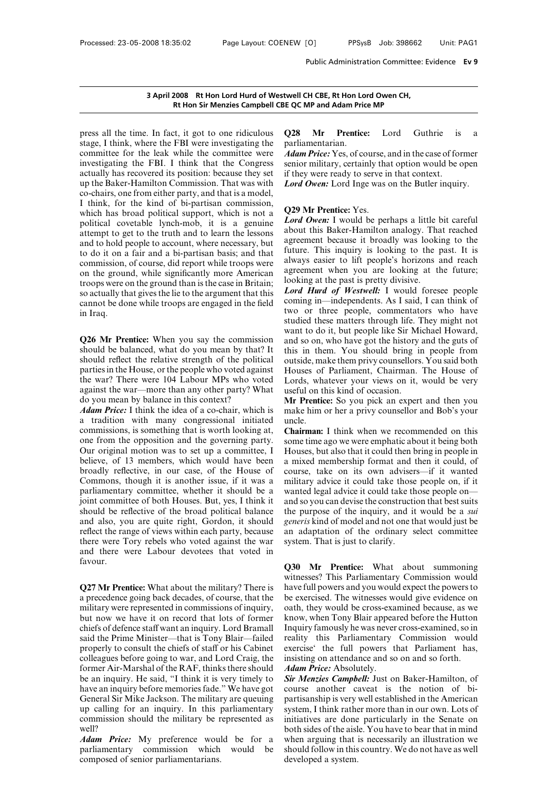# Public Administration Committee: E<br>**3 April 2008 Rt Hon Lord Hurd of Westwell CH CBE, Rt Hon Lord Owen CH,<br>Rt Hon Sir Menzies Campbell CBE QC MP and Adam Price MP** Public Administration Committee<br> **Rt Hon Lord Hurd of Westwell CH CBE, Rt Hon Lord Owen CH,<br>
Rt Hon Sir Menzies Campbell CBE QC MP and Adam Price MP**

3 April 2008 Rt Hon Lord Hurd of Westwell<br>Rt Hon Sir Menzies Campbell CBE QC<br>press all the time. In fact, it got to one ridiculous Q28<br>stage, I think, where the FBI were investigating the parlia<br>committee for the leak whil **Solution 3 April 2008** Rt Hon Lord Hurd of Westwell C<br>
Rt Hon Sir Menzies Campbell CBE QC N<br>
press all the time. In fact, it got to one ridiculous<br>
stage, I think, where the FBI were investigating the parliar<br>
committee f **3 April 2008 Rt Hon Lord Hurd of Westwell C<br>
Rt Hon Sir Menzies Campbell CBE QC M<br>
press all the time. In fact, it got to one ridiculous Q28<br>
stage, I think, where the FBI were investigating the parliar<br>
committee for the EXECUTE:**<br> **EXECUTE:**<br> **EXECUTE:**<br> **EXECUTE:**<br> **EXECUTE:**<br> **EXECUTE:**<br> **EXECUTE:**<br> **EXECUTE:**<br> **EXECUTE:**<br> **EXECUTE:**<br> **EXECUTE:**<br> **EXECUTE:**<br> **EXECUTE:**<br> **EXECUTE:**<br> **EXECUTE:**<br> **EXECUTE:**<br> **EXECUTE:**<br> **EXECUTE:**<br> **EXECU** The same of the same of the same of the same of the same of the stage, I think, where the FBI were investigating the park committee for the leak while the committee were *Ada* investigating the FBI. I think that the Congre press all the time. In fact, it got to one ridiculous  $Q28$  M<br>stage, I think, where the FBI were investigating the parliame<br>committee for the leak while the committee were *Adam Pr*<br>investigating the FBI. I think that the press all the time. In fact, it got to one ridiculous  $Q2$ <br>stage, I think, where the FBI were investigating the pare<br>committee for the leak while the committee were  $\overrightarrow{Ad}$ <br>investigating the FBI. I think that the Congres stage, I think, where the FBI were investigating the<br>committee for the leak while the committee were  $\overrightarrow{Ad}$ <br>investigating the FBI. I think that the Congress sen<br>actually has recovered its position: because they set if t committee for the leak while the committee were<br>investigating the FBI. I think that the Congress senior n<br>actually has recovered its position: because they set if they v<br>up the Baker-Hamilton Commission. That was with  $Lord$ investigating the FBI. I think that the Congress senior actually has recovered its position: because they set if they up the Baker-Hamilton Commission. That was with  $Lord$  C co-chairs, one from either party, and that is a actually has recovered its position: because they set if the<br>up the Baker-Hamilton Commission. That was with<br>co-chairs, one from either party, and that is a model,<br>I think, for the kind of bi-partisan commission,<br>which has up the Baker-Hamilton Commission. That was with<br>co-chairs, one from either party, and that is a model,<br>I think, for the kind of bi-partisan commission,<br>which has broad political support, which is not a<br>political covetable co-chairs, one from either party, and that is a model,<br>
I think, for the kind of bi-partisan commission,<br>
which has broad political support, which is not a<br>
political covetable lynch-mob, it is a genuine<br>
attempt to get t I think, for the kind of bi-partisan commission,<br>which has broad political support, which is not a<br>political covetable lynch-mob, it is a genuine<br>attempt to get to the truth and to learn the lessons<br>and to hold people to which has broad political support, which is not a<br>political covetable lynch-mob, it is a genuine *Lord Ow*<br>attempt to get to the truth and to learn the lessons about th<br>and to hold people to account, where necessary, but political covetable lynch-mob, it is a genuine  $\overline{L}\omega$  attempt to get to the truth and to learn the lessons about and to hold people to account, where necessary, but to do it on a fair and a bi-partisan basis; and that attempt to get to the truth and to learn the lessons<br>and to hold people to account, where necessary, but<br>to do it on a fair and a bi-partisan basis; and that<br>commission, of course, did report while troops were<br>on the groun and to hold people to account, where necessary, but<br>to do it on a fair and a bi-partisan basis; and that<br>commission, of course, did report while troops were<br>on the ground, while significantly more American<br>troops were on to do it on a fair and a bi-partisan basis; and that<br>commission, of course, did report while troops were<br>on the ground, while significantly more American<br>troops were on the ground than is the case in Britain;<br>so actually t on the ground, while significantly flote Allientedia<br>troops were on the ground than is the case in Britain;<br>so actually that gives the lie to the argument that this *Lord Hu*<br>cannot be done while troops are engaged in the **Rt Hon Sir Menzies Campbell CBE QC MP and Adam Price MP**<br>
t, it got to one ridiculous Q28 Mr Prentice: Lord Guthrie is a<br>
FBI were investigating the parliamentarian.<br>
while the committee were *Adam Price:* Yes, of course

so actually that gives the lie to the argument that this<br>so actually that gives the lie to the argument that this<br>cannot be done while troops are engaged in the field<br>in Iraq.<br> $\frac{1}{2}$ <br> $\frac{1}{2}$ <br> $\frac{1}{2}$ <br> $\frac{1}{2}$ <br> $\frac{1$ so actually that gives the he to the argument that this<br>cannot be done while troops are engaged in the field<br>in Iraq.<br>**Q26 Mr Prentice:** When you say the commission was<br>should be balanced, what do you mean by that? It this example to done wine troops are engaged in the held<br>in Iraq.<br>was stud<br>stud<br>**Q26 Mr Prentice:** When you say the commission and<br>should be balanced, what do you mean by that? It<br>should reflect the relative strength of the pol **Example 10** studied twant to want to want to want to want to want to want to what be balanced, what do you mean by that? It this in the should reflect the relative strength of the political outside, parties in the House, **Q26 Mr Prentice:** When you say the commission and should be balanced, what do you mean by that? It this should reflect the relative strength of the political outs parties in the House, or the people who voted against Hous **Q26 Mr Prentice:** When you say the commiss should be balanced, what do you mean by that' should reflect the relative strength of the politi parties in the House, or the people who voted agai the war? There were 104 Labour should be balanced, what do you mean by that? It is should reflect the relative strength of the political outsine parties in the House, or the people who voted against House the war? There were 104 Labour MPs who voted Lor should reflect the relative strength of the political outside, parties in the House, or the people who voted against Houses the war? There were 104 Labour MPs who voted Lords, we against the war—more than any other party?

parties in the House, or the people who voted against<br>the war? There were 104 Labour MPs who voted Lo<br>against the war—more than any other party? What use<br>do you mean by balance in this context? M<br>*Adam Price*: I think the the war? There were 104 Labour MPs who voted<br>against the war—more than any other party? What<br>do you mean by balance in this context?<br>*Adam Price*: I think the idea of a co-chair, which is<br>a tradition with many congressiona against the war—more than any other party? What useful do you mean by balance in this context? **Mr P**<br>*Adam Price:* I think the idea of a co-chair, which is make<br>a tradition with many congressional initiated uncle<br>commissi do you mean by balance in this context? **Mr Pren**<br> **Adam Price:** I think the idea of a co-chair, which is make hin<br>
a tradition with many congressional initiated uncle.<br>
commissions, is something that is worth looking at, **Adam Price:** I think the idea of a co-chair, which is<br>a tradition with many congressional initiated uncl<br>commissions, is something that is worth looking at, **Chai**<br>one from the opposition and the governing party.<br>Some<br>Our a tradition with many congressional initiated uncle.<br>
commissions, is something that is worth looking at, **Chairm**<br>
one from the opposition and the governing party. Some tir<br>
Our original motion was to set up a committee, commissions, is something that is worth looking at,<br>
one from the opposition and the governing party.<br>
Our original motion was to set up a committee, I Houses,<br>
believe, of 13 members, which would have been a mixed<br>
broadl one from the opposition and the governing party. Som<br>Our original motion was to set up a committee, I Hou<br>believe, of 13 members, which would have been a mi<br>broadly reflective, in our case, of the House of cour<br>Commons, th Our original motion was to set up a committee, I House<br>believe, of 13 members, which would have been a mixe<br>broadly reflective, in our case, of the House of course<br>Commons, though it is another issue, if it was a militar<br>p believe, of 13 members, which would have been a mixed broadly reflective, in our case, of the House of course, Commons, though it is another issue, if it was a military parliamentary committee, whether it should be a wante broadly reflective, in our case, of the House of course<br>Commons, though it is another issue, if it was a militar<br>parliamentary committee, whether it should be a wanted<br>joint committee of both Houses. But, yes, I think it a Commons, though it is another issue, if it was a military parliamentary committee, whether it should be a wanta joint committee of both Houses. But, yes, I think it and so should be reflective of the broad political balanc parliamentary committee, whether it should be a wanted leventh is a point committee of both Houses. But, yes, I think it and so yo should be reflective of the broad political balance the purp and also, you are quite right, favour. and also, you are quite right, cordon, it should gener<br>reflect the range of views within each party, because an ad<br>there were Tory rebels who voted against the war system<br>and there were Labour devotees that voted in<br>favour

Fincet the range of views whill each party, occause and allemontum there were Tory rebels who voted against the war system and there were Labour devotees that voted in favour.<br> **Q30** C27 Mr Prentice: What about the militar metricary were represented in the military? There is<br>and there were Labour devotees that voted in<br>favour.<br>Q3<br>Q27 Mr Prentice: What about the military? There is have<br>a precedence going back decades, of course, that the be<br>m **Q30**<br> **Q27 Mr Prentice:** What about the military? There is have in<br>
a precedence going back decades, of course, that the be ex<br>
military were represented in commissions of inquiry, oath,<br>
but now we have it on record that Q3<br>with<br>Q27 Mr Prentice: What about the military? There is<br>a precedence going back decades, of course, that the<br>between the military were represented in commissions of inquiry, on<br>but now we have it on record that lots of witnesses<br> **Q27 Mr Prentice:** What about the military? There is<br>
a precedence going back decades, of course, that the<br>
be exerci<br>
military were represented in commissions of inquiry, oath, the<br>
but now we have it on record **Q27 Mr Prentice:** What about the military? There is have a precedence going back decades, of course, that the be e military were represented in commissions of inquiry, oath but now we have it on record that lots of forme a precedence going back decades, of course, that the be exe<br>military were represented in commissions of inquiry, oath, t<br>but now we have it on record that lots of former know,<br>chiefs of defence staff want an inquiry. Lord military were represented in commissions of inquiry, oath, the<br>but now we have it on record that lots of former know, wl<br>chiefs of defence staff want an inquiry. Lord Bramall Inquiry f<br>said the Prime Minister—that is Tony but now we have it on record that lots of former know, with chiefs of defence staff want an inquiry. Lord Bramall Inquiry fissid the Prime Minister—that is Tony Blair—failed reality to properly to consult the chiefs of sta chiefs of defence staff want an inquiry. Lord Bramall Inquaid the Prime Minister—that is Tony Blair—failed realiproperly to consult the chiefs of staff or his Cabinet exer colleagues before going to war, and Lord Craig, t said the Prime Minister—that is Tony Blair—failed reality<br>properly to consult the chiefs of staff or his Cabinet exercise<br>colleagues before going to war, and Lord Craig, the insisting<br>former Air-Marshal of the RAF, thinks properly to consult the chiefs of staff or his Cabinet<br>
colleagues before going to war, and Lord Craig, the<br>
former Air-Marshal of the RAF, thinks there should<br>
be an inquiry. He said, "I think it is very timely to<br>
have a colleagues before going to war, and Lord Craig, the insist<br>former Air-Marshal of the RAF, thinks there should *Adan*<br>be an inquiry. He said, "I think it is very timely to **Sir** M<br>have an inquiry before memories fade." We well? be an inquiry. He said, "I think it is very timely to *Sir Men*<br>have an inquiry before memories fade." We have got course<br>General Sir Mike Jackson. The military are queuing partisan<br>up calling for an inquiry. In this par have an inquiry before memories fade." We have got<br>
course<br>
General Sir Mike Jackson. The military are queuing<br>
up calling for an inquiry. In this parliamentary<br>
commission should the military be represented as<br>
initiative General Sir Mike Jackson. The military are queuing<br>up calling for an inquiry. In this parliamentary<br>commission should the military be represented as<br>well?<br>*Adam Price:* My preference would be for a<br>parliamentary commission

**EXECT COMP and Adam Price MP**<br> **Q28 Mr Prentice:** Lord Guthrie is a<br>
parliamentarian.<br> **Adam Price:** Yes, of course, and in the case of former parliamentarian.

**EXECT COMP and Adam Price MP**<br>**ADAM Price: And Computed COMP and Adam Price:** Lord Guthrie is a<br>parliamentarian.<br>*Adam Price:* Yes, of course, and in the case of former<br>senior military, certainly that option would be op SE QC MP and Adam Price MP<br>
E QC MP and Adam Price MP<br>
Q28 Mr Prentice: Lord Guthrie is a<br>
parliamentarian.<br>
Adam Price: Yes, of course, and in the case of former<br>
senior military, certainly that option would be open<br>
if **Q28 Mr Prentice:** Lord Guthrie is a parliamentarian.<br> *Adam Price:* Yes, of course, and in the case of former senior military, certainly that option would be open if they were ready to serve in that context.<br> *Lord Owe* 

if they were ready to serve in that context.<br> **Lord Owen:** Lord Inge was on the Butler inquiry.<br> **Q29 Mr Prentice:** Yes.<br> **Lord Owen:** I would be perhaps a little bit careful<br>
about this Baker-Hamilton analogy. That reache *Lord Owen:* Its, or course, and in the case of former<br>
senior military, certainly that option would be open<br> *Lord Owen:* Lord Inge was on the Butler inquiry.<br> **Q29 Mr Prentice:** Yes.<br> *Lord Owen:* I would be perhaps a li Semor mintary, certainly that option would be open<br>if they were ready to serve in that context.<br>Lord Owen: Lord Inge was on the Butler inquiry.<br>Q29 Mr Prentice: Yes.<br>Lord Owen: I would be perhaps a little bit careful<br>about **Lord Owen:** Lord Inge was on the Butler inquiry.<br> **Q29 Mr Prentice:** Yes.<br> **Lord Owen:** I would be perhaps a little bit careful<br>
about this Baker-Hamilton analogy. That reached<br>
agreement because it broadly was looking to **COMPANE THEOTE CONTROM CONTROVER THE CONTROM CONTROVER CONTROM CONTROVER CONTROVER CONTROVER THE SURVEY CONTROVER CONTROVER THE SURVEY CONTROVER THE SURVEY CONTROVER THE SURVEY CONTROVER THE SURVEY CONTROVER THE SURVEY CO Q29 Mr Prentice:** Yes.<br> *Lord Owen*: I would be perhaps a little bit careful<br>
about this Baker-Hamilton analogy. That reached<br>
agreement because it broadly was looking to the<br>
future. This inquiry is looking to the past. **Q29 Mr Prentice:** Yes.<br> *Lord Owen*: I would be perhaps a little bit careful<br>
about this Baker-Hamilton analogy. That reached<br>
agreement because it broadly was looking to the<br>
future. This inquiry is looking to the past. **Lord Owen:** I would be perhaps a little b<br>about this Baker-Hamilton analogy. Tha<br>agreement because it broadly was lookin<br>future. This inquiry is looking to the p<br>always easier to lift people's horizons a<br>agreement when yo about this Baker-Hamilton analogy. That reached<br>agreement because it broadly was looking to the<br>future. This inquiry is looking to the past. It is<br>always easier to lift people's horizons and reach<br>agreement when you are lo agreement because it broadly was looking to the<br>future. This inquiry is looking to the past. It is<br>always easier to lift people's horizons and reach<br>agreement when you are looking at the future;<br>looking at the past is pret

future. This inquiry is looking to the past. It is<br>always easier to lift people's horizons and reach<br>agreement when you are looking at the future;<br>looking at the past is pretty divisive.<br>**Lord Hurd of Westwell:** I would fo always easier to lift people's horizons and reach<br>agreement when you are looking at the future;<br>looking at the past is pretty divisive.<br>**Lord Hurd of Westwell:** I would foresee people<br>coming in—independents. As I said, I c agreement when you are looking at the future;<br>looking at the past is pretty divisive.<br>Lord Hurd of Westwell: I would foresee people<br>coming in—independents. As I said, I can think of<br>two or three people, commentators who ha looking at the past is pretty divisive.<br> **Lord Hurd of Westwell:** I would foresee people<br>
coming in—independents. As I said, I can think of<br>
two or three people, commentators who have<br>
studied these matters through life. T **Lord Hurd of Westwell:** I would foresee people<br>coming in—independents. As I said, I can think of<br>two or three people, commentators who have<br>studied these matters through life. They might not<br>want to do it, but people lik coming in—independents. As I said, I can think of<br>two or three people, commentators who have<br>studied these matters through life. They might not<br>want to do it, but people like Sir Michael Howard,<br>and so on, who have got the two or three people, commentators who have<br>studied these matters through life. They might not<br>want to do it, but people like Sir Michael Howard,<br>and so on, who have got the history and the guts of<br>this in them. You should studied these matters through life. They might not<br>want to do it, but people like Sir Michael Howard,<br>and so on, who have got the history and the guts of<br>this in them. You should bring in people from<br>outside, make them pri want to do it, but people like Sir Mid and so on, who have got the history at this in them. You should bring in outside, make them privy counsellors.<br>Houses of Parliament, Chairman.<br>Lords, whatever your views on it, vusefu and so on, who have got the history and the guts of<br>this in them. You should bring in people from<br>outside, make them privy counsellors. You said both<br>Houses of Parliament, Chairman. The House of<br>Lords, whatever your views this in them. You should bring in people from<br>outside, make them privy counsellors. You said both<br>Houses of Parliament, Chairman. The House of<br>Lords, whatever your views on it, would be very<br>useful on this kind of occasion Houses of Parliament, Chairman. The House of<br>Lords, whatever your views on it, would be very<br>useful on this kind of occasion.<br>**Mr Prentice:** So you pick an expert and then you<br>make him or her a privy counsellor and Bob's y

uncle.

Lords, whatever your views on it, would be very<br>useful on this kind of occasion.<br>Mr Prentice: So you pick an expert and then you<br>make him or her a privy counsellor and Bob's your<br>uncle.<br>**Chairman:** I think when we recommen useful on this kind of occasion.<br> **Mr Prentice:** So you pick an expert and then you<br>
make him or her a privy counsellor and Bob's your<br>
uncle.<br> **Chairman:** I think when we recommended on this<br>
some time ago we were emphati **Mr Prentice:** So you pick an expert and then you make him or her a privy counsellor and Bob's your uncle.<br>**Chairman:** I think when we recommended on this some time ago we were emphatic about it being both Houses, but also make him or her a privy counsellor and Bob's your<br>uncle.<br>**Chairman:** I think when we recommended on this<br>some time ago we were emphatic about it being both<br>Houses, but also that it could then bring in people in<br>a mixed mem uncle.<br> **Chairman:** I think when we recommended on this<br>
some time ago we were emphatic about it being both<br>
Houses, but also that it could then bring in people in<br>
a mixed membership format and then it could, of<br>
course, **Chairman:** I think when we recommended on this<br>some time ago we were emphatic about it being both<br>Houses, but also that it could then bring in people in<br>a mixed membership format and then it could, of<br>course, take on its some time ago we were emphatic about it being both<br>Houses, but also that it could then bring in people in<br>a mixed membership format and then it could, of<br>course, take on its own advisers—if it wanted<br>military advice it cou Houses, but also that it could then bring in people in<br>a mixed membership format and then it could, of<br>course, take on its own advisers—if it wanted<br>military advice it could take those people on, if it<br>wanted legal advice a mixed membership format and then it could, of<br>course, take on its own advisers—if it wanted<br>military advice it could take those people on, if it<br>wanted legal advice it could take those people on—<br>and so you can devise th course, take on its own advisers—if it wanted<br>military advice it could take those people on, if it<br>wanted legal advice it could take those people on—<br>and so you can devise the construction that best suits<br>the purpose of th military advice it could take those<br>wanted legal advice it could take th<br>and so you can devise the constructio<br>the purpose of the inquiry, and it<br>generis kind of model and not one th<br>an adaptation of the ordinary so<br>system and so you can devise the construction that best suits<br>the purpose of the inquiry, and it would be a *sui*<br>*generis* kind of model and not one that would just be<br>an adaptation of the ordinary select committee<br>system. That

the purpose of the inquiry, and it would be a *sui*<br>generis kind of model and not one that would just be<br>an adaptation of the ordinary select committee<br>system. That is just to clarify.<br>Q30 Mr Prentice: What about summoning generis kind of moder and not one that would just be<br>an adaptation of the ordinary select committee<br>system. That is just to clarify.<br>**Q30** Mr Prentice: What about summoning<br>witnesses? This Parliamentary Commission would<br>ha an adaptation of the ordinary sciect committed<br>system. That is just to clarify.<br>**Q30** Mr Prentice: What about summoning<br>witnesses? This Parliamentary Commission would<br>have full powers and you would expect the powers to<br>be **Q30 Mr Prentice:** What about summoning<br>witnesses? This Parliamentary Commission would<br>have full powers and you would expect the powers to<br>be exercised. The witnesses would give evidence on<br>oath, they would be cross-examin **Q30 Mr Prentice:** What about summoning witnesses? This Parliamentary Commission would have full powers and you would expect the powers to be exercised. The witnesses would give evidence on oath, they would be cross-examin **Q30 Mr Prentice:** What about summoning witnesses? This Parliamentary Commission would have full powers and you would expect the powers to be exercised. The witnesses would give evidence on oath, they would be cross-examin witnesses? This Parliamentary Commission would<br>have full powers and you would expect the powers to<br>be exercised. The witnesses would give evidence on<br>oath, they would be cross-examined because, as we<br>know, when Tony Blair have full powers and you would expect the powers to<br>be exercised. The witnesses would give evidence on<br>oath, they would be cross-examined because, as we<br>know, when Tony Blair appeared before the Hutton<br>Inquiry famously he be exercised. The witnesses would give evidence on<br>oath, they would be cross-examined because, as we<br>know, when Tony Blair appeared before the Hutton<br>Inquiry famously he was never cross-examined, so in<br>reality this Parliam oath, they would be cross-exam<br>
know, when Tony Blair appear<br>
Inquiry famously he was never<br>
reality this Parliamentary<br>
exercise' the full powers the<br>
insisting on attendance and so<br> **Adam Price:** Absolutely.<br> **Sir Menzie** know, when Tony Blair appeared before the Hutton<br>Inquiry famously he was never cross-examined, so in<br>reality this Parliamentary Commission would<br>exercise<sup>4</sup> the full powers that Parliament has,<br>insisting on attendance and Inquiry famously he was never cross-examined, so in<br>reality this Parliamentary Commission would<br>exercise' the full powers that Parliament has,<br>insisting on attendance and so on and so forth.<br>**Adam Price:** Absolutely.<br>**Sir** 

reality this Parliamentary Commission would<br>exercise' the full powers that Parliament has,<br>insisting on attendance and so on and so forth.<br>**Adam Price:** Absolutely.<br>**Sir Menzies Campbell:** Just on Baker-Hamilton, of<br>course exercise' the full powers that Parliament has,<br>insisting on attendance and so on and so forth.<br>**Adam Price:** Absolutely.<br>**Sir Menzies Campbell:** Just on Baker-Hamilton, of<br>course another caveat is the notion of bi-<br>partisa insisting on attendance and so on and so forth.<br> **Adam Price:** Absolutely.<br> **Sir Menzies Campbell:** Just on Baker-Hamilton, of<br>
course another caveat is the notion of bi-<br>
partisanship is very well established in the Ameri **Adam Price:** Absolutely.<br> **Sir Menzies Campbell:** Just on Baker-Hamilton, of<br>
course another caveat is the notion of bi-<br>
partisanship is very well established in the American<br>
system, I think rather more than in our own. **Sir Menzies Campbell:** Just on Baker-Hamilton, of course another caveat is the notion of bi-<br>partisanship is very well established in the American<br>system, I think rather more than in our own. Lots of<br>initiatives are done course another caveat is the notion of bi-<br>partisanship is very well established in the American<br>system, I think rather more than in our own. Lots of<br>initiatives are done particularly in the Senate on<br>both sides of the ais partisanship is very well established in the American<br>system, I think rather more than in our own. Lots of<br>initiatives are done particularly in the Senate on<br>both sides of the aisle. You have to bear that in mind<br>when argu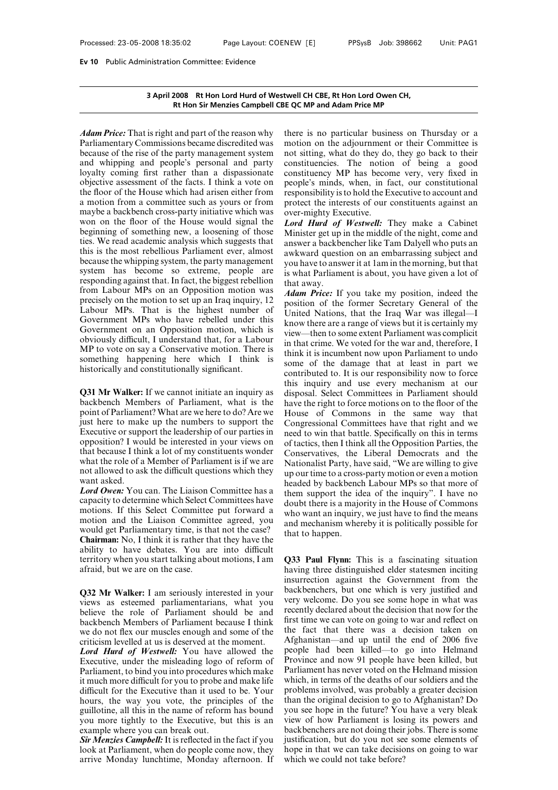# **3 April 2008 Rt Hon Lord Hurd of Westwell CH CBE, Rt Hon Lord Owen CH,** on Committee: Evidence<br>2008 Rt Hon Lord Hurd of Westwell CH CBE, Rt Hon Lord Owen CH,<br>Rt Hon Sir Menzies Campbell CBE QC MP and Adam Price MP

**3 April 2008 Rt Hon Lord Hurd of Westwell CH<br><b>Rt Hon Sir Menzies Campbell CBE QC MF**<br>*Adam Price:* That is right and part of the reason why there is<br>Parliamentary Commissions became discredited was motion<br>because of the r **Barliam 2008** Rt Hon Lord Hurd of Westwell<br>
Rt Hon Sir Menzies Campbell CBE QC<br>
Adam Price: That is right and part of the reason why<br>
Parliamentary Commissions became discredited was<br>
motic<br>
because of the rise of the par **3 April 2008** Rt Hon Lord Hurd of Westwell CH CBE, Rt<br>
Rt Hon Sir Menzies Campbell CBE QC MP and Ac<br>
Adam Price: That is right and part of the reason why there is no pa<br>
Parliamentary Commissions became discredited was mo **EXAMPLE SET AND SET AND SET AND SET AND SET ALL AND SET ALL AND SET ALL AND SET ALL AND SET ALL AND SET ALL AND SET ALL AND SET AND SET AND SET AND SET AND SET AND SET AND SET AND SET AND SET AND SET AND SET AND SET AND S** Mainten Same Campbell CD (CM<br>
Adam Price: That is right and part of the reason why<br>
there if<br>
Parliamentary Commissions became discredited was<br>
motion<br>
because of the rise of the party management system in to sit<br>
and whip Adam Price: That is right and part of the reason why<br>
Parliamentary Commissions became discredited was<br>
motion c<br>
because of the rise of the party management system not sittin<br>
and whipping and people's personal and party Adam Price: That is right and part of the reason why<br>
Parliamentary Commissions became discredited was<br>
motion on the<br>
because of the rise of the party management system not sitting, wh<br>
and whipping and people's personal Parliamentary Commissions became discredited was<br>
motion on the<br>
because of the rise of the party management system not sitting, wh<br>
and whipping and people's personal and party constituencies.<br>
loyalty coming first rathe because of the rise of the party management system<br>and whipping and people's personal and party const<br>loyalty coming first rather than a dispassionate const<br>objective assessment of the facts. I think a vote on peopl<br>the fl and whipping and people's personal and party<br>and whipping and people's personal and party constitunid loyalty coming first rather than a dispassionate constitue of the floor of the House which had arisen either from respo loyalty coming first rather than a dispassionate constituted<br>objective assessment of the facts. I think a vote on people<br>the floor of the House which had arisen either from respon<br>a motion from a committee such as yours o objective assessment of the facts. I think a vote on<br>the floor of the House which had arisen either from<br>a motion from a committee such as yours or from<br>maybe a backbench cross-party initiative which was<br>over<br>won on the f the floor of the House which had arisen either from<br>a motion from a committee such as yours or from<br>a motion from a committee such as yours or from<br>prot<br>maybe a backbench cross-party initiative which was<br>over<br>won on the f a motion from a committee such as yours or from<br>maybe a backbench cross-party initiative which was<br>won on the floor of the House would signal the<br>beginning of something new, a loosening of those<br>Min<br>ties. We read academic maybe a backbench cross-party initiative which was<br>word on the floor of the House would signal the Lord<br>beginning of something new, a loosening of those Minist<br>ties. We read academic analysis which suggests that<br>this is t won on the floor of the House would signal the *Lord Hu*<br>beginning of something new, a loosening of those Minister<br>ties. We read academic analysis which suggests that answer a<br>this is the most rebellious Parliament ever, beginning of something new, a loosening of those<br>ties. We read academic analysis which suggests that<br>this is the most rebellious Parliament ever, almost<br>because the whipping system, the party management<br>system has become ties. We read academic analysis which suggests that<br>this is the most rebellious Parliament ever, almost<br>because the whipping system, the party management<br>system has become so extreme, people are is what<br>responding against this is the most rebellious Parliament ever, almost<br>because the whipping system, the party management<br>system has become so extreme, people are is wl<br>responding against that. In fact, the biggest rebellion<br>from Labour MPs because the whipping system, the party management<br>system has become so extreme, people are is which<br>responding against that. In fact, the biggest rebellion that a<br>from Labour MPs on an Opposition motion was<br>precisely on t system has become so extreme, people are is which<br>responding against that. In fact, the biggest rebellion<br>from Labour MPs on an Opposition motion was<br>precisely on the motion to set up an Iraq inquiry, 12<br>Labour MPs. That responding against that. In fact, the biggest rebellion<br>from Labour MPs on an Opposition motion was<br>precisely on the motion to set up an Iraq inquiry, 12<br>Labour MPs. That is the highest number of<br>Government MPs who have r From Labour MPs on an Opposition motion was<br>precisely on the motion to set up an Iraq inquiry, 12<br>Labour MPs. That is the highest number of Unite<br>Government MPs who have rebelled under this<br>covernment on an Opposition mot precisely on the motion to set up an Iraq inquiry, 12<br>
Labour MPs. That is the highest number of Unite<br>
Government MPs who have rebelled under this<br>
covernment on an Opposition motion, which is<br>
view-<br>
obviously difficult, Labour MPs. That is the highest number<br>Government MPs who have rebelled under the<br>Government on an Opposition motion, which<br>obviously difficult, I understand that, for a Labo<br>MP to vote on say a Conservative motion. There<br> Government on an Opposition motion, which is<br>
obviously difficult, I understand that, for a Labour<br>
MP to vote on say a Conservative motion. There is<br>
something happening here which I think is<br>
historically and constitutio

backbench Members of Parliament, what is the positive the same in that<br>
MP to vote on say a Conservative motion. There is<br>
some think is<br>
some this historically and constitutionally significant.<br> **Q31 Mr Walker:** If we ca MP to vote on say a Conservative motion. There is<br>
something happening here which I think is<br>
historically and constitutionally significant.<br> **Q31 Mr Walker:** If we cannot initiate an inquiry as<br>
backbench Members of Parl something happening here which I think is<br>
historically and constitutionally significant.<br> **Q31 Mr Walker:** If we cannot initiate an inquiry as<br>
disposed backbench Members of Parliament, what is the<br>
point of Parliament? W historically and constitutionally significant.<br> **Q31 Mr Walker:** If we cannot initiate an inquiry as<br>
disposal.<br>
backbench Members of Parliament, what is the<br>
point of Parliament? What are we here to do? Are we<br>
live the p **Q31 Mr Walker:** If we cannot initiate an inquiry as this inquested backbench Members of Parliament, what is the have the point of Parliament? What are we here to do? Are we House quist here to make up the numbers to suppo **Q31 Mr Walker:** If we cannot initiate an inquiry as disposed<br>backbench Members of Parliament, what is the have<br>point of Parliament? What are we here to do? Are we Hous<br>just here to make up the numbers to support the Cong backbench Members of Parliament, what is the have the point of Parliament? What are we here to do? Are we House just here to make up the numbers to support the Congre Executive or support the leadership of our parties in point of Parliament? What are we here to do? Are we just here to make up the numbers to support the Congress<br>Executive or support the leadership of our parties in ened to<br>opposition? I would be interested in your views on just here to make<br>Executive or supp<br>opposition? I wou<br>that because I thin<br>what the role of a<br>not allowed to ask<br>want asked.<br>*Lord Owen*: You capacity to determ *Executive or support the leadership of our parties in*<br> *Lord Composition?* I would be interested in your views on<br>
that because I think a lot of my constituents wonder<br>
what the role of a Member of Parliament is if we ar opposition? I would be interested in your views on<br>opposition? I would be interested in your views on<br>of tact<br>that because I think a lot of my constituents wonder<br>want the role of a Member of Parliament is if we are<br>not a

that because I think a lot of my constituents wonder<br>that because I think a lot of my constituents wonder<br>what the role of a Member of Parliament is if we are<br>not allowed to ask the difficult questions which they<br>want aske what the role of a Member of Parliament is if we are<br>
mot allowed to ask the difficult questions which they<br>
want asked.<br> **Lord Owen:** You can. The Liaison Committee has a<br>
readed b<br>
them supercity to determine which Sele not allowed to ask the difficult questions which they<br>want asked.<br>Lord Owen: You can. The Liaison Committee has a<br>capacity to determine which Select Committee have<br>motions. If this Select Committee put forward a<br>motion and want asked.<br> **Cord Owen:** You can. The Liaison Committee has a headed them scapacity to determine which Select Committee have doubt motions. If this Select Committee put forward a who w motion and the Liaison Committee agr **Lord Owen:** You can. The Liaison Committee has a<br>
capacity to determine which Select Committees have<br>
motions. If this Select Committee put forward a<br>
motion and the Liaison Committee agreed, you<br>
would get Parliamentary Exercise to determine which Select Committees have<br>
motions. If this Select Committee put forward a<br>
motion and the Liaison Committee agreed, you<br>
would get Parliamentary time, is that not the case?<br> **Chairman:** No, I thin motions. If this Select Committee<br>motion and the Liaison Committ<br>would get Parliamentary time, is the<br>**Chairman:** No, I think it is rather the<br>ability to have debates. You are<br>territory when you start talking abou<br>afraid, would get Parliamentary time, is that not the case?<br> **Chairman:** No, I think it is rather that they have the<br>
ability to have debates. You are into difficult<br>
territory when you start talking about motions, I am<br> **Q32 Mr W** 

**Chairman:** No, I think it is rather that they have the<br>ability to have debates. You are into difficult<br>territory when you start talking about motions, I am<br>afraid, but we are on the case.<br>**Q32 Mr Walker:** I am seriously ability to have debates. You are into difficult<br>territory when you start talking about motions, I am<br>afraid, but we are on the case.<br>**Q32 Mr Walker:** I am seriously interested in your backbene<br>views as esteemed parliamenta territory when you start talking about motions, I am<br>afraid, but we are on the case.<br> **Q32 Mr Walker:** I am seriously interested in your<br>
views as esteemed parliamentarians, what you very weld<br>
believe the role of Parliame afraid, but we are on the case. The muscles in summary<br> **Q32 Mr Walker:** I am seriously interested in your<br>
views as esteemed parliamentarians, what you very we<br>
believe the role of Parliament should be and recentl<br>
backbe **Q32 Mr Walker:** I am seriously interested in your<br>views as esteemed parliamentarians, what you<br>believe the role of Parliament should be and r<br>backbench Members of Parliament because I think f<br>we do not flex our muscles e **Q32 Mr Walker:** I am seriously interested in your backbot views as esteemed parliamentarians, what you very we believe the role of Parliament should be and backbench Members of Parliament because I think first tin we do n Views as esteemed parliamentarians, what you<br>believe the role of Parliamentarians, what you very<br>believe the role of Parliament should be and<br>backbench Members of Parliament because I think first<br>we do not flex our muscles

believe the role of Parliament should be and recentl<br>backbench Members of Parliament because I think first tin<br>we do not flex our muscles enough and some of the fa<br>criticism levelled at us is deserved at the moment. Afghar backbench Members of Parliament because I think first tin we do not flex our muscles enough and some of the the criticism levelled at us is deserved at the moment. **Afghance Lord Hurd of Westwell:** You have allowed the pe we do not flex our muscles enough and some of the the criticism levelled at us is deserved at the moment. **Lord Hurd of Westwell:** You have allowed the peoplement **Lord Hurd of Westwell:** You have allowed the peoplement, t criticism levelled at us is deserved at the moment. Afghanceled at us is deserved at the moment. **Lord Hurd of Westwell:** You have allowed the people Executive, under the misleading logo of reform of Provin Parliament, to **Lord Hurd of Westwell:** You have allowed the people l<br>Executive, under the misleading logo of reform of Province<br>Parliament, to bind you into procedures which make Parliame<br>it much more difficult for you to probe and make Executive, under the misleading logo of reform of Province<br>Parliament, to bind you into procedures which make Parliame<br>it much more difficult for you to probe and make life which, in<br>difficult for the Executive than it us Parliament, to bind you into procedures variancent, to bind you into procedures it much more difficult for you to probe an difficult for the Executive than it used thours, the way you vote, the princip guillotine, all this it much more difficult for you to probe and make life which, in difficult for the Executive than it used to be. Your problems hours, the way you vote, the principles of the than the guillotine, all this in the name of refo difficult for the Executive than it used to be. Your problem<br>hours, the way you vote, the principles of the than the<br>guillotine, all this in the name of reform has bound you see<br>you more tightly to the Executive, but this hours, the way you vote, the principles of the than guillotine, all this in the name of reform has bound you wore tightly to the Executive, but this is an view example where you can break out.<br>Sir Menzies Campbell: It is r

twell CH CBE, Rt Hon Lord Owen CH,<br>
E QC MP and Adam Price MP<br>
there is no particular business on Thursday or a<br>
motion on the adjournment or their Committee is<br>
not sitting, what do they do, they go back to their twell CH CBE, Rt Hon Lord Owen CH,<br>
E QC MP and Adam Price MP<br>
there is no particular business on Thursday or a<br>
motion on the adjournment or their Committee is<br>
not sitting, what do they do, they go back to their<br>
constit **EXECT COMP and Adam Price MP**<br>**EXECT COMP and Adam Price MP**<br>**there is no particular business on Thursday or a**<br>motion on the adjournment or their Committee is<br>not sitting, what do they do, they go back to their<br>constitue E QC MP and Adam Price MP<br>there is no particular business on Thursday or a<br>motion on the adjournment or their Committee is<br>not sitting, what do they do, they go back to their<br>constituencies. The notion of being a good<br>cons Example 12 and Malam Theolar<br>there is no particular business on Thursday or a<br>motion on the adjournment or their Committee is<br>not sitting, what do they do, they go back to their<br>constituencies. The notion of being a good<br>c there is no particular business on Thursday or a<br>motion on the adjournment or their Committee is<br>not sitting, what do they do, they go back to their<br>constituencies. The notion of being a good<br>constituency MP has become ver there is no particular business on Thursday or a<br>motion on the adjournment or their Committee is<br>not sitting, what do they do, they go back to their<br>constituencies. The notion of being a good<br>constituency MP has become ver motion on the adjournment or their Committee is<br>not sitting, what do they do, they go back to their<br>constituencies. The notion of being a good<br>constituency MP has become very, very fixed in<br>people's minds, when, in fact, o not sitting, what do they do,<br>constituencies. The notion<br>constituency MP has becon<br>people's minds, when, in fa<br>responsibility is to hold the Ex<br>protect the interests of our c<br>over-mighty Executive.<br>Lord Hurd of Westwell: T constituencies. The notion of being a good<br>constituency MP has become very, very fixed in<br>people's minds, when, in fact, our constitutional<br>responsibility is to hold the Executive to account and<br>protect the interests of ou constituency MP has become very, very fixed in<br>people's minds, when, in fact, our constitutional<br>responsibility is to hold the Executive to account and<br>protect the interests of our constituents against an<br>over-mighty Execu

people's minds, when, in fact, our constitutional<br>responsibility is to hold the Executive to account and<br>protect the interests of our constituents against an<br>over-mighty Executive.<br>Lord Hurd of Westwell: They make a Cabine responsibility is to hold the Executive to account and<br>protect the interests of our constituents against an<br>over-mighty Executive.<br>**Lord Hurd of Westwell:** They make a Cabinet<br>Minister get up in the middle of the night, co protect the interests of our constituents against an<br>over-mighty Executive.<br>Lord Hurd of Westwell: They make a Cabinet<br>Minister get up in the middle of the night, come and<br>answer a backbencher like Tam Dalyell who puts an<br> over-mighty Executive.<br> **Lord Hurd of Westwell:** They make a Cabinet<br>
Minister get up in the middle of the night, come and<br>
answer a backbencher like Tam Dalyell who puts an<br>
awkward question on an embarrassing subject and **Lord Hurd of Westwell:** They make a Cabinet<br>Minister get up in the middle of the night, come and<br>answer a backbencher like Tam Dalyell who puts an<br>awkward question on an embarrassing subject and<br>you have to answer it at 1 Minister get up in the middle of the night, come and<br>answer a backbencher like Tam Dalyell who puts an<br>awkward question on an embarrassing subject and<br>you have to answer it at 1am in the morning, but that<br>is what Parliamen answer a backbencher like Tam Dalyell who puts an<br>awkward question on an embarrassing subject and<br>you have to answer it at 1am in the morning, but that<br>is what Parliament is about, you have given a lot of<br>that away.<br>**Adam** 

awkward question on an embarrassing subject and<br>you have to answer it at 1am in the morning, but that<br>is what Parliament is about, you have given a lot of<br>that away.<br>*Adam Price*: If you take my position, indeed the<br>positi you have to answer it at 1am in the morning, but that<br>is what Parliament is about, you have given a lot of<br>that away.<br>**Adam Price:** If you take my position, indeed the<br>position of the former Secretary General of the<br>United is what Parliament is about, you have given a lot of<br>that away.<br>**Adam Price:** If you take my position, indeed the<br>position of the former Secretary General of the<br>United Nations, that the Iraq War was illegal—I<br>know there a that away.<br> **Adam Price:** If you take my position, indeed the<br>
position of the former Secretary General of the<br>
United Nations, that the Iraq War was illegal—I<br>
know there are a range of views but it is certainly my<br>
view— Adam Price: If you take my position, indeed the<br>position of the former Secretary General of the<br>United Nations, that the Iraq War was illegal—I<br>know there are a range of views but it is certainly my<br>view—then to some exten position of the former Secretary General of the<br>United Nations, that the Iraq War was illegal—I<br>know there are a range of views but it is certainly my<br>view—then to some extent Parliament was complicit<br>in that crime. We vot United Nations, that the Iraq War was illegal—I<br>know there are a range of views but it is certainly my<br>view—then to some extent Parliament was complicit<br>in that crime. We voted for the war and, therefore, I<br>think it is inc know there are a range of views but it is certainly my<br>view—then to some extent Parliament was complicit<br>in that crime. We voted for the war and, therefore, I<br>think it is incumbent now upon Parliament to undo<br>some of the d view—then to some extent Parliament was complicit<br>in that crime. We voted for the war and, therefore, I<br>think it is incumbent now upon Parliament to undo<br>some of the damage that at least in part we<br>contributed to. It is ou in that crime. We voted for the war and, therefore, I<br>think it is incumbent now upon Parliament to undo<br>some of the damage that at least in part we<br>contributed to. It is our responsibility now to force<br>this inquiry and use think it is incumbent now upon Parliament to undo<br>some of the damage that at least in part we<br>contributed to. It is our responsibility now to force<br>this inquiry and use every mechanism at our<br>disposal. Select Committees in some of the damage that at least in part we<br>contributed to. It is our responsibility now to force<br>this inquiry and use every mechanism at our<br>disposal. Select Committees in Parliament should<br>have the right to force motions contributed to. It is our responsibility now to force<br>this inquiry and use every mechanism at our<br>disposal. Select Committees in Parliament should<br>have the right to force motions on to the floor of the<br>House of Commons in this inquiry and use every mechanism at our<br>disposal. Select Committees in Parliament should<br>have the right to force motions on to the floor of the<br>House of Commons in the same way that<br>Congressional Committees have that r disposal. Select Committees in Parliament should<br>have the right to force motions on to the floor of the<br>House of Commons in the same way that<br>Congressional Committees have that right and we<br>need to win that battle. Specifi have the right to force motions on to the floor of the<br>House of Commons in the same way that<br>Congressional Committees have that right and we<br>need to win that battle. Specifically on this in terms<br>of tactics, then I think a House of Commons in the same way that<br>Congressional Committees have that right and we<br>need to win that battle. Specifically on this in terms<br>of tactics, then I think all the Opposition Parties, the<br>Conservatives, the Liber Congressional Committees have that right and we<br>need to win that battle. Specifically on this in terms<br>of tactics, then I think all the Opposition Parties, the<br>Conservatives, the Liberal Democrats and the<br>Nationalist Party need to win that battle. Specifically on this in terms<br>of tactics, then I think all the Opposition Parties, the<br>Conservatives, the Liberal Democrats and the<br>Nationalist Party, have said, "We are willing to give<br>up our time of tactics, then I think all the Opposition Parties, the<br>Conservatives, the Liberal Democrats and the<br>Nationalist Party, have said, "We are willing to give<br>up our time to a cross-party motion or even a motion<br>headed by bac Conservatives, the Liberal Democrats and the<br>Nationalist Party, have said, "We are willing to give<br>up our time to a cross-party motion or even a motion<br>headed by backbench Labour MPs so that more of<br>them support the idea o Nationalist Party, have said, "We are willing to give<br>up our time to a cross-party motion or even a motion<br>headed by backbench Labour MPs so that more of<br>them support the idea of the inquiry". I have no<br>doubt there is a ma up our time to a cross-<br>headed by backbenchend<br>them support the ide<br>doubt there is a majo<br>who want an inquiry,<br>and mechanism wher<br>that to happen. The support the least of the highly 1 T have hot<br>doubt there is a majority in the House of Commons<br>who want an inquiry, we just have to find the means<br>and mechanism whereby it is politically possible for<br>that to happen.<br>Q3

Franchine is a majority in the House of Columnois<br>who want an inquiry, we just have to find the means<br>and mechanism whereby it is politically possible for<br>that to happen.<br>Q33 Paul Flynn: This is a fascinating situation<br>hav Figure 1.1 This is a fascinating situation<br>and mechanism whereby it is politically possible for<br>that to happen.<br>**Q33 Paul Flynn:** This is a fascinating situation<br>having three distinguished elder statesmen inciting<br>insurrec and mechanism whereby it is pointeany possible for<br>that to happen.<br>**Q33 Paul Flynn:** This is a fascinating situation<br>having three distinguished elder statesmen inciting<br>insurrection against the Government from the<br>backbenc **Q33 Paul Flynn:** This is a fascinating situation<br>having three distinguished elder statesmen inciting<br>insurrection against the Government from the<br>backbenchers, but one which is very justified and<br>very welcome. Do you see **Q33 Paul Flynn:** This is a fascinating situation having three distinguished elder statesmen inciting insurrection against the Government from the backbenchers, but one which is very justified and very welcome. Do you see **Q33 Paul Flynn:** This is a fascinating situation having three distinguished elder statesmen inciting insurrection against the Government from the backbenchers, but one which is very justified and very welcome. Do you see having three distinguished elder statesmen inciting<br>insurrection against the Government from the<br>backbenchers, but one which is very justified and<br>very welcome. Do you see some hope in what was<br>recently declared about the insurrection against the Government from the<br>backbenchers, but one which is very justified and<br>very welcome. Do you see some hope in what was<br>recently declared about the decision that now for the<br>first time we can vote on backbenchers, but one which is very justified and<br>very welcome. Do you see some hope in what was<br>recently declared about the decision that now for the<br>first time we can vote on going to war and reflect on<br>the fact that the very welcome. Do you see some hope in what was<br>recently declared about the decision that now for the<br>first time we can vote on going to war and reflect on<br>the fact that there was a decision taken on<br>Afghanistan—and up unti recently declared about the decision that now for the<br>first time we can vote on going to war and reflect on<br>the fact that there was a decision taken on<br>Afghanistan—and up until the end of 2006 five<br>people had been killed—t first time we can vote on going to war and reflect on<br>the fact that there was a decision taken on<br>Afghanistan—and up until the end of 2006 five<br>people had been killed—to go into Helmand<br>Province and now 91 people have been the fact that there was a decision taken on<br>Afghanistan—and up until the end of 2006 five<br>people had been killed—to go into Helmand<br>Province and now 91 people have been killed, but<br>Parliament has never voted on the Helmand Afghanistan—and up until the end of 2006 five<br>people had been killed—to go into Helmand<br>Province and now 91 people have been killed, but<br>Parliament has never voted on the Helmand mission<br>which, in terms of the deaths of ou people had been killed—to go into Helmand<br>Province and now 91 people have been killed, but<br>Parliament has never voted on the Helmand mission<br>which, in terms of the deaths of our soldiers and the<br>problems involved, was prob Province and now 91 people have been killed, but<br>Parliament has never voted on the Helmand mission<br>which, in terms of the deaths of our soldiers and the<br>problems involved, was probably a greater decision<br>than the original Parliament has never voted on the Helmand mission<br>which, in terms of the deaths of our soldiers and the<br>problems involved, was probably a greater decision<br>than the original decision to go to Afghanistan? Do<br>you see hope in which, in terms of the deaths of our soldiers and the<br>problems involved, was probably a greater decision<br>than the original decision to go to Afghanistan? Do<br>you see hope in the future? You have a very bleak<br>view of how Par problems involved, was probably a greater decision<br>than the original decision to go to Afghanistan? Do<br>you see hope in the future? You have a very bleak<br>view of how Parliament is losing its powers and<br>backbenchers are not problems involved, was probably a greater decision<br>than the original decision to go to Afghanistan? Do<br>you see hope in the future? You have a very bleak<br>view of how Parliament is losing its powers and<br>backbenchers are not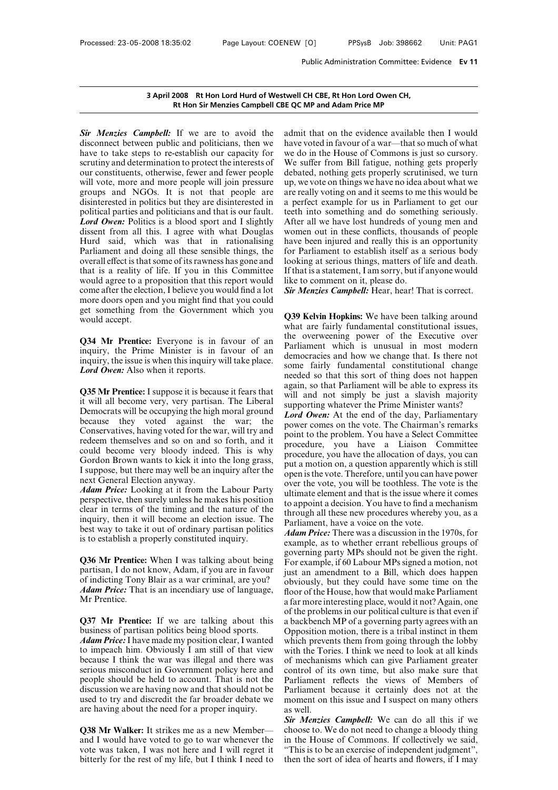# Public Administration Committee: Ev<br> **3 April 2008 Rt Hon Lord Hurd of Westwell CH CBE, Rt Hon Lord Owen CH,<br>
Rt Hon Sir Menzies Campbell CBE QC MP and Adam Price MP** Public Administration Committee:<br> **Rt Hon Lord Hurd of Westwell CH CBE, Rt Hon Lord Owen CH,<br>
Rt Hon Sir Menzies Campbell CBE QC MP and Adam Price MP**

**Sigmuary 3 April 2008** Rt Hon Lord Hurd of Westwell C<br>**Rt Hon Sir Menzies Campbell CBE QC M**<br>*Sir Menzies Campbell*: If we are to avoid the admit<br>disconnect between public and politicians, then we have v<br>have to take step **3 April 2008 Rt Hon Lord Hurd of Westwell C**<br>**Rt Hon Sir Menzies Campbell CBE QC M**<br>**Sir Menzies Campbell:** If we are to avoid the admit<br>disconnect between public and politicians, then we have v<br>have to take steps to re-e **3 April 2008 Rt Hon Lord Hurd of Westwell Rt Hon Sir Menzies Campbell CBE QC**<br> **Rt Hon Sir Menzies Campbell CBE QC**<br> **Sir Menzies Campbell:** If we are to avoid the admit<br>
disconnect between public and politicians, then we **Sim 2000** Referred the interest of the interest of the interests Campbell CBE QC<br>Sim Menzies Campbell: If we are to avoid the adm<br>disconnect between public and politicians, then we have<br>have to take steps to re-establish **Sir Menzies Campbell:** If we are to avoid the admit disconnect between public and politicians, then we have v<br>have to take steps to re-establish our capacity for we do<br>scrutiny and determination to protect the interests o **Sir Menzies Campbell:** If we are to avoid the admit disconnect between public and politicians, then we have v have to take steps to re-establish our capacity for we do scrutiny and determination to protect the interests o **Sir Menzies Campbell:** If we are to avoid the admit disconnect between public and politicians, then we have v have to take steps to re-establish our capacity for we do scrutiny and determination to protect the interests o disconnect between public and politicians, then we have vote<br>have to take steps to re-establish our capacity for we do in<br>scrutiny and determination to protect the interests of We suffe<br>our constituents, otherwise, fewer a have to take steps to re-establish our capacity for<br>scrutiny and determination to protect the interests of<br>we cour constituents, otherwise, fewer and fewer people<br>del<br>will vote, more and more people will join pressure<br>up,<br> **Example 12** and determination to protect the interests of We suff our constituents, otherwise, fewer and fewer people debated will vote, more and more people will join pressure up, we v groups and NGOs. It is not that peo our constituents, otherwise, fewer and fewer people<br>will vote, more and more people will join pressure up, w<br>groups and NGOs. It is not that people are are re<br>disinterested in politics but they are disinterested in a per<br>p will vote, more and more people will join pressure up, we v<br>groups and NGOs. It is not that people are are reall<br>disinterested in politics but they are disinterested in a perfec<br>political parties and politicians and that i groups and NGOs. It is not that people are are readisinterested in politics but they are disinterested in a perfer political parties and politicians and that is our fault. teeth is **Lord Owen:** Politics is a blood sport an disinterested in politics but they are disinterested in a perfect<br>political parties and politicians and that is our fault. teeth inte<br>**Lord Owen:** Politics is a blood sport and I slightly After all<br>dissent from all this. I political parties and politicians and that is our fault. Leeth in *Lord Owen*: Politics is a blood sport and I slightly After a dissent from all this. I agree with what Douglas women Hurd said, which was that in rationali **Lord Owen:** Politics is a blood sport and I slightly After all dissent from all this. I agree with what Douglas women c Hurd said, which was that in rationalising have bee Parliament and doing all these sensible things, dissent from all this. I agree with what Douglas wom<br>Hurd said, which was that in rationalising have<br>Parliament and doing all these sensible things, the for l<br>overall effect is that some of its rawness has gone and look<br>t Hurd said, which was that in rationalising have bee<br>Parliament and doing all these sensible things, the for Parlia<br>overall effect is that some of its rawness has gone and looking a<br>that is a reality of life. If you in thi Parliament and doing all these sensible things, the<br>overall effect is that some of its rawness has gone and<br>that is a reality of life. If you in this Committee If that is<br>would agree to a proposition that this report would overall effect is that<br>that is a reality of<br>would agree to a pr<br>come after the electi<br>more doors open an<br>get something fror<br>would accept.<br>**O34** Mr Prentice: would agree to a proposition that this report would<br>come after the election, I believe you would find a lot<br>more doors open and you might find that you could<br>get something from the Government which you<br>would accept.<br>Q34 Mr come after the election, I believe you would find a lot **Sir Menz**<br>more doors open and you might find that you could<br>get something from the Government which you<br>would accept.<br>**Q34 Mr Prentice:** Everyone is in favour of an

more doors open and you might find that you could<br>get something from the Government which you<br>would accept.<br>**Q34 Mr Prentice:** Everyone is in favour of an<br>inquiry, the Prime Minister is in favour of an<br>inquiry, the issue i more doors open and you might find that you could<br>get something from the Government which you<br>would accept.<br>Q34 Mr Prentice: Everyone is in favour of an<br>inquiry, the Prime Minister is in favour of an<br>inquiry, the issue is **Q34 Mr Prentice:** Everyone is in favour of an the inquiry, the Prime Minister is in favour of an inquiry, the issue is when this inquiry will take place.<br> *Lord Owen*: Also when it reports. <br> **Q35 Mr Prentice:** I suppose **Q34 Mr Prentice:** Everyone is in favour of an inquiry, the Prime Minister is in favour of an inquiry, the issue is when this inquiry will take place. <br> *Lord Owen:* Also when it reports. <br> **Q35 Mr Prentice:** I suppose it

inquiry, the Prime Minister is in favour of an<br>
inquiry, the issue is when this inquiry will take place.<br> **Lord Owen:** Also when it reports.<br> **Q35 Mr Prentice:** I suppose it is because it fears that<br>
it will all become ve inquiry, the issue is when this inquiry will take place.<br> **Lord Owen:** Also when it reports.<br> **Q35 Mr Prentice:** I suppose it is because it fears that again,<br>
it will all become very, very partisan. The Liberal agains<br>
De **Lord Owen:** Also when it reports.<br> **Q35 Mr Prentice:** I suppose it is because it fears that again, so it will all become very, very partisan. The Liberal will and it will try and because they voted against the war; the C **Q35 Mr Prentice:** I suppose it is because it fears that<br>it will all become very, very partisan. The Liberal<br>Democrats will be occupying the high moral ground<br>because they voted against the war; the<br>Conservatives, having v **Q35 Mr Prentice:** I suppose it is because it fears that<br>it will all become very, very partisan. The Liberal<br>Democrats will be occupying the high moral ground<br>because they voted against the war; the<br>Conservatives, having It will all become very, very partisan. The Liberal<br>Democrats will be occupying the high moral ground<br>because they voted against the war; the<br>Conservatives, having voted for the war, will try and<br>redeem themselves and so Democrats will be occupying the high moral ground<br>because they voted against the war; the power<br>Conservatives, having voted for the war, will try and<br>redeem themselves and so on and so forth, and it<br>could become very blood because they voted against the because they voted against the Conservatives, having voted for the w<br>redeem themselves and so on and s<br>could become very bloody indeed<br>Gordon Brown wants to kick it into<br>I suppose, but there Conservatives, having voted for the war, will try and<br>
redeem themselves and so on and so forth, and it<br>
could become very bloody indeed. This is why<br>
Gordon Brown wants to kick it into the long grass,<br>
I suppose, but ther redeem themselves and so on and so forth, and it<br>could become very bloody indeed. This is why<br>cordon Brown wants to kick it into the long grass,<br>I suppose, but there may well be an inquiry after the<br>next General Election

could become very bloody indeed. This is why<br>
Gordon Brown wants to kick it into the long grass,<br>
I suppose, but there may well be an inquiry after the<br>
next General Election anyway.<br> *Adam Price:* Looking at it from the Gordon Brown wants to kick it into the long grass,<br>I suppose, but there may well be an inquiry after the<br>next General Election anyway.<br>Adam Price: Looking at it from the Labour Party<br>perspective, then surely unless he make perspective, then surely unless he makes his position<br>clear in terms of the timing and the nature of the<br>inquiry, then it will become an election issue. The<br>best way to take it out of ordinary partisan politics<br>is to estab perspective, then surely unless he makes his position<br>clear in terms of the timing and the nature of the<br>inquiry, then it will become an election issue. The<br>best way to take it out of ordinary partisan politics<br>is to estab clear in terms of the timing and the nature of the<br>inquiry, then it will become an election issue. The<br>best way to take it out of ordinary partisan politics<br>is to establish a properly constituted inquiry.<br>**Q36 Mr Prentice** 

inquiry, then it will become an election issue. The<br>best way to take it out of ordinary partisan politics<br>is to establish a properly constituted inquiry.<br>**Q36 Mr Prentice:** When I was talking about being<br>partisan, I do no best way to take it out of ordinary partisan politics *Ad*<br>is to establish a properly constituted inquiry.<br>**Q36 Mr Prentice:** When I was talking about being governotisan, I do not know, Adam, if you are in favour just<br>of i is to establish a pro<br> **Q36 Mr Prentice:**<br>
partisan, I do not lof<br>
indicting Tony<br> *Adam Price:* That<br>
Mr Prentice.<br> **O37 Mr Prentice Q36 Mr Prentice:** When I was talking about being<br>partisan, I do not know, Adam, if you are in favour<br>of indicting Tony Blair as a war criminal, are you?<br>**Adam Price:** That is an incendiary use of language,<br>floor<br>Mr Prent partisan, I do not know, Adam, if you are in favour<br>of indicting Tony Blair as a war criminal, are you?<br>
Adam Price: That is an incendiary use of language,<br>
Mr Prentice.<br>
Q37 Mr Prentice: If we are talking about this<br>
busi of indicting Tony Blair as a war criminal, are you?<br> *Adam Price:* That is an incendiary use of language, door of the proposition clear, a far more of the proposition clear, I wanted business of partisan politics being blo

**Adam Price:** That is an incendiary use of language, floor of the H<br>
Mr Prentice. a far more in<br> **Q37 Mr Prentice:** If we are talking about this a backbench<br>
business of partisan politics being blood sports. Opposition 1<br> Mr Prentice.<br>
a far1<br>
Q37 Mr Prentice: If we are talking about this a bac<br>
business of partisan politics being blood sports. Oppc<br> *Adam Price:* I have made my position clear, I wanted which<br>
to impeach him. Obviously I a **Q37 Mr Prentice:** If we are talking about this of the probusiness of partisan politics being blood sports. Opposition  $Adam$  Price: I have made my position clear, I wanted which pr to impeach him. Obviously I am still of th **Q37 Mr Prentice:** If we are talking about this a back business of partisan politics being blood sports. Oppose *Adam Price:* I have made my position clear, I wanted which to impeach him. Obviously I am still of that view business of partisan politics being blood sports.<br> **Adam Price:** I have made my position clear, I wanted which to impeach him. Obviously I am still of that view with the because I think the war was illegal and there was o **Adam Price:** I have made my position clear, I wanted<br>to impeach him. Obviously I am still of that view with the<br>because I think the war was illegal and there was of me<br>serious misconduct in Government policy here and con **Adam Price:** I have made my position clear, I wanted to impeach him. Obviously I am still of that view because I think the war was illegal and there was serious misconduct in Government policy here and people should be h **Serious misconduct in Government policy here and** control of its own<br>
people should be held to account. That is not the Parliament reflect<br>
discussion we are having now and that should not be Parliament becaused<br>
used to people should be held to account. That is not the<br>discussion we are having now and that should not be<br>leads to try and discredit the far broader debate we<br>moment are having about the need for a proper inquiry.<br>**Q38 Mr Wal** 

discussion we are having now and that should not be<br>used to try and discredit the far broader debate we<br>are having about the need for a proper inquiry.<br>**Q38 Mr Walker:** It strikes me as a new Member— choo<br>and I would have used to try and discredit the far broader debate we moment<br>are having about the need for a proper inquiry. as well.<br>**Q38 Mr Walker:** It strikes me as a new Member— choose to<br>and I would have voted to go to war whenever the

twell CH CBE, Rt Hon Lord Owen CH,<br>
E QC MP and Adam Price MP<br>
admit that on the evidence available then I would<br>
have voted in favour of a war—that so much of what<br>
we do in the House of Commons is just so cursory. twell CH CBE, Rt Hon Lord Owen CH,<br>
E QC MP and Adam Price MP<br>
admit that on the evidence available then I would<br>
have voted in favour of a war—that so much of what<br>
we do in the House of Commons is just so cursory.<br>
We su twell CH CBE, Rt Hon Lord Owen CH,<br>
E QC MP and Adam Price MP<br>
admit that on the evidence available then I would<br>
have voted in favour of a war—that so much of what<br>
we do in the House of Commons is just so cursory.<br>
We su E QC MP and Adam Price MP<br>admit that on the evidence available then I would<br>have voted in favour of a war—that so much of what<br>we do in the House of Commons is just so cursory.<br>We suffer from Bill fatigue, nothing gets pro Example 12 and Adam Thee influence available then I would<br>have voted in favour of a war—that so much of what<br>we do in the House of Commons is just so cursory.<br>We suffer from Bill fatigue, nothing gets properly<br>debated, not admit that on the evidence available then I would<br>have voted in favour of a war—that so much of what<br>we do in the House of Commons is just so cursory.<br>We suffer from Bill fatigue, nothing gets properly<br>debated, nothing get admit that on the evidence available then I would<br>have voted in favour of a war—that so much of what<br>we do in the House of Commons is just so cursory.<br>We suffer from Bill fatigue, nothing gets properly<br>debated, nothing get have voted in favour of a war—that so much of what<br>we do in the House of Commons is just so cursory.<br>We suffer from Bill fatigue, nothing gets properly<br>debated, nothing gets properly scrutinised, we turn<br>up, we vote on thi have voted in favour of a war—that so much of what<br>we do in the House of Commons is just so cursory.<br>We suffer from Bill fatigue, nothing gets properly<br>debated, nothing gets properly scrutinised, we turn<br>up, we vote on thi We suffer from Bill fatigue, nothing gets properly<br>debated, nothing gets properly scrutinised, we turn<br>up, we vote on things we have no idea about what we<br>are really voting on and it seems to me this would be<br>a perfect exa debated, nothing gets properly scrutinised, we turn<br>up, we vote on things we have no idea about what we<br>are really voting on and it seems to me this would be<br>a perfect example for us in Parliament to get our<br>teeth into som up, we vote on things we have no idea about what we<br>are really voting on and it seems to me this would be<br>a perfect example for us in Parliament to get our<br>teeth into something and do something seriously.<br>After all we have are really voting on and it seems to me this would be<br>a perfect example for us in Parliament to get our<br>teeth into something and do something seriously.<br>After all we have lost hundreds of young men and<br>women out in these c a perfect example for us in Parliament to get our<br>teeth into something and do something seriously.<br>After all we have lost hundreds of young men and<br>women out in these conflicts, thousands of people<br>have been injured and re teeth into something and do something seriously.<br>After all we have lost hundreds of young men and<br>women out in these conflicts, thousands of people<br>have been injured and really this is an opportunity<br>for Parliament to esta After all we have lost hundreds of you<br>After all we have lost hundreds of you<br>women out in these conflicts, thousan<br>have been injured and really this is an<br>for Parliament to establish itself as a<br>looking at serious things, women out in these conflicts, thousands of people<br>have been injured and really this is an opportunity<br>for Parliament to establish itself as a serious body<br>looking at serious things, matters of life and death.<br>If that is a For Parilament to establish itself as a serious body<br>
looking at serious things, matters of life and death.<br>
If that is a statement, I am sorry, but if anyone would<br>
like to comment on it, please do.<br> **Sir Menzies Campbell** 

From the area of the and death.<br>If that is a statement, I am sorry, but if anyone would<br>like to comment on it, please do.<br>**Sir Menzies Campbell:** Hear, hear! That is correct.<br>**Q39 Kelvin Hopkins:** We have been talking arou It that is a statement, I am sorry, but it anyone would<br>like to comment on it, please do.<br>**Sir Menzies Campbell:** Hear, hear! That is correct.<br>**Q39 Kelvin Hopkins:** We have been talking around<br>what are fairly fundamental c Sir Menzies Campbell: Hear, hear! That is correct.<br>
Sir Menzies Campbell: Hear, hear! That is correct.<br>
Q39 Kelvin Hopkins: We have been talking around<br>
what are fairly fundamental constitutional issues,<br>
the overweening p **Sur Menzies Campbell:** Hear, near! I hat is correct.<br> **Q39 Kelvin Hopkins:** We have been talking around<br>
what are fairly fundamental constitutional issues,<br>
the overweening power of the Executive over<br>
Parliament which is **Q39 Kelvin Hopkins:** We have been talking around what are fairly fundamental constitutional issues, the overweening power of the Executive over Parliament which is unusual in most modern democracies and how we change that **Q39 Kelvin Hopkins:** We have been talking around what are fairly fundamental constitutional issues, the overweening power of the Executive over Parliament which is unusual in most modern democracies and how we change that what are fairly fundamental constitutional issues,<br>the overweening power of the Executive over<br>Parliament which is unusual in most modern<br>democracies and how we change that. Is there not<br>some fairly fundamental constitutio the overweening power of the Executive over<br>Parliament which is unusual in most modern<br>democracies and how we change that. Is there not<br>some fairly fundamental constitutional change<br>needed so that this sort of thing does n Parliament which is unusual in most modern<br>democracies and how we change that. Is there not<br>some fairly fundamental constitutional change<br>needed so that this sort of thing does not happen<br>again, so that Parliament will be democracies and how we change that. Is there not<br>some fairly fundamental constitutional change<br>needed so that this sort of thing does not happen<br>again, so that Parliament will be able to express its<br>will and not simply be some fairly fundamental constitutional change<br>needed so that this sort of thing does not happen<br>again, so that Parliament will be able to express its<br>will and not simply be just a slavish majority<br>supporting whatever the P

Best way to the may well be an inquiry after the long grass,<br>  $\mu$  an motion on, a question apparently which is still<br>  $\mu$  I suppose, but there may well be an inquiry after the<br>  $\mu$  over the vote, you will be toothless. needed so that this sort of thing does not happen<br>again, so that Parliament will be able to express its<br>will and not simply be just a slavish majority<br>supporting whatever the Prime Minister wants?<br>*Lord Owen*: At the end again, so that Parliament will be able to express its<br>will and not simply be just a slavish majority<br>supporting whatever the Prime Minister wants?<br>Lord Owen: At the end of the day, Parliamentary<br>power comes on the vote. Th will and not simply be just a slavish majority<br>supporting whatever the Prime Minister wants?<br>Lord Owen: At the end of the day, Parliamentary<br>power comes on the vote. The Chairman's remarks<br>point to the problem. You have a supporting whatever the Prime Minister wants?<br> **Lord Owen:** At the end of the day, Parliamentary<br>
power comes on the vote. The Chairman's remarks<br>
point to the problem. You have a Select Committee<br>
procedure, you have a Li **Lord Owen:** At the end of the day, Parliamentary<br>power comes on the vote. The Chairman's remarks<br>point to the problem. You have a Select Committee<br>procedure, you have a Liaison Committee<br>procedure, you have the allocation power comes on the vote. The Chairman's remarks<br>point to the problem. You have a Select Committee<br>procedure, you have a Liaison Committee<br>procedure, you have the allocation of days, you can<br>put a motion on, a question appa point to the problem. You have a Select Committee<br>procedure, you have a Liaison Committee<br>procedure, you have the allocation of days, you can<br>put a motion on, a question apparently which is still<br>open is the vote. Therefor procedure, you have a Liaison Committee<br>procedure, you have a Liaison Committee<br>procedure, you have the allocation of days, you can<br>put a motion on, a question apparently which is still<br>open is the vote. Therefore, until y procedure, you have the allocation of days, you can<br>put a motion on, a question apparently which is still<br>open is the vote. Therefore, until you can have power<br>over the vote, you will be toothless. The vote is the<br>ultimate put a motion on, a question apparently whis<br>open is the vote. Therefore, until you can has<br>over the vote, you will be toothless. The voice of the vote, you will be toothless. The voice<br>ultimate element and that is the issu open is the vote. Therefore, until you can have power<br>open is the vote. Therefore, until you can have power<br>over the vote, you will be toothless. The vote is the<br>ultimate element and that is the issue where it comes<br>to app over the vote, you will be toothless. The vote is the ultimate element and that is the issue where it comes to appoint a decision. You have to find a mechanism through all these new procedures whereby you, as a Parliament,

ultimate element and that is the issue where it comes<br>to appoint a decision. You have to find a mechanism<br>through all these new procedures whereby you, as a<br>Parliament, have a voice on the vote.<br>Adam Price: There was a dis to appoint a decision. You have to find a mechanism<br>through all these new procedures whereby you, as a<br>Parliament, have a voice on the vote.<br>Adam Price: There was a discussion in the 1970s, for<br>example, as to whether erran through all these new procedures whereby you, as a<br>Parliament, have a voice on the vote.<br>Adam Price: There was a discussion in the 1970s, for<br>example, as to whether errant rebellious groups of<br>governing party MPs should no Parliament, have a voice on the vote.<br>
Adam Price: There was a discussion in the 1970s, for<br>
example, as to whether errant rebellious groups of<br>
governing party MPs should not be given the right.<br>
For example, if 60 Labour Adam Price: There was a discussion in the 1970s, for<br>example, as to whether errant rebellious groups of<br>governing party MPs should not be given the right.<br>For example, if 60 Labour MPs signed a motion, not<br>just an amendmen example, as to whether errant rebellious groups of<br>governing party MPs should not be given the right.<br>For example, if 60 Labour MPs signed a motion, not<br>just an amendment to a Bill, which does happen<br>obviously, but they co governing party MPs should not be given the right.<br>For example, if 60 Labour MPs signed a motion, not<br>just an amendment to a Bill, which does happen<br>obviously, but they could have some time on the<br>floor of the House, how t For example, if 60 Labour MPs signed a motion, not<br>just an amendment to a Bill, which does happen<br>obviously, but they could have some time on the<br>floor of the House, how that would make Parliament<br>a far more interesting pl just an amendment to a Bill, which does happen<br>obviously, but they could have some time on the<br>floor of the House, how that would make Parliament<br>a far more interesting place, would it not? Again, one<br>of the problems in ou obviously, but they could have some time on the<br>floor of the House, how that would make Parliament<br>a far more interesting place, would it not? Again, one<br>of the problems in our political culture is that even if<br>a backbench floor of the House, how that would make Parliament<br>a far more interesting place, would it not? Again, one<br>of the problems in our political culture is that even if<br>a backbench MP of a governing party agrees with an<br>Oppositi a far more interesting place, would it not? Again, one<br>of the problems in our political culture is that even if<br>a backbench MP of a governing party agrees with an<br>Opposition motion, there is a tribal instinct in them<br>which of the problems in our political culture is that even if<br>a backbench MP of a governing party agrees with an<br>Opposition motion, there is a tribal instinct in them<br>which prevents them from going through the lobby<br>with the To a backbench MP of a governing party agrees with an<br>Opposition motion, there is a tribal instinct in them<br>Which prevents them from going through the lobby<br>with the Tories. I think we need to look at all kinds<br>of mechanisms Opposition motion, there is a tribal instinct in them<br>which prevents them from going through the lobby<br>with the Tories. I think we need to look at all kinds<br>of mechanisms which can give Parliament greater<br>control of its ow which prevents them from going through the lobby<br>with the Tories. I think we need to look at all kinds<br>of mechanisms which can give Parliament greater<br>control of its own time, but also make sure that<br>Parliament reflects th with the Tori<br>of mechanism<br>control of it:<br>Parliament<br>Parliament b<br>moment on t<br>as well.<br>Sir Menzies<br>choose to. of mechanisms which can give Parliament greater<br>control of its own time, but also make sure that<br>Parliament reflects the views of Members of<br>Parliament because it certainly does not at the<br>moment on this issue and I suspec control of its own time, but also make sure that<br>Parliament reflects the views of Members of<br>Parliament because it certainly does not at the<br>moment on this issue and I suspect on many others<br>as well.<br>**Sir Menzies Campbell:** 

Parliament reflects the views of Members of<br>Parliament because it certainly does not at the<br>moment on this issue and I suspect on many others<br>as well.<br>**Sir Menzies Campbell:** We can do all this if we<br>choose to. We do not n Parliament because it certainly does not at the<br>moment on this issue and I suspect on many others<br>as well.<br>**Sir Menzies Campbell:** We can do all this if we<br>choose to. We do not need to change a bloody thing<br>in the House of moment on this issue and I suspect on many others<br>as well.<br>Sir Menzies Campbell: We can do all this if we<br>choose to. We do not need to change a bloody thing<br>in the House of Commons. If collectively we said,<br>"This is to be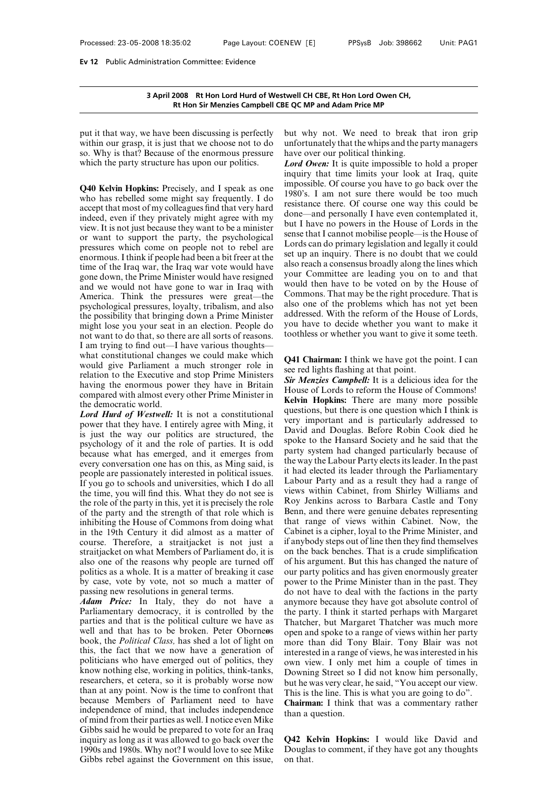# **3 April 2008 Rt Hon Lord Hurd of Westwell CH CBE, Rt Hon Lord Owen CH,** on Committee: Evidence<br>2008 Rt Hon Lord Hurd of Westwell CH CBE, Rt Hon Lord Owen CH,<br>Rt Hon Sir Menzies Campbell CBE QC MP and Adam Price MP

3 April 2008 Rt Hon Lord Hurd of Westwell CH<br>Rt Hon Sir Menzies Campbell CBE QC MP<br>put it that way, we have been discussing is perfectly but wh<br>within our grasp, it is just that we choose not to do unfortu<br>so. Why is that? **3 April 2008 Rt Hon Lord Hurd of Westwell CH C**<br>**Rt Hon Sir Menzies Campbell CBE QC MP**<br>put it that way, we have been discussing is perfectly but why<br>within our grasp, it is just that we choose not to do unfortun<br>so. Why **So. 3 April 2008** Rt Hon Lord Hurd of Westwell C<br>
Rt Hon Sir Menzies Campbell CBE QC M<br>
put it that way, we have been discussing is perfectly but w<br>
within our grasp, it is just that we choose not to do unfort<br>
so. Why is **Example Example 18 September 19 September 19 September 19 September 19 September 19 September 19 September 19 September 19 September 19 September 19 September 19 September 19 September 19 September 19 September 19 Septemb** put it that way, we have been discussing is perfectly<br>within our grasp, it is just that we choose not to do<br>unfort<br>so. Why is that? Because of the enormous pressure have o<br>which the party structure has upon our politics.<br>

put it that way, we have been discussing is perfectly but why<br>within our grasp, it is just that we choose not to do unfortun<br>so. Why is that? Because of the enormous pressure have ove<br>which the party structure has upon ou within our grasp, it is just that we choose not to do<br>so. Why is that? Because of the enormous pressure have ove<br>which the party structure has upon our politics. Lord Ow<br>inquiry t<br>Q40 Kelvin Hopkins: Precisely, and I spea so. Why is that? Because of the enormous pressure have over<br>which the party structure has upon our politics. Lord O<br>inquiry<br>Q40 Kelvin Hopkins: Precisely, and I speak as one<br>who has rebelled some might say frequently. I d which the party structure has upon our politics.<br> **Q40 Kelvin Hopkins:** Precisely, and I speak as one impoted who has rebelled some might say frequently. I do<br>
accept that most of my colleagues find that very hard<br>
indeed **Q40 Kelvin Hopkins:** Precisely, and I speak as one imply who has rebelled some might say frequently. I do accept that most of my colleagues find that very hard indeed, even if they privately might agree with my view. It **Q40 Kelvin Hopkins:** Precisely, and I speak as one who has rebelled some might say frequently. I do accept that most of my colleagues find that very hard indeed, even if they privately might agree with my view. It is not who has rebelled some might say frequently. I do<br>accept that most of my colleagues find that very hard<br>indeed, even if they privately might agree with my<br>view. It is not just because they want to be a minister<br>or want to s accept that most of my colleagues find that very hard<br>indeed, even if they privately might agree with my<br>view. It is not just because they want to be a minister<br>or want to support the party, the psychological<br>pressures whi indeed, even if they privately might agree with my<br>indeed, even if they privately might agree with my<br>view. It is not just because they want to be a minister<br>or want to support the party, the psychological<br>pressures which view. It is not just because they want to be a minister<br>or want to support the party, the psychological<br>pressures which come on people not to rebel are<br>pressures which come on people not to rebel are<br>enormous. I think if p or want to support the party, the psychological<br>pressures which come on people not to rebel are<br>enormous. I think if people had been a bit freer at the<br>time of the Iraq war, the Iraq war vote would have<br>gone down, the Prim pressures which come on people not to rebel are<br>
enormous. I think if people had been a bit freer at the<br>
time of the Iraq war, the Iraq war vote would have<br>
gone down, the Prime Minister would have resigned<br>
gone down, th Franchine and we morntous. I think if people had been a bit freer at the set up time of the Iraq war, the Iraq war vote would have also r gone down, the Prime Minister would have resigned and we would not have gone to war time of the Iraq war, the Iraq war vote would have<br>gone down, the Prime Minister would have also reaci<br>gone down, the Prime Minister would have resigned<br>and we would not have gone to war in Iraq with<br>America. Think the pre gone down, the Prime Minister would have resigned<br>and we would not have gone to war in Iraq with<br>America. Think the pressures were great—the<br>psychological pressures, loyalty, tribalism, and also also<br>the possibility that b and we would not have gone to war in Iraq with<br>
America. Think the pressures were great—the<br>
psychological pressures, loyalty, tribalism, and also<br>
the possibility that bringing down a Prime Minister<br>
also one of the pite<br> America. Think the pressures were great—the<br>psychological pressures, loyalty, tribalism, and also also one<br>the possibility that bringing down a Prime Minister addressee<br>might lose you your seat in an election. People do y psychological pressures, loyalty, tribalism, and also also one<br>the possibility that bringing down a Prime Minister addressee<br>might lose you your seat in an election. People do you have<br>not want to do that, so there are al the possibility that bringing down a Prime Minister<br>might lose you your seat in an election. People do<br>not want to do that, so there are all sorts of reasons.<br>I am trying to find out—I have various thoughts—<br>what constitu might lose you your seat in an election. People do you have<br>not want to do that, so there are all sorts of reasons.<br>I am trying to find out—I have various thoughts—<br>what constitutional changes we could make which<br>would gi mot want to do that, so there are all sorts of reasons.<br>
I am trying to find out—I have various thoughts—<br>
what constitutional changes we could make which<br>
would give Parliament a much stronger role in<br>
relation to the Ex not want to do that, so there are all sorts of reasons.<br>I am trying to find out—I have various thoughts—<br>what constitutional changes we could make which<br>would give Parliament a much stronger role in<br>relation to the Executi what constitutional changes we could make which<br>would give Parliament a much stronger role in<br>relation to the Executive and stop Prime Ministers<br>having the enormous power they have in Britain<br>compared with almost every oth would give Parliament a much stronger role in<br>relation to the Executive and stop Prime Ministers<br>having the enormous power they have in Britain<br>compared with almost every other Prime Minister in<br>the democratic world.<br>Lord

relation to the Executive and stop Prime Ministers<br>having the enormous power they have in Britain<br>compared with almost every other Prime Minister in<br>the democratic world.<br>Lord Hurd of Westwell: It is not a constitutional<br> having the enormous power they have in Britain<br>
compared with almost every other Prime Minister in<br>
the democratic world.<br> *Lord Hurd of Westwell*: It is not a constitutional<br>
power that they have. I entirely agree with M compared with almost every other Prime Minister in<br>the democratic world.<br>Lord Hurd of Westwell: It is not a constitutional questions, but<br>power that they have. I entirely agree with Ming, it<br>is just the way our politics a **Example 18 Kelvin**<br> **Example 19 Example 19 Example 10 Example 10** Example 10 Example 10 Example 10 Example 10 Example 10 Example 10 Example 10 Example 10 Example 10 Example 10 Example 10 Example 10 Example 10 Example 10 power that they have. I entirely agree with Ming, it<br>is just the way our politics are structured, the<br>psychology of it and the role of parties. It is odd<br>because what has emerged, and it emerges from pall<br>people are passio is just the way our politics are structured, the<br>psychology of it and the role of parties. It is odd<br>because what has emerged, and it emerges from<br>every conversation one has on this, as Ming said, is<br>the wevery conversatio psychology of it and the role of parties. It is odd<br>because what has emerged, and it emerges from<br>every conversation one has on this, as Ming said, is<br>people are passionately interested in political issues. it had<br>If you because what has emerged, and it emerges from<br>every conversation one has on this, as Ming said, is<br>people are passionately interested in political issues.<br>If you go to schools and universities, which I do all<br>the time, you every conversation one has on this, as Ming said, is<br>people are passionately interested in political issues.<br>If you go to schools and universities, which I do all<br>the time, you will find this. What they do not see is<br>the r people are passionately interested in political issues. It has<br>If you go to schools and universities, which I do all<br>the time, you will find this. What they do not see is<br>the role of the party in this, yet it is precisely If you go to schools and universities, which I do all<br>the time, you will find this. What they do not see is<br>the role of the party in this, yet it is precisely the role<br>of the party and the strength of that role which is<br>Be the time, you will find this. What they do not see is views<br>the time, you will find this. What they do not see is views<br>of the party and the strength of that role which is Benn<br>inhibiting the House of Commons from doing wh the role of the party in this, yet it is precisely the role<br>of the party and the strength of that role which is<br>for the party and the strength of that role which is<br>in this in the 19th Century it did almost as a matter of of the party and the strength of that role which is Benn,<br>inhibiting the House of Commons from doing what that r<br>in the 19th Century it did almost as a matter of Cabine<br>course. Therefore, a straitjacket is not just a if an inhibiting the House of Commons from doing what<br>in the 19th Century it did almost as a matter of Cab<br>course. Therefore, a straitjacket is not just a if an<br>straitjacket on what Members of Parliament do, it is on t<br>also one inhibiting the House of Commons from doing what<br>in the 19th Century it did almost as a matter of<br>course. Therefore, a straitjacket is not just a<br>straitjacket on what Members of Parliament do, it is<br>also one of the reasons **EXECUTE:** COUISE. Therefore, a straitjacket is not just a if anybot straitjacket on what Members of Parliament do, it is on the b also one of the reasons why people are turned off of his an politics as a whole. It is a ma straitjacket on what Members of Parliament do, it is<br>also one of the reasons why people are turned off of his<br>politics as a whole. It is a matter of breaking it case our pa<br>by case, vote by vote, not so much a matter of po

also one of the reasons why people are turned off of his<br>politics as a whole. It is a matter of breaking it case our p<br>by case, vote by vote, not so much a matter of powe<br>passing new resolutions in general terms. do no<br>*Ad* politics as a whole. It is a matter of breaking it case our p<br>by case, vote by vote, not so much a matter of powe<br>passing new resolutions in general terms. do not<br>*Adam Price*: In Italy, they do not have a anym<br>Parliamenta by case, vote by vote, not so much a matter of power to<br>passing new resolutions in general terms.<br>*Adam Price:* In Italy, they do not have a anymore<br>Parliamentary democracy, it is controlled by the the party<br>parties and passing new resolutions in general terms.<br> **Adam Price:** In Italy, they do not have a anyi<br>
Parliamentary democracy, it is controlled by the the p<br>
parties and that is the political culture we have as Tha<br>
well and that ha **Adam Price:** In Italy, they do not have a anymor<br>Parliamentary democracy, it is controlled by the the part<br>parties and that is the political culture we have as Thatche<br>well and that has to be broken. Peter Oborness open a Parliamentary democracy, it is controlled by the<br>parties and that is the political culture we have as<br>The well and that has to be broken. Peter Oborness<br>oper<br>book, the *Political Class*, has shed a lot of light on<br>methis, parties and that is the political culture we have as<br>well and that has to be broken. Peter Oborneos<br>well and that has to be broken. Peter Oborneos<br>open and spo<br>book, the *Political Class*, has shed a lot of light on<br>more t well and that has to be broken. Peter Oborness<br>book, the *Political Class*, has shed a lot of light on<br>mor<br>this, the fact that we now have a generation of inter<br>politicians who have emerged out of politics, they own<br>know n book, the *Political Class*, has shed a lot of light on more<br>this, the fact that we now have a generation of interes<br>politicians who have emerged out of politics, they own v<br>know nothing else, working in politics, think-ta this, the fact that we now have a generation of interes<br>politicians who have emerged out of politics, they own v<br>know nothing else, working in politics, think-tanks, Downi<br>researchers, et cetera, so it is probably worse no politicians who have emerged out of politics, they<br>
know nothing else, working in politics, think-tanks,<br>
researchers, et cetera, so it is probably worse now<br>
but he<br>
than at any point. Now is the time to confront that<br>
be know nothing else, working in politics, think-tanks,<br>researchers, et cetera, so it is probably worse now but he was<br>than at any point. Now is the time to confront that This is the<br>because Members of Parliament need to have researchers, et cetera, so it is probably worse now<br>than at any point. Now is the time to confront that<br>than at any point. Now is the time to confront that<br>than a<br>independence of mind, that includes independence<br>of mind f than at any point. Now is the time to confront that<br>because Members of Parliament need to have<br>independence of mind, that includes independence<br>of mind from their parties as well. I notice even Mike<br>Gibbs said he would be because Members of Parliament need to have<br>independence of mind, that includes independence<br>of mind from their parties as well. I notice even Mike<br>Gibbs said he would be prepared to vote for an Iraq<br>inquiry as long as it w

twell CH CBE, Rt Hon Lord Owen CH,<br>
E QC MP and Adam Price MP<br>
but why not. We need to break that iron grip<br>
unfortunately that the whips and the party managers<br>
have over our political thinking. twell CH CBE, Rt Hon Lord Owen CH,<br>
E QC MP and Adam Price MP<br>
but why not. We need to break that iron grip<br>
unfortunately that the whips and the party managers<br>
have over our political thinking.<br> *Lord Owen*: It is quite **Rt Hon Sir Menzies Campbell CBE QC MP and Adam Price MP**<br>been discussing is perfectly but why not. We need to break that iron grip<br>st that we choose not to do unfortunately that the whips and the party managers<br>e of the e **LE QC MP and Adam Price MP**<br> **Lord Owen:** It is quite impossible to hold a proper<br> *Lord Owen:* It is quite impossible to hold a proper<br>
inquiry that time limits your look at Iraq, quite<br>
impossible. Of course you have to

**Exam and business in**<br>but why not. We need to break that iron grip<br>unfortunately that the whips and the party managers<br>have over our political thinking.<br>**Lord Owen:** It is quite impossible to hold a proper<br>inquiry that ti but why not. We need to break that iron grip<br>unfortunately that the whips and the party managers<br>have over our political thinking.<br>**Lord Owen:** It is quite impossible to hold a proper<br>inquiry that time limits your look at but why not. We need to break that iron grip<br>unfortunately that the whips and the party managers<br>have over our political thinking.<br>**Lord Owen:** It is quite impossible to hold a proper<br>inquiry that time limits your look at unfortunately that the whips and the party managers<br>have over our political thinking.<br>Lord Owen: It is quite impossible to hold a proper<br>inquiry that time limits your look at Iraq, quite<br>impossible. Of course you have to g have over our political thinking.<br> **Lord Owen:** It is quite impossible to hold a proper<br>
inquiry that time limits your look at Iraq, quite<br>
impossible. Of course you have to go back over the<br>
1980's. I am not sure there wo **Lord Owen:** It is quite impossible to hold a proper inquiry that time limits your look at Iraq, quite impossible. Of course you have to go back over the 1980's. I am not sure there would be too much resistance there. Of c inquiry that time limits your look at Iraq, quite<br>impossible. Of course you have to go back over the<br>1980's. I am not sure there would be too much<br>resistance there. Of course one way this could be<br>done—and personally I hav impossible. Of course you have to go back over the 1980's. I am not sure there would be too much resistance there. Of course one way this could be done—and personally I have even contemplated it, but I have no powers in th 1980's. I am not sure there would be too much<br>resistance there. Of course one way this could be<br>done—and personally I have even contemplated it,<br>but I have no powers in the House of Lords in the<br>sense that I cannot mobili resistance there. Of course one way this could be<br>done—and personally I have even contemplated it,<br>but I have no powers in the House of Lords in the<br>sense that I cannot mobilise people—is the House of<br>Lords can do primary done—and personally I have even contemplated it,<br>but I have no powers in the House of Lords in the<br>sense that I cannot mobilise people—is the House of<br>Lords can do primary legislation and legally it could<br>set up an inquiry but I have no powers in the House of Lords in the<br>sense that I cannot mobilise people—is the House of<br>Lords can do primary legislation and legally it could<br>set up an inquiry. There is no doubt that we could<br>also reach a co sense that I cannot mobilise people—is the House of<br>Lords can do primary legislation and legally it could<br>set up an inquiry. There is no doubt that we could<br>also reach a consensus broadly along the lines which<br>your Committ Lords can do primary legislation and legally it could<br>set up an inquiry. There is no doubt that we could<br>also reach a consensus broadly along the lines which<br>your Committee are leading you on to and that<br>would then have to set up an inquiry. There is no doubt that we could<br>also reach a consensus broadly along the lines which<br>your Committee are leading you on to and that<br>would then have to be voted on by the House of<br>Commons. That may be the also reach a consensus broadly along the lines which<br>your Committee are leading you on to and that<br>would then have to be voted on by the House of<br>Commons. That may be the right procedure. That is<br>also one of the problems w your Committee are leading you on to and that<br>would then have to be voted on by the House of<br>Commons. That may be the right procedure. That is<br>also one of the problems which has not yet been<br>addressed. With the reform of t Commons. That may be the right procedure. That is<br>also one of the problems which has not yet been<br>addressed. With the reform of the House of Lords,<br>you have to decide whether you want to make it<br>toothless or whether you wa also one of the problems which has not yet been<br>addressed. With the reform of the House of Lords,<br>you have to decide whether you want to make it<br>toothless or whether you want to give it some teeth.<br>Q41 Chairman: I think we

**Lord Hurd of Westwell:** It is not a constitutional questions, but there is one question which I think is power that they have. I entirely agree with Ming, it wery important and is particularly addressed to is just the way *Sigmaxyou have to decide whether you want to make it* toothless or whether you want to give it some teeth.<br>**Q41 Chairman:** I think we have got the point. I can see red lights flashing at that point.<br>**Sir Menzies Campbell:** Four laws to decide whether you want to make it<br>toothless or whether you want to give it some teeth.<br>**Q41 Chairman:** I think we have got the point. I can<br>see red lights flashing at that point.<br>**Sir Menzies Campbell:** It is **Q41 Chairman:** I think we have got the point. I can<br>see red lights flashing at that point.<br>**Sir Menzies Campbell:** It is a delicious idea for the<br>House of Lords to reform the House of Commons!<br>**Kelvin Hopkins:** There are **Q41 Chairman:** I think we have got the point. I can<br>see red lights flashing at that point.<br>**Sir Menzies Campbell:** It is a delicious idea for the<br>House of Lords to reform the House of Commons!<br>**Kelvin Hopkins:** There are **Q41 Chairman:** I think we have got the point. I can<br>see red lights flashing at that point.<br>Sir Menzies Campbell: It is a delicious idea for the<br>House of Lords to reform the House of Commons!<br>**Kelvin Hopkins:** There are ma see red lights flashing at that point.<br> **Sir Menzies Campbell:** It is a delicious idea for the<br>
House of Lords to reform the House of Commons!<br> **Kelvin Hopkins:** There are many more possible<br>
questions, but there is one qu **Sir Menzies Campbell:** It is a delicious idea for the House of Lords to reform the House of Commons!<br>**Kelvin Hopkins:** There are many more possible questions, but there is one question which I think is very important and House of Lords to reform the House of Commons!<br>**Kelvin Hopkins:** There are many more possible<br>questions, but there is one question which I think is<br>very important and is particularly addressed to<br>David and Douglas. Before Kelvin Hopkins: There are many more possible<br>questions, but there is one question which I think is<br>very important and is particularly addressed to<br>David and Douglas. Before Robin Cook died he<br>spoke to the Hansard Society a questions, but there is one question which I think is<br>very important and is particularly addressed to<br>David and Douglas. Before Robin Cook died he<br>spoke to the Hansard Society and he said that the<br>party system had changed very important and is particularly addressed to<br>David and Douglas. Before Robin Cook died he<br>spoke to the Hansard Society and he said that the<br>party system had changed particularly because of<br>the way the Labour Party elect David and Douglas. Before Robin Cook died he<br>spoke to the Hansard Society and he said that the<br>party system had changed particularly because of<br>the way the Labour Party elects its leader. In the past<br>it had elected its lea spoke to the Hansard Society and he said that the<br>party system had changed particularly because of<br>the way the Labour Party elects its leader. In the past<br>it had elected its leader through the Parliamentary<br>Labour Party an party system had changed particularly because of<br>the way the Labour Party elects its leader. In the past<br>it had elected its leader through the Parliamentary<br>Labour Party and as a result they had a range of<br>views within Cab the way the Labour Party elects its leader. In the past<br>it had elected its leader through the Parliamentary<br>Labour Party and as a result they had a range of<br>views within Cabinet, from Shirley Williams and<br>Roy Jenkins acros it had elected its leader through the Parliamentary<br>Labour Party and as a result they had a range of<br>views within Cabinet, from Shirley Williams and<br>Roy Jenkins across to Barbara Castle and Tony<br>Benn, and there were genuin Labour Party and as a result they had a range of<br>views within Cabinet, from Shirley Williams and<br>Roy Jenkins across to Barbara Castle and Tony<br>Benn, and there were genuine debates representing<br>that range of views within Ca views within Cabinet, from Shirley Williams and<br>Roy Jenkins across to Barbara Castle and Tony<br>Benn, and there were genuine debates representing<br>that range of views within Cabinet. Now, the<br>Cabinet is a cipher, loyal to the Roy Jenkins across to Barbara Castle and Tony<br>Benn, and there were genuine debates representing<br>that range of views within Cabinet. Now, the<br>Cabinet is a cipher, loyal to the Prime Minister, and<br>if anybody steps out of lin Benn, and there were genuine debates representing<br>that range of views within Cabinet. Now, the<br>Cabinet is a cipher, loyal to the Prime Minister, and<br>if anybody steps out of line then they find themselves<br>on the back benche that range of views within Cabinet. Now, the<br>Cabinet is a cipher, loyal to the Prime Minister, and<br>if anybody steps out of line then they find themselves<br>on the back benches. That is a crude simplification<br>of his argument. Cabinet is a cipher, loyal to the Prime Minister, and<br>if anybody steps out of line then they find themselves<br>on the back benches. That is a crude simplification<br>of his argument. But this has changed the nature of<br>our party if anybody steps out of line then they find themselves<br>on the back benches. That is a crude simplification<br>of his argument. But this has changed the nature of<br>our party politics and has given enormously greater<br>power to th on the back benches. That is a crude simplification<br>of his argument. But this has changed the nature of<br>our party politics and has given enormously greater<br>power to the Prime Minister than in the past. They<br>do not have to of his argument. But this has changed the nature of<br>our party politics and has given enormously greater<br>power to the Prime Minister than in the past. They<br>do not have to deal with the factions in the party<br>anymore because our party politics and has given enormously greater<br>power to the Prime Minister than in the past. They<br>do not have to deal with the factions in the party<br>anymore because they have got absolute control of<br>the party. I think power to the Prime Minister than in the past. They<br>do not have to deal with the factions in the party<br>anymore because they have got absolute control of<br>the party. I think it started perhaps with Margaret<br>Thatcher, but Marg do not have to deal with the factions in the party<br>anymore because they have got absolute control of<br>the party. I think it started perhaps with Margaret<br>Thatcher, but Margaret Thatcher was much more<br>open and spoke to a ran anymore because they have got absolute control of<br>the party. I think it started perhaps with Margaret<br>Thatcher, but Margaret Thatcher was much more<br>open and spoke to a range of views within her party<br>more than did Tony Bla the party. I think it started perhaps with Margaret Thatcher, but Margaret Thatcher was much more open and spoke to a range of views within her party more than did Tony Blair. Tony Blair was not interested in a range of vi Thatcher, but Margaret Thatcher was much more<br>open and spoke to a range of views within her party<br>more than did Tony Blair. Tony Blair was not<br>interested in a range of views, he was interested in his<br>own view. I only met h open and spoke to a range of views within her party<br>more than did Tony Blair. Tony Blair was not<br>interested in a range of views, he was interested in his<br>own view. I only met him a couple of times in<br>Downing Street so I di more than did Tony Blair. Tony Blair was not interested in a range of views, he was interested in his own view. I only met him a couple of times in Downing Street so I did not know him personally, but he was very clear, he interested in a range of<br>own view. I only me<br>Downing Street so I c<br>but he was very clear, l<br>This is the line. This is<br>**Chairman:** I think th<br>than a question. **Downing Street so 1 did not know film personary,**<br>but he was very clear, he said, "You accept our view.<br>This is the line. This is what you are going to do".<br>**Chairman:** I think that was a commentary rather<br>than a question but he was very clear, he said, Tou accept our view.<br>This is the line. This is what you are going to do".<br>**Chairman:** I think that was a commentary rather<br>than a question.<br>**Q42 Kelvin Hopkins:** I would like David and<br>Dougl

This is the line. This is what you are going to do".<br> **Chairman:** I think that was a commentary rather<br>
than a question.<br> **Q42 Kelvin Hopkins:** I would like David and<br>
Douglas to comment, if they have got any thoughts<br>
on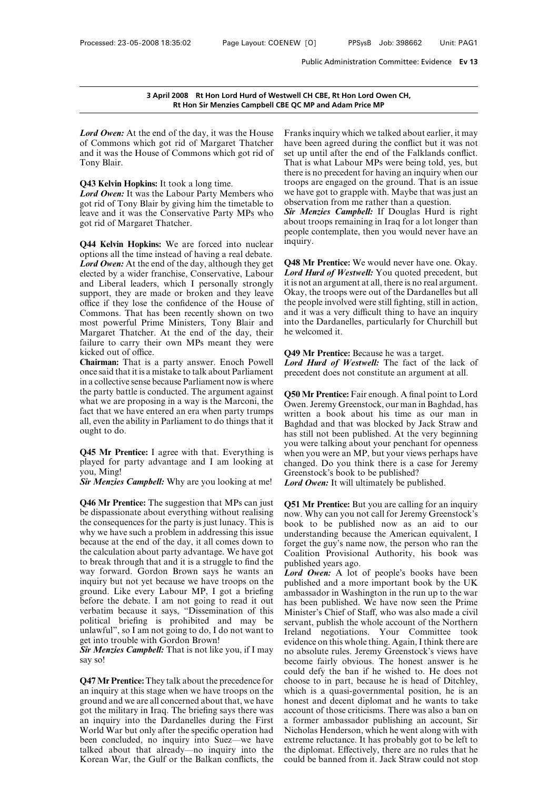**EXECUTE:**<br> **EXECUTE:**<br> **REGIST ON THE STATE OF A STATE OF A STATE OF A STATE OF OWER: At the end of the day, it was the House Frank:<br>
Frank: of Commons which got rid of Margaret Thatcher have b<br>
and it was the House of Co 3 April 2008 Rt Hon Lord Hurd of Westwell Rt Hon Sir Menzies Campbell CBE QC**<br> **Example COMMON EXECUTE:**<br> **Example COMMONS** Which got rid of Margaret Thatcher have<br>
and it was the House of Commons which got rid of set up<br> and it was the House of Commons which got rid of **Lord Owen:** At the<br>**Lord Owen:** At the<br>and it was the He<br>Tony Blair.<br>**Q43 Kelvin Honk Lord Owen:** At the end of the day, it was the H<br>of Commons which got rid of Margaret Tha<br>and it was the House of Commons which got r<br>Tony Blair.<br>Q43 Kelvin Hopkins: It took a long time.<br>Lord Owen: It was the Labour Party **Lord Owen:** At the end of the day, it was the House Franks in of Commons which got rid of Margaret Thatcher have bee and it was the House of Commons which got rid of set up ur Tony Blair. That is well there is n<br> **Q43 Kel** 

of Commons which got rid of Margaret Thatcher<br>and it was the House of Commons which got rid of set up ur<br>Tony Blair.<br>**Q43 Kelvin Hopkins:** It took a long time. there is n<br>**Complementary Members** who we have got rid of Tony and it was the House of Commons which got rid of set up ur<br>
Tony Blair. That is where is n<br> **Q43 Kelvin Hopkins:** It took a long time. troops an<br> *Lord Owen*: It was the Labour Party Members who we have g<br>
got rid of Tony Tony Blair.<br> **Q43 Kelvin Hopkins:** It took a long<br> **Lord Owen:** It was the Labour Part:<br>
got rid of Tony Blair by giving him<br>
leave and it was the Conservative l<br>
got rid of Margaret Thatcher.<br> **O44 Kelvin Honkins:** We are **Q43 Kelvin Hopkins:** It took a long time. The troop *Lord Owen*: It was the Labour Party Members who we have tries and it was the Conservative Party MPs who *Sir M* about peopl **Q44 Kelvin Hopkins:** We are forced into nuc

**Lord Owen:** It was the Labour Party Members who<br>got rid of Tony Blair by giving him the timetable to<br>leave and it was the Conservative Party MPs who<br>got rid of Margaret Thatcher.<br>**Q44 Kelvin Hopkins:** We are forced into n got rid of Tony Blair by giving him the timetable to<br>leave and it was the Conservative Party MPs who<br>got rid of Margaret Thatcher.<br>**Q44 Kelvin Hopkins:** We are forced into nuclear<br>options all the time instead of having a r Leave and it was the Conservative Party MPs who<br>got rid of Margaret Thatcher. about<br>peopl<br>Q44 Kelvin Hopkins: We are forced into nuclear inqui<br>peopl<br>options all the time instead of having a real debate.<br>Lord Owen: At the got rid of Margaret Thatcher. about the people of a straight of Margaret Thatcher.<br> **Q44 Kelvin Hopkins:** We are forced into nuclear inquiry.<br>
options all the time instead of having a real debate.<br> *Lord Owen:* At the end people<br> **Q44 Kelvin Hopkins:** We are forced into nuclear<br>
inquiry<br>
options all the time instead of having a real debate.<br> *Lord Owen:* At the end of the day, although they get<br>
elected by a wider franchise, Conservative, L **Q44 Kelvin Hopkins:** We are forced into nuclear inquotions all the time instead of having a real debate. *Lord Owen:* At the end of the day, although they get **Q48** elected by a wider franchise, Conservative, Labour *Lor* options all the time instead of having a real debate.<br> *Lord Owen:* At the end of the day, although they get **Q48 Mr** elected by a wider franchise, Conservative, Labour *Lord Hu* and Liberal leaders, which I personally str **Lord Owen:** At the end of the day, although they get Q48 Mr elected by a wider franchise, Conservative, Labour Lord Hu and Liberal leaders, which I personally strongly it is not a support, they are made or broken and they elected by a wider franchise, Conservative, Labour<br>
and Liberal leaders, which I personally strongly it is no<br>
support, they are made or broken and they leave Okay<br>
office if they lose the confidence of the House of the pe and Liberal leaders, which I personally strongly it is no<br>support, they are made or broken and they leave Okay,<br>office if they lose the confidence of the House of the pec<br>Commons. That has been recently shown on two and i and Liberal leaders, which I personally strongly support, they are made or broken and they leave office if they lose the confidence of the House of Commons. That has been recently shown on two most powerful Prime Ministers For the solution office if they lose the confidence of the House of the Commons. That has been recently shown on two answers most powerful Prime Ministers, Tony Blair and interpretent Thatcher. At the end of the day, thei Commons. That has been recently shown on two<br>most powerful Prime Ministers, Tony Blair and into<br>Margaret Thatcher. At the end of the day, their he w<br>failure to carry their own MPs meant they were<br>kicked out of office.<br>**Cha** 

most powerful Prime Ministers, Tony Blair and into the Margaret Thatcher. At the end of the day, their he welfailure to carry their own MPs meant they were<br>kicked out of office.<br>**Chairman:** That is a party answer. Enoch P Margaret Thatcher. At the end of the day, their<br>failure to carry their own MPs meant they were<br>kicked out of office.<br>**Chairman:** That is a party answer. Enoch Powell *Lore*<br>once said that it is a mistake to talk about Par failure to carry their own MPs meant they were<br>
kicked out of office.<br> **Chairman:** That is a party answer. Enoch Powell *Lord* is<br>
once said that it is a mistake to talk about Parliament preced<br>
in a collective sense beca kicked out of office.<br> **Chairman:** That is a party answer. Enoch Powell<br>
once said that it is a mistake to talk about Parliament<br>
once said that it is a mistake to talk about Parliament<br>
the party battle is conducted. The **Chairman:** That is a party answer. Enoch Powell<br>
once said that it is a mistake to talk about Parliament<br>
once said that it is a mistake to talk about Parliament<br>
the party battle is conducted. The argument against<br>
the p once said that it is a mistake to talk about Parliament<br>in a collective sense because Parliament now is where<br>the party battle is conducted. The argument against<br>what we are proposing in a way is the Marconi, the<br>fact that the party battle is conducted. The argument against<br>
what we are proposing in a way is the Marconi, the<br>
fact that we have entered an era when party trumps<br>
all, even the ability in Parliament to do things that it<br>
Bagh<br>
o what we are proposing in a way is the Marconi, the<br>fact that we have entered an era when party trumps<br>all, even the ability in Parliament to do things that it<br>ought to do.<br>**Q45 Mr Prentice:** I agree with that. Everything

fact that we have entered an era when party trumps<br>all, even the ability in Parliament to do things that it<br>ought to do.<br>**Q45 Mr Prentice:** I agree with that. Everything is<br>played for party advantage and I am looking at<br>yo all, even the ability in Parliament to do things that it<br>
by a bagged to do.<br> **Q45 Mr Prentice:** I agree with that. Everything is<br> **Q45 Mr Prentice:** I agree with that. Everything is<br>
you looking at ching!<br>
Cou, Ming!<br>
Cou **Q45 Mr Prentice:** I agree with that. Everything is whe played for party advantage and I am looking at char you, Ming!<br> **Sir Menzies Campbell:** Why are you looking at me! Lore<br> **Q46 Mr Prentice:** The suggestion that MPs ca

**Q45 Mr Prentice:** I agree with that. Everything is when youlayed for party advantage and I am looking at changed you, Ming!<br>
Sir *Menzies Campbell*: Why are you looking at me! Lord On **Q46 Mr Prentice:** The suggestion th played for party advantage and I am looking at chang<br>you, Ming!<br>**Sir Menzies Campbell:** Why are you looking at me! Lord<br>**Q46 Mr Prentice:** The suggestion that MPs can just **Q51**!<br>be dispassionate about everything without r you, Ming!<br>
Sir Menzies Campbell: Why are you looking at me!<br>
Cord Consequence: The suggestion that MPs can just<br>
De dispassionate about everything without realising<br>
the consequences for the party is just lunacy. This is **Sir Menzies Campbell:** Why are you looking at me! Lord Ow  $Q46$  Mr Prentice: The suggestion that MPs can just  $Q51$  Mr be dispassionate about everything without realising now. Where consequences for the party is just lun **Q46 Mr Prentice:** The suggestion that MPs can just  $Q51$  be dispassionate about everything without realising now the consequences for the party is just lunacy. This is bool why we have such a problem in addressing this i **Q46 Mr Prentice:** The suggestion that MPs can just  $Q51$  M be dispassionate about everything without realising now. V the consequences for the party is just lunacy. This is book why we have such a problem in addressing t be dispassionate about everything without realising<br>the dispassionate about everything without realising now. Wh<br>the consequences for the party is just lunacy. This is book to<br>why we have such a problem in addressing this the consequences for the party is just lunacy. This is book<br>why we have such a problem in addressing this issue unders<br>because at the end of the day, it all comes down to forget<br>the calculation about party advantage. We h why we have such a problem in addressing this issue<br>because at the end of the day, it all comes down to<br>the calculation about party advantage. We have got<br>the calculation about party advantage. We have got<br>coalitic<br>to bre because at the end of the day, it all comes down to<br>the calculation about party advantage. We have got coal<br>to break through that and it is a struggle to find the<br>publy way forward. Gordon Brown says he wants an *Lore*<br>in the calculation about party advantage. We have got<br>to break through that and it is a struggle to find the<br>public way forward. Gordon Brown says he wants an<br>inquiry but not yet because we have troops on the<br>public<br>ground. L to break through that and it is a struggle to find the publist<br>way forward. Gordon Brown says he wants an  $Lord$  in<br>inquiry but not yet because we have troops on the publist<br>ground. Like every Labour MP, I got a briefing amb way forward. Gordon Brown says he wants an *Lord Om*<br>inquiry but not yet because we have troops on the published<br>ground. Like every Labour MP, I got a briefing ambassad<br>before the debate. I am not going to read it out has inquiry but not yet because we have troop<br>ground. Like every Labour MP, I got a<br>before the debate. I am not going to rea<br>verbatim because it says, "Dissemination<br>political briefing is prohibited and in<br>unlawful", so I am n *Sir Menzies Campbell:* That is not like you, if I may solution<br>Sir Menzies Campbell: That is not going to read it out<br>that because it says, "Dissemination of this Ministe<br>political briefing is prohibited and may be servan before the dependence before the dependence of the dependence of the solution of the solution of the solution of the solution of the solution of the solution of the solution of the solution of the solution of the solution political briefing is prohibited and may be serva<br>
unlawful", so I am not going to do, I do not want to Irelar<br>
get into trouble with Gordon Brown!<br> **Sir Menzies Campbell:** That is not like you, if I may no at<br>
say so!<br> **Q** 

unlawful", so I am not going to do, I do not want to<br>get into trouble with Gordon Brown!<br>**Sir Menzies Campbell:** That is not like you, if I may no abs<br>say so!<br>**Q47 Mr Prentice:** They talk about the precedence for choose<br>a get into trouble with Gordon Brown!<br>
Sir Menzies Campbell: That is not like you, if I may<br>
no abs<br>
say so!<br> **Q47 Mr Prentice:** They talk about the precedence for<br>
could<br> **Q47 Mr Prentice:** They talk about the precedence fo **Sir Menzies Campbell:** That is not like you, if I may no at say so!<br>becord the military in They talk about the precedence for choose an inquiry at this stage when we have troops on the which ground and we are all concerne say so!<br>
becc<br>
coul<br> **Q47 Mr Prentice:** They talk about the precedence for<br>
coul<br>
an inquiry at this stage when we have troops on the<br>
ground and we are all concerned about that, we have<br>
got the military in Iraq. The brie could de<br> **Q47 Mr Prentice:** They talk about the precedence for<br>
choose to<br>
an inquiry at this stage when we have troops on the<br>
section and we are all concerned about that, we have<br>
honest a<br>
got the military in Iraq. The **Q47 Mr Prentice:** They talk about the precedence for choose an inquiry at this stage when we have troops on the which ground and we are all concerned about that, we have honest got the military in Iraq. The briefing says an inquiry at this stage when we have troops on the which ground and we are all concerned about that, we have honest got the military in Iraq. The briefing says there was accour an inquiry into the Dardanelles during the F ground and we are all concerned about that, we have<br>got the military in Iraq. The briefing says there was<br>an inquiry into the Dardanelles during the First a form<br>World War but only after the specific operation had<br>been con

EXTREE THE THE THE THE REFORM IN THE QC MP and Adam Price MP<br>Franks inquiry which we talked about earlier, it may<br>have been agreed during the conflict but it was not<br>set up until after the end of the Falklands conflict. twell CH CBE, Rt Hon Lord Owen CH,<br>
E QC MP and Adam Price MP<br>
Franks inquiry which we talked about earlier, it may<br>
have been agreed during the conflict but it was not<br>
set up until after the end of the Falklands conflict **EXECT COMP and Adam Price MP**<br>Franks inquiry which we talked about earlier, it may<br>have been agreed during the conflict but it was not<br>set up until after the end of the Falklands conflict.<br>That is what Labour MPs were bei E QC MP and Adam Price MP<br>Franks inquiry which we talked about earlier, it may<br>have been agreed during the conflict but it was not<br>set up until after the end of the Falklands conflict.<br>That is what Labour MPs were being to Franks inquiry which we talked about earlier, it may<br>have been agreed during the conflict but it was not<br>set up until after the end of the Falklands conflict.<br>That is what Labour MPs were being told, yes, but<br>there is no p Franks inquiry which we talked about earlier, it may<br>have been agreed during the conflict but it was not<br>set up until after the end of the Falklands conflict.<br>That is what Labour MPs were being told, yes, but<br>there is no p Franks inquiry which we talked about earlier, it may<br>have been agreed during the conflict but it was not<br>set up until after the end of the Falklands conflict.<br>That is what Labour MPs were being told, yes, but<br>there is no p Franks inquiry which we talked about earlier, it may<br>have been agreed during the conflict but it was not<br>set up until after the end of the Falklands conflict.<br>That is what Labour MPs were being told, yes, but<br>there is no p **Sigmular Example 1** Sigmular the end of the Falklands conflict.<br>That is what Labour MPs were being told, yes, but<br>there is no precedent for having an inquiry when our<br>troops are engaged on the ground. That is an issue<br>we That is what Labour MPs were being told, yes, but<br>there is no precedent for having an inquiry when our<br>troops are engaged on the ground. That is an issue<br>we have got to grapple with. Maybe that was just an<br>observation from there is no precedent for having an inquiry when our troops are engaged on the ground. That is an issue we have got to grapple with. Maybe that was just an observation from me rather than a question.<br>Sir Menzies Campbell:

inquiry. observation from me rather than a question.<br> **Sir Menzies Campbell:** If Douglas Hurd is right<br>
about troops remaining in Iraq for a lot longer than<br>
people contemplate, then you would never have an<br>
inquiry.<br> **Q48 Mr Prent Sir Menzies Campbell:** If Douglas Hurd is right<br>about troops remaining in Iraq for a lot longer than<br>people contemplate, then you would never have an<br>inquiry.<br>**Q48 Mr Prentice:** We would never have one. Okay.<br>*Lord Hurd o* 

about troops remaining in Iraq for a lot longer than<br>people contemplate, then you would never have an<br>inquiry.<br>**Q48 Mr Prentice:** We would never have one. Okay.<br>*Lord Hurd of Westwell*: You quoted precedent, but<br>it is not people contemplate, then you would never have an<br>inquiry.<br>**Q48 Mr Prentice:** We would never have one. Okay.<br>*Lord Hurd of Westwell*: You quoted precedent, but<br>it is not an argument at all, there is no real argument.<br>Okay, inquiry.<br> **Q48 Mr Prentice:** We would never have one. Okay.<br> **Lord Hurd of Westwell:** You quoted precedent, but<br>
it is not an argument at all, there is no real argument.<br>
Okay, the troops were out of the Dardanelles but al **Q48 Mr Prentice:** We would never have one. Okay.<br>*Lord Hurd of Westwell*: You quoted precedent, but it is not an argument at all, there is no real argument.<br>Okay, the troops were out of the Dardanelles but all<br>the people **Q48 Mr Prentice:** We would never have one. Okay.<br>*Lord Hurd of Westwell*: You quoted precedent, but it is not an argument at all, there is no real argument.<br>Okay, the troops were out of the Dardanelles but all<br>the people **Q48 Mr Prentice:** We would never have one. Okay. *Lord Hurd of Westwell*: You quoted precedent, but it is not an argument at all, there is no real argument. Okay, the troops were out of the Dardanelles but all the people Okay, the troops were out of the Dardanelles but all<br>the people involved were still fighting, still in action,<br>and it was a very difficult thing to have an inquiry<br>into the Dardanelles, particularly for Churchill but<br>he we the people involved were still fighting, still in action,<br>and it was a very difficult thing to have an inquiry<br>into the Dardanelles, particularly for Churchill but<br>he welcomed it.<br>**Q49 Mr Prentice:** Because he was a target and it was a very difficult thing to have an inquiry<br>into the Dardanelles, particularly for Churchill but<br>he welcomed it.<br>**Q49 Mr Prentice:** Because he was a target.<br>*Lord Hurd of Westwell*: The fact of the lack of<br>precede

**Q49 Mr Prentice:** Because he was a target.<br> **Q49 Mr Prentice:** Because he was a target.<br> **Lord Hurd of Westwell:** The fact of the lack of<br>
precedent does not constitute an argument at all.<br> **Q50 Mr Prentice:** Fair enough. **Q49 Mr Prentice:** Because he was a target.<br> *Lord Hurd of Westwell*: The fact of the lack of<br>
precedent does not constitute an argument at all.<br> **Q50 Mr Prentice:** Fair enough. A final point to Lord<br>
Owen. Jeremy Greensto **Q49 Mr Prentice:** Because he was a target.<br> *Lord Hurd of Westwell*: The fact of the lack of<br>
precedent does not constitute an argument at all.<br> **Q50 Mr Prentice:** Fair enough. A final point to Lord<br>
Owen. Jeremy Greensto **Lord Hurd of Westwell:** The fact of the lack of precedent does not constitute an argument at all.<br> **Q50 Mr Prentice:** Fair enough. A final point to Lord Owen. Jeremy Greenstock, our man in Baghdad, has written a book abou precedent does not constitute an argument at all.<br> **Q50 Mr Prentice:** Fair enough. A final point to Lord<br>
Owen. Jeremy Greenstock, our man in Baghdad, has<br>
written a book about his time as our man in<br>
Baghdad and that was **Q50 Mr Prentice:** Fair enough. A final point to Lord Owen. Jeremy Greenstock, our man in Baghdad, has written a book about his time as our man in Baghdad and that was blocked by Jack Straw and has still not been published **Q50 Mr Prentice:** Fair enough. A final point to Lord Owen. Jeremy Greenstock, our man in Baghdad, has written a book about his time as our man in Baghdad and that was blocked by Jack Straw and has still not been published Owen. Jeremy Greenstock, our man in Baghdad, has<br>written a book about his time as our man in<br>Baghdad and that was blocked by Jack Straw and<br>has still not been published. At the very beginning<br>you were talking about your pe written a book about his time as our implements written a book about his time as our implements be published. At the very be you were talking about your penchant for op when you were an MP, but your views perhas changed. D **Baghdad and that was blocked by Jack Straw a** has still not been published. At the very beginni you were talking about your penchant for openne when you were an MP, but your views perhaps ha changed. Do you think there is Frequency were talking about your penchant for openness<br>when you were an MP, but your views perhaps have<br>changed. Do you think there is a case for Jeremy<br>Greenstock's book to be published?<br>*Lord Owen***:** It will ultimately

when you were an MP, but your views perhaps have<br>changed. Do you think there is a case for Jeremy<br>Greenstock's book to be published?<br>*Lord Owen*: It will ultimately be published.<br>**Q51 Mr Prentice:** But you are calling for changed. Do you think there is a case for Jeremy<br>Greenstock's book to be published?<br>**Lord Owen:** It will ultimately be published.<br>**Q51 Mr Prentice:** But you are calling for an inquiry<br>now. Why can you not call for Jeremy G Greenstock's book to be published?<br> **Lord Owen:** It will ultimately be published.<br> **Q51 Mr Prentice:** But you are calling for an inquiry<br>
now. Why can you not call for Jeremy Greenstock's<br>
book to be published now as an ai **Cord Owen:** It will ultimately be published.<br> **Q51 Mr Prentice:** But you are calling for an inquiry<br>
now. Why can you not call for Jeremy Greenstock's<br>
book to be published now as an aid to our<br>
understanding because the **Q51 Mr Prentice:** But you are calling for an inquiry<br>now. Why can you not call for Jeremy Greenstock's<br>book to be published now as an aid to our<br>understanding because the American equivalent, I<br>forget the guy's name now, **Q51 Mr Prentice:** But you are calling for an inquiry now. Why can you not call for Jeremy Greenstock's book to be published now as an aid to our understanding because the American equivalent, I forget the guy's name now, **LowerFORT CONCITED:** The published now as an aid to our understanding because the American equivalent, I forget the guy's name now, the person who ran the Coalition Provisional Authority, his book was published years ago. book to be published now as an aid to our<br>understanding because the American equivalent, I<br>forget the guy's name now, the person who ran the<br>Coalition Provisional Authority, his book was<br>published years ago.<br>**Lord Owen:** A

understanding because the American equivalent, I<br>forget the guy's name now, the person who ran the<br>Coalition Provisional Authority, his book was<br>published years ago.<br>**Lord Owen:** A lot of people's books have been<br>published forget the guy's name now, the person who ran the<br>Coalition Provisional Authority, his book was<br>published years ago.<br>*Lord Owen:* A lot of people's books have been<br>published and a more important book by the UK<br>ambassador ambassador in Washington in the run up to the war<br>has been published. We have now seen the Prime<br>Minister's Chief of Staff, who was also made a civil<br>servant, publish the whole account of the Northern<br>Ireland negotiations. published years ago.<br> *Lord Owen*: A lot of people's books have been<br>
published and a more important book by the UK<br>
ambassador in Washington in the run up to the war<br>
has been published. We have now seen the Prime<br>
Minist **Lord Owen:** A lot of people's books have been<br>published and a more important book by the UK<br>ambassador in Washington in the run up to the war<br>has been published. We have now seen the Prime<br>Minister's Chief of Staff, who w published and a more important book by the UK<br>ambassador in Washington in the run up to the war<br>has been published. We have now seen the Prime<br>Minister's Chief of Staff, who was also made a civil<br>servant, publish the whole ambassador in Washington in the run up to the war<br>has been published. We have now seen the Prime<br>Minister's Chief of Staff, who was also made a civil<br>servant, publish the whole account of the Northern<br>Ireland negotiations. has been published. We have now seen the Prime<br>Minister's Chief of Staff, who was also made a civil<br>servant, publish the whole account of the Northern<br>Ireland negotiations. Your Committee took<br>evidence on this whole thing. Minister's Chief of Staff, who was also made a civil<br>servant, publish the whole account of the Northern<br>Ireland negotiations. Your Committee took<br>evidence on this whole thing. Again, I think there are<br>no absolute rules. Je servant, publish the whole account of the Northern<br>Ireland negotiations. Your Committee took<br>evidence on this whole thing. Again, I think there are<br>no absolute rules. Jeremy Greenstock's views have<br>become fairly obvious. T Ireland negotiations. Your Committee took<br>evidence on this whole thing. Again, I think there are<br>no absolute rules. Jeremy Greenstock's views have<br>become fairly obvious. The honest answer is he<br>could defy the ban if he wis evidence on this whole thing. Again, I think there are<br>no absolute rules. Jeremy Greenstock's views have<br>become fairly obvious. The honest answer is he<br>could defy the ban if he wished to. He does not<br>choose to in part, bec no absolute rules. Jeremy Greenstock's views have<br>become fairly obvious. The honest answer is he<br>could defy the ban if he wished to. He does not<br>choose to in part, because he is head of Ditchley,<br>which is a quasi-governmen become fairly obvious. The honest answer is he could defy the ban if he wished to. He does not choose to in part, because he is head of Ditchley, which is a quasi-governmental position, he is an honest and decent diplomat could defy the ban if he wished to. He does not choose to in part, because he is head of Ditchley, which is a quasi-governmental position, he is an honest and decent diplomat and he wants to take account of those criticism choose to in part, because he is head of Ditchley,<br>which is a quasi-governmental position, he is an<br>honest and decent diplomat and he wants to take<br>account of those criticisms. There was also a ban on<br>a former ambassador p which is a quasi-governmental position, he is an honest and decent diplomat and he wants to take account of those criticisms. There was also a ban on a former ambassador publishing an account, Sir Nicholas Henderson, which honest and decent diplomat and he wants to take<br>account of those criticisms. There was also a ban on<br>a former ambassador publishing an account, Sir<br>Nicholas Henderson, which he went along with with<br>extreme reluctance. It h